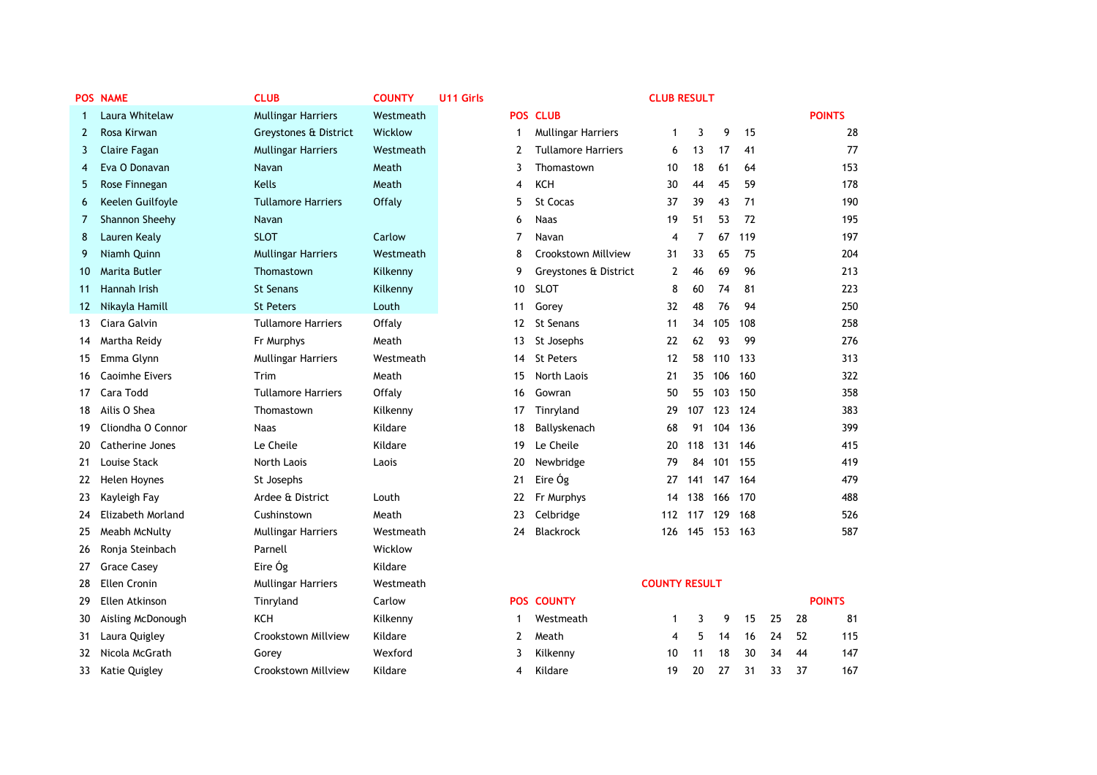|                | <b>POS NAME</b>          | <b>CLUB</b>               | <b>COUNTY</b> | <b>U11 Girls</b> |                           | <b>CLUB RESULT</b>   |                |     |     |    |    |               |
|----------------|--------------------------|---------------------------|---------------|------------------|---------------------------|----------------------|----------------|-----|-----|----|----|---------------|
|                | Laura Whitelaw           | <b>Mullingar Harriers</b> | Westmeath     |                  | <b>POS CLUB</b>           |                      |                |     |     |    |    | <b>POINTS</b> |
| $\overline{2}$ | Rosa Kirwan              | Greystones & District     | Wicklow       | 1                | <b>Mullingar Harriers</b> | $\mathbf{1}$         | 3              | 9   | 15  |    |    | 28            |
| 3              | <b>Claire Fagan</b>      | <b>Mullingar Harriers</b> | Westmeath     | 2                | <b>Tullamore Harriers</b> | 6                    | 13             | 17  | 41  |    |    | 77            |
| 4              | Eva O Donavan            | Navan                     | Meath         | 3                | Thomastown                | 10                   | 18             | 61  | 64  |    |    | 153           |
| 5              | Rose Finnegan            | <b>Kells</b>              | Meath         | 4                | KCH                       | 30                   | 44             | 45  | 59  |    |    | 178           |
| 6              | Keelen Guilfoyle         | <b>Tullamore Harriers</b> | Offaly        | 5                | St Cocas                  | 37                   | 39             | 43  | 71  |    |    | 190           |
| 7              | Shannon Sheehy           | Navan                     |               | 6                | <b>Naas</b>               | 19                   | 51             | 53  | 72  |    |    | 195           |
| 8              | Lauren Kealy             | <b>SLOT</b>               | Carlow        | 7                | Navan                     | 4                    | $\overline{7}$ | 67  | 119 |    |    | 197           |
| 9              | Niamh Quinn              | <b>Mullingar Harriers</b> | Westmeath     | 8                | Crookstown Millview       | 31                   | 33             | 65  | 75  |    |    | 204           |
| 10             | Marita Butler            | Thomastown                | Kilkenny      | 9                | Greystones & District     | $\overline{2}$       | 46             | 69  | 96  |    |    | 213           |
| 11             | Hannah Irish             | <b>St Senans</b>          | Kilkenny      | 10               | <b>SLOT</b>               | 8                    | 60             | 74  | 81  |    |    | 223           |
| 12             | Nikayla Hamill           | <b>St Peters</b>          | Louth         | 11               | Gorey                     | 32                   | 48             | 76  | 94  |    |    | 250           |
| 13             | Ciara Galvin             | <b>Tullamore Harriers</b> | Offaly        | 12               | <b>St Senans</b>          | 11                   | 34             | 105 | 108 |    |    | 258           |
| 14             | Martha Reidy             | Fr Murphys                | Meath         | 13               | St Josephs                | 22                   | 62             | 93  | 99  |    |    | 276           |
| 15             | Emma Glynn               | <b>Mullingar Harriers</b> | Westmeath     | 14               | <b>St Peters</b>          | 12                   | 58             | 110 | 133 |    |    | 313           |
| 16             | Caoimhe Eivers           | Trim                      | Meath         | 15               | North Laois               | 21                   | 35             | 106 | 160 |    |    | 322           |
| 17             | Cara Todd                | <b>Tullamore Harriers</b> | Offaly        | 16               | Gowran                    | 50                   | 55             | 103 | 150 |    |    | 358           |
| 18             | Ailis O Shea             | Thomastown                | Kilkenny      | 17               | Tinryland                 | 29                   | 107            | 123 | 124 |    |    | 383           |
| 19             | Cliondha O Connor        | <b>Naas</b>               | Kildare       | 18               | Ballyskenach              | 68                   | 91             | 104 | 136 |    |    | 399           |
| 20             | <b>Catherine Jones</b>   | Le Cheile                 | Kildare       | 19               | Le Cheile                 | 20                   | 118            | 131 | 146 |    |    | 415           |
| 21             | Louise Stack             | North Laois               | Laois         | 20               | Newbridge                 | 79                   | 84             | 101 | 155 |    |    | 419           |
| 22             | Helen Hoynes             | St Josephs                |               | 21               | Eire Óg                   | 27                   | 141            | 147 | 164 |    |    | 479           |
| 23             | Kayleigh Fay             | Ardee & District          | Louth         | 22               | Fr Murphys                | 14                   | 138            | 166 | 170 |    |    | 488           |
| 24             | <b>Elizabeth Morland</b> | Cushinstown               | Meath         | 23               | Celbridge                 | 112                  | 117            | 129 | 168 |    |    | 526           |
| 25             | Meabh McNulty            | <b>Mullingar Harriers</b> | Westmeath     | 24               | <b>Blackrock</b>          | 126                  | 145            | 153 | 163 |    |    | 587           |
| 26             | Ronja Steinbach          | Parnell                   | Wicklow       |                  |                           |                      |                |     |     |    |    |               |
| 27             | <b>Grace Casey</b>       | Eire Óg                   | Kildare       |                  |                           |                      |                |     |     |    |    |               |
| 28             | <b>Ellen Cronin</b>      | <b>Mullingar Harriers</b> | Westmeath     |                  |                           | <b>COUNTY RESULT</b> |                |     |     |    |    |               |
| 29             | Ellen Atkinson           | Tinryland                 | Carlow        | <b>POS</b>       | <b>COUNTY</b>             |                      |                |     |     |    |    | <b>POINTS</b> |
| 30             | Aisling McDonough        | <b>KCH</b>                | Kilkenny      | 1                | Westmeath                 | $\mathbf{1}$         | 3              | 9   | 15  | 25 | 28 | 81            |
| 31             | Laura Quigley            | Crookstown Millview       | Kildare       | 2                | Meath                     | 4                    | 5              | 14  | 16  | 24 | 52 | 115           |
| 32             | Nicola McGrath           | Gorey                     | Wexford       | 3                | Kilkenny                  | 10                   | 11             | 18  | 30  | 34 | 44 | 147           |
| 33             | <b>Katie Quigley</b>     | Crookstown Millview       | Kildare       | 4                | Kildare                   | 19                   | 20             | 27  | 31  | 33 | 37 | 167           |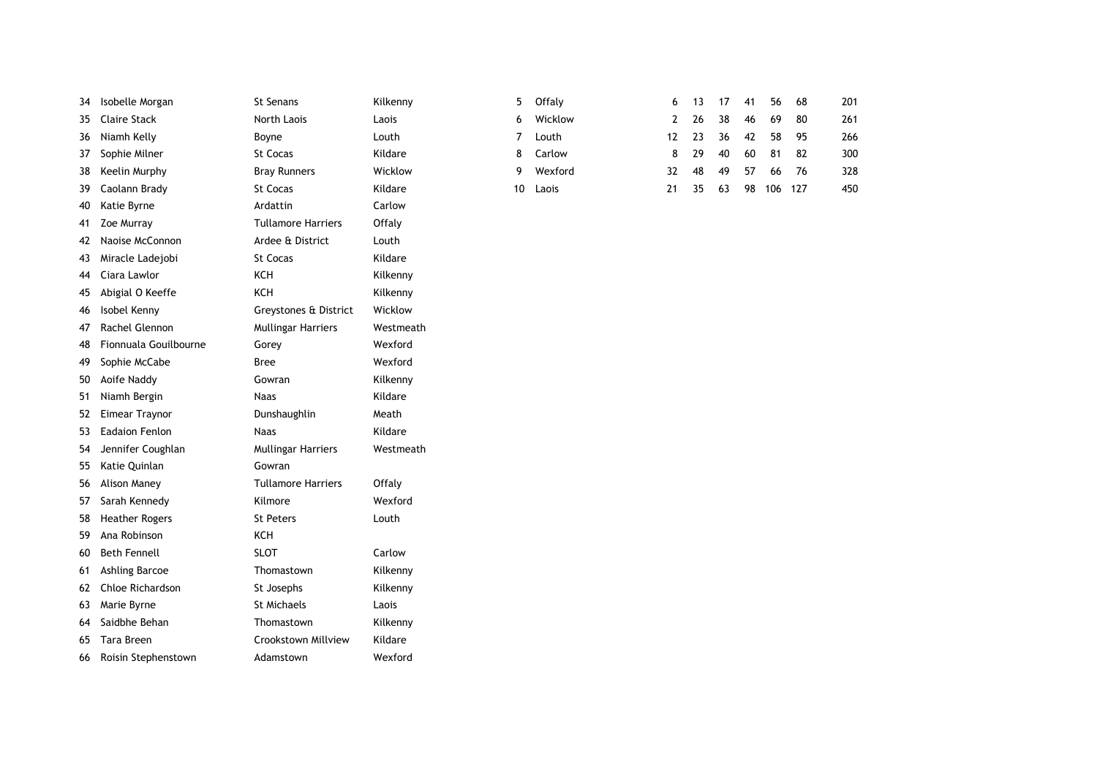| 34  | Isobelle Morgan       | St Senans                 | Kilkenny  | 5  | Offaly  | 6  | 13 | 17 | 41 | 56  | 68  | 201 |
|-----|-----------------------|---------------------------|-----------|----|---------|----|----|----|----|-----|-----|-----|
| 35  | <b>Claire Stack</b>   | North Laois               | Laois     | 6  | Wicklow | 2  | 26 | 38 | 46 | 69  | 80  | 261 |
| 36  | Niamh Kelly           | Boyne                     | Louth     |    | Louth   | 12 | 23 | 36 | 42 | 58  | 95  | 266 |
| 37  | Sophie Milner         | St Cocas                  | Kildare   | 8  | Carlow  | 8  | 29 | 40 | 60 | 81  | 82  | 300 |
| 38  | Keelin Murphy         | <b>Bray Runners</b>       | Wicklow   | 9  | Wexford | 32 | 48 | 49 | 57 | 66  | 76  | 328 |
| 39  | Caolann Brady         | <b>St Cocas</b>           | Kildare   | 10 | Laois   | 21 | 35 | 63 | 98 | 106 | 127 | 450 |
| 40  | Katie Byrne           | Ardattin                  | Carlow    |    |         |    |    |    |    |     |     |     |
| 41  | Zoe Murray            | <b>Tullamore Harriers</b> | Offaly    |    |         |    |    |    |    |     |     |     |
| 42  | Naoise McConnon       | Ardee & District          | Louth     |    |         |    |    |    |    |     |     |     |
| 43  | Miracle Ladejobi      | St Cocas                  | Kildare   |    |         |    |    |    |    |     |     |     |
| 44  | Ciara Lawlor          | <b>KCH</b>                | Kilkenny  |    |         |    |    |    |    |     |     |     |
| 45  | Abigial O Keeffe      | KCH                       | Kilkenny  |    |         |    |    |    |    |     |     |     |
| 46  | Isobel Kenny          | Greystones & District     | Wicklow   |    |         |    |    |    |    |     |     |     |
| 47  | Rachel Glennon        | <b>Mullingar Harriers</b> | Westmeath |    |         |    |    |    |    |     |     |     |
| 48  | Fionnuala Gouilbourne | Gorey                     | Wexford   |    |         |    |    |    |    |     |     |     |
| 49  | Sophie McCabe         | <b>Bree</b>               | Wexford   |    |         |    |    |    |    |     |     |     |
| 50  | Aoife Naddy           | Gowran                    | Kilkenny  |    |         |    |    |    |    |     |     |     |
| 51  | Niamh Bergin          | <b>Naas</b>               | Kildare   |    |         |    |    |    |    |     |     |     |
| 52  | <b>Eimear Traynor</b> | Dunshaughlin              | Meath     |    |         |    |    |    |    |     |     |     |
| 53. | <b>Eadaion Fenlon</b> | <b>Naas</b>               | Kildare   |    |         |    |    |    |    |     |     |     |
| 54  | Jennifer Coughlan     | Mullingar Harriers        | Westmeath |    |         |    |    |    |    |     |     |     |
| 55  | Katie Quinlan         | Gowran                    |           |    |         |    |    |    |    |     |     |     |
| 56  | Alison Maney          | <b>Tullamore Harriers</b> | Offaly    |    |         |    |    |    |    |     |     |     |
| 57  | Sarah Kennedy         | Kilmore                   | Wexford   |    |         |    |    |    |    |     |     |     |
| 58  | <b>Heather Rogers</b> | <b>St Peters</b>          | Louth     |    |         |    |    |    |    |     |     |     |
| 59  | Ana Robinson          | KCH                       |           |    |         |    |    |    |    |     |     |     |
| 60  | <b>Beth Fennell</b>   | <b>SLOT</b>               | Carlow    |    |         |    |    |    |    |     |     |     |
| 61  | <b>Ashling Barcoe</b> | Thomastown                | Kilkenny  |    |         |    |    |    |    |     |     |     |
| 62  | Chloe Richardson      | St Josephs                | Kilkenny  |    |         |    |    |    |    |     |     |     |
| 63  | Marie Byrne           | <b>St Michaels</b>        | Laois     |    |         |    |    |    |    |     |     |     |
| 64  | Saidbhe Behan         | Thomastown                | Kilkenny  |    |         |    |    |    |    |     |     |     |
| 65  | Tara Breen            | Crookstown Millview       | Kildare   |    |         |    |    |    |    |     |     |     |
| 66  | Roisin Stephenstown   | Adamstown                 | Wexford   |    |         |    |    |    |    |     |     |     |

| enny |    | 5 Offaly |    | 6 13 17 41 56 68 |      |     |             |       | 201 |
|------|----|----------|----|------------------|------|-----|-------------|-------|-----|
|      | 6  | Wicklow  | -2 | - 26             | -38  | 46  | - 69        | 80    | 261 |
| h    |    | 7 Louth  |    | 12 23            |      |     | 36 42 58 95 |       | 266 |
| are  |    | 8 Carlow |    | 8 29             | 40   | -60 | $-81$       | - 82  | 300 |
| :low | 9. | Wexford  | 32 | 48               | - 49 | 57  |             | 66 76 | 328 |
| are  |    | 10 Laois | 21 | 35               | 63   |     | 98 106 127  |       | 450 |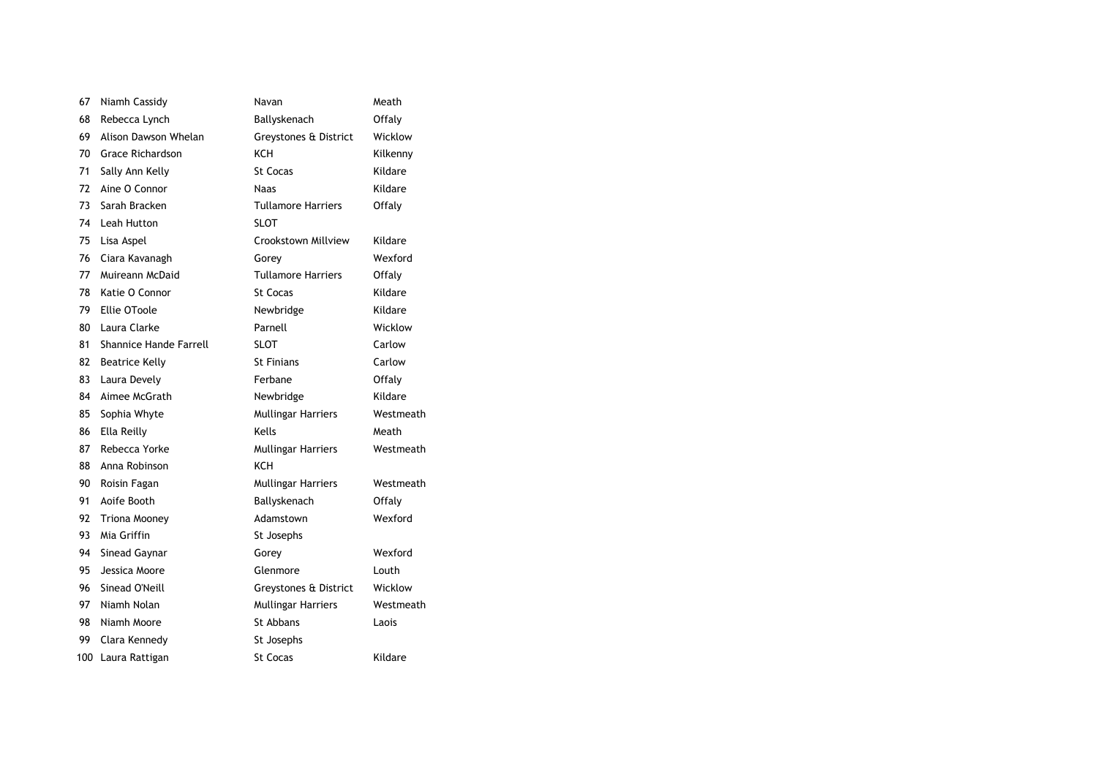| 67  | Niamh Cassidy                 | Navan                     | Meath     |
|-----|-------------------------------|---------------------------|-----------|
| 68  | Rebecca Lynch                 | Ballyskenach              | Offaly    |
| 69  | Alison Dawson Whelan          | Greystones & District     | Wicklow   |
| 70  | Grace Richardson              | KCH                       | Kilkenny  |
| 71  | Sally Ann Kelly               | <b>St Cocas</b>           | Kildare   |
| 72  | Aine O Connor                 | Naas                      | Kildare   |
| 73  | Sarah Bracken                 | <b>Tullamore Harriers</b> | Offaly    |
| 74  | Leah Hutton                   | <b>SLOT</b>               |           |
| 75  | Lisa Aspel                    | Crookstown Millview       | Kildare   |
| 76  | Ciara Kavanagh                | Gorey                     | Wexford   |
| 77  | Muireann McDaid               | <b>Tullamore Harriers</b> | Offaly    |
| 78  | Katie O Connor                | St Cocas                  | Kildare   |
| 79  | Ellie OToole                  | Newbridge                 | Kildare   |
| 80  | Laura Clarke                  | Parnell                   | Wicklow   |
| 81  | <b>Shannice Hande Farrell</b> | <b>SLOT</b>               | Carlow    |
| 82  | <b>Beatrice Kelly</b>         | <b>St Finians</b>         | Carlow    |
| 83  | Laura Devely                  | Ferbane                   | Offaly    |
| 84  | Aimee McGrath                 | Newbridge                 | Kildare   |
| 85  | Sophia Whyte                  | <b>Mullingar Harriers</b> | Westmeath |
| 86  | Ella Reilly                   | Kells                     | Meath     |
| 87  | Rebecca Yorke                 | <b>Mullingar Harriers</b> | Westmeath |
| 88  | Anna Robinson                 | KCH                       |           |
| 90  | Roisin Fagan                  | Mullingar Harriers        | Westmeath |
| 91  | Aoife Booth                   | Ballyskenach              | Offaly    |
| 92  | Triona Mooney                 | Adamstown                 | Wexford   |
| 93  | Mia Griffin                   | St Josephs                |           |
| 94  | Sinead Gaynar                 | Gorey                     | Wexford   |
| 95  | Jessica Moore                 | Glenmore                  | Louth     |
| 96  | Sinead O'Neill                | Greystones & District     | Wicklow   |
| 97  | Niamh Nolan                   | <b>Mullingar Harriers</b> | Westmeath |
| 98  | Niamh Moore                   | St Abbans                 | Laois     |
| 99  | Clara Kennedy                 | St Josephs                |           |
| 100 | Laura Rattigan                | <b>St Cocas</b>           | Kildare   |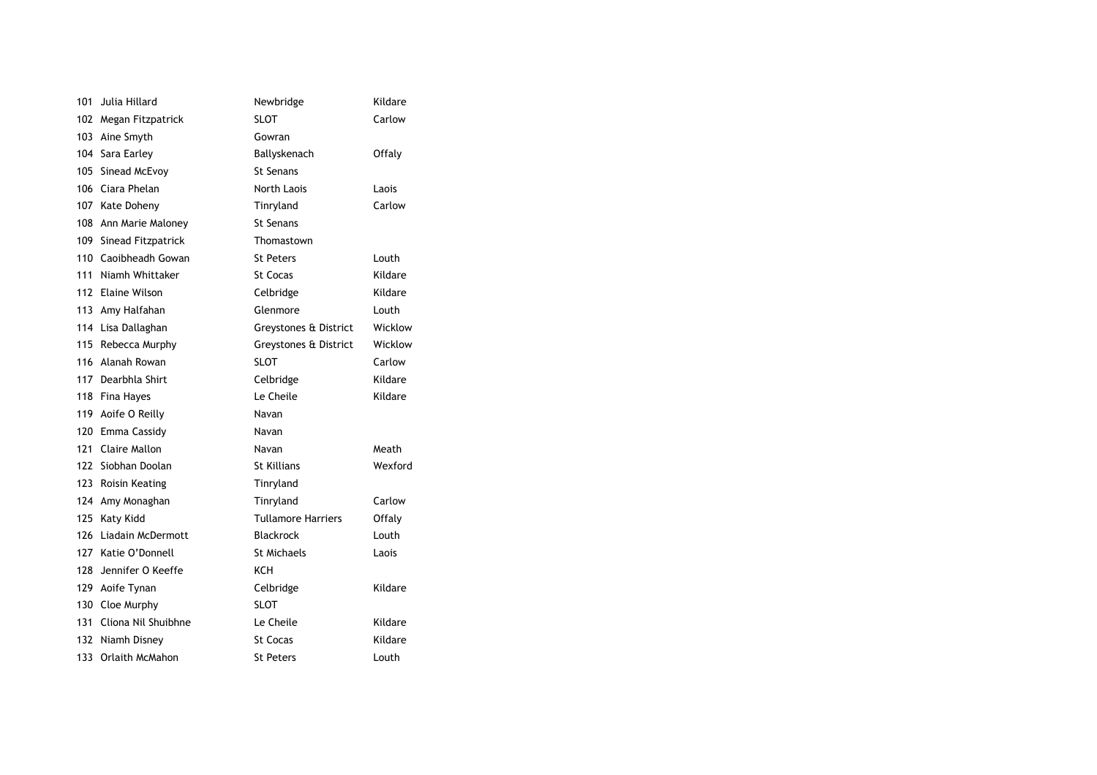| 101 | Julia Hillard         | Newbridge                 | Kildare |
|-----|-----------------------|---------------------------|---------|
|     | 102 Megan Fitzpatrick | <b>SLOT</b>               | Carlow  |
|     | 103 Aine Smyth        | Gowran                    |         |
|     | 104 Sara Earley       | Ballyskenach              | Offaly  |
| 105 | Sinead McEvoy         | <b>St Senans</b>          |         |
| 106 | Ciara Phelan          | North Laois               | Laois   |
|     | 107 Kate Doheny       | Tinryland                 | Carlow  |
| 108 | Ann Marie Maloney     | <b>St Senans</b>          |         |
| 109 | Sinead Fitzpatrick    | Thomastown                |         |
|     | 110 Caoibheadh Gowan  | <b>St Peters</b>          | Louth   |
| 111 | Niamh Whittaker       | St Cocas                  | Kildare |
|     | 112 Elaine Wilson     | Celbridge                 | Kildare |
|     | 113 Amy Halfahan      | Glenmore                  | Louth   |
|     | 114 Lisa Dallaghan    | Greystones & District     | Wicklow |
| 115 | Rebecca Murphy        | Greystones & District     | Wicklow |
| 116 | Alanah Rowan          | <b>SLOT</b>               | Carlow  |
|     | 117 Dearbhla Shirt    | Celbridge                 | Kildare |
|     | 118 Fina Hayes        | Le Cheile                 | Kildare |
| 119 | Aoife O Reilly        | Navan                     |         |
|     | 120 Emma Cassidy      | Navan                     |         |
| 121 | Claire Mallon         | Navan                     | Meath   |
| 122 | Siobhan Doolan        | St Killians               | Wexford |
|     | 123 Roisin Keating    | Tinryland                 |         |
|     | 124 Amy Monaghan      | Tinryland                 | Carlow  |
|     | 125 Katy Kidd         | <b>Tullamore Harriers</b> | Offaly  |
| 126 | Liadain McDermott     | <b>Blackrock</b>          | Louth   |
| 127 | Katie O'Donnell       | <b>St Michaels</b>        | Laois   |
| 128 | Jennifer O Keeffe     | KCH                       |         |
|     | 129 Aoife Tynan       | Celbridge                 | Kildare |
|     | 130 Cloe Murphy       | <b>SLOT</b>               |         |
| 131 | Cliona Nil Shuibhne   | Le Cheile                 | Kildare |
|     | 132 Niamh Disney      | <b>St Cocas</b>           | Kildare |
| 133 | Orlaith McMahon       | <b>St Peters</b>          | Louth   |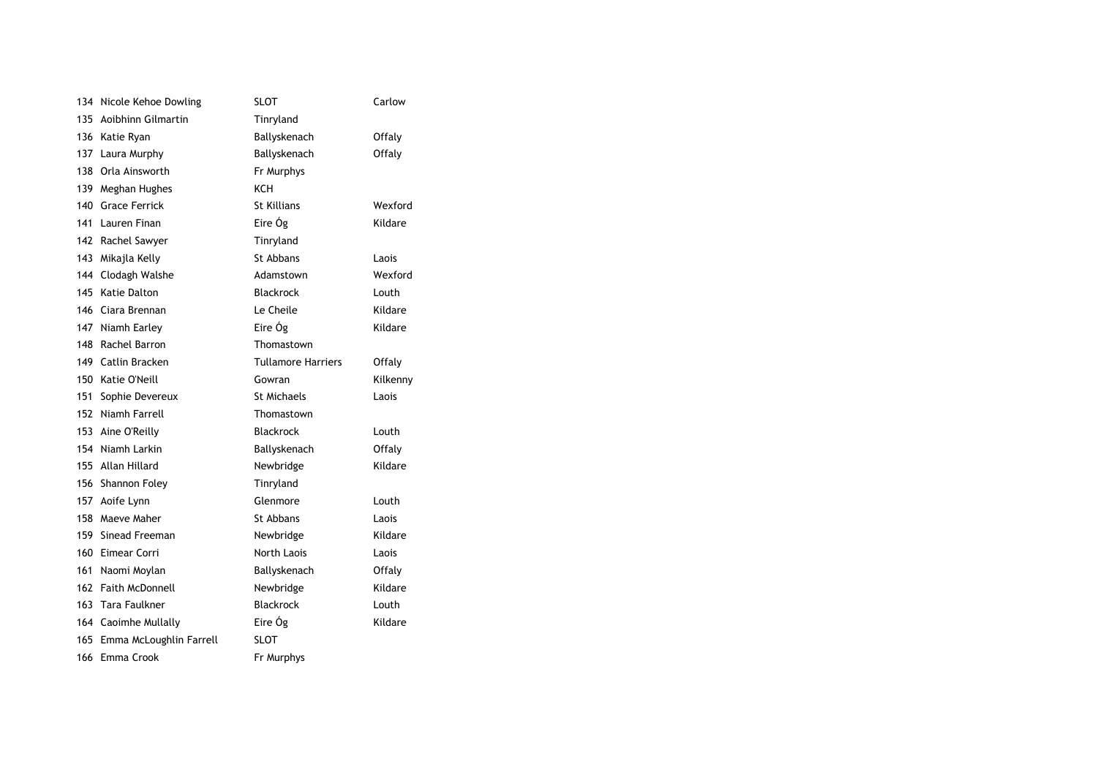| 134 | Nicole Kehoe Dowling    | <b>SLOT</b>               | Carlow   |
|-----|-------------------------|---------------------------|----------|
| 135 | Aoibhinn Gilmartin      | Tinryland                 |          |
| 136 | Katie Ryan              | Ballyskenach              | Offaly   |
| 137 | Laura Murphy            | Ballyskenach              | Offaly   |
| 138 | Orla Ainsworth          | Fr Murphys                |          |
| 139 | Meghan Hughes           | KCH                       |          |
| 140 | <b>Grace Ferrick</b>    | St Killians               | Wexford  |
| 141 | Lauren Finan            | Eire Óg                   | Kildare  |
| 142 | Rachel Sawyer           | Tinryland                 |          |
| 143 | Mikajla Kelly           | St Abbans                 | Laois    |
|     | 144 Clodagh Walshe      | Adamstown                 | Wexford  |
| 145 | Katie Dalton            | <b>Blackrock</b>          | Louth    |
| 146 | Ciara Brennan           | Le Cheile                 | Kildare  |
| 147 | Niamh Earley            | Eire Óg                   | Kildare  |
| 148 | Rachel Barron           | Thomastown                |          |
| 149 | Catlin Bracken          | <b>Tullamore Harriers</b> | Offaly   |
| 150 | Katie O'Neill           | Gowran                    | Kilkenny |
| 151 | Sophie Devereux         | <b>St Michaels</b>        | Laois    |
| 152 | Niamh Farrell           | Thomastown                |          |
| 153 | Aine O'Reilly           | <b>Blackrock</b>          | Louth    |
| 154 | Niamh Larkin            | Ballyskenach              | Offaly   |
| 155 | Allan Hillard           | Newbridge                 | Kildare  |
| 156 | Shannon Foley           | Tinryland                 |          |
| 157 | Aoife Lynn              | Glenmore                  | Louth    |
| 158 | Maeve Maher             | St Abbans                 | Laois    |
| 159 | Sinead Freeman          | Newbridge                 | Kildare  |
| 160 | Eimear Corri            | <b>North Laois</b>        | Laois    |
| 161 | Naomi Moylan            | Ballyskenach              | Offaly   |
| 162 | <b>Faith McDonnell</b>  | Newbridge                 | Kildare  |
| 163 | Tara Faulkner           | <b>Blackrock</b>          | Louth    |
|     | 164 Caoimhe Mullally    | Eire Óg                   | Kildare  |
| 165 | Emma McLoughlin Farrell | <b>SLOT</b>               |          |
| 166 | Emma Crook              | Fr Murphys                |          |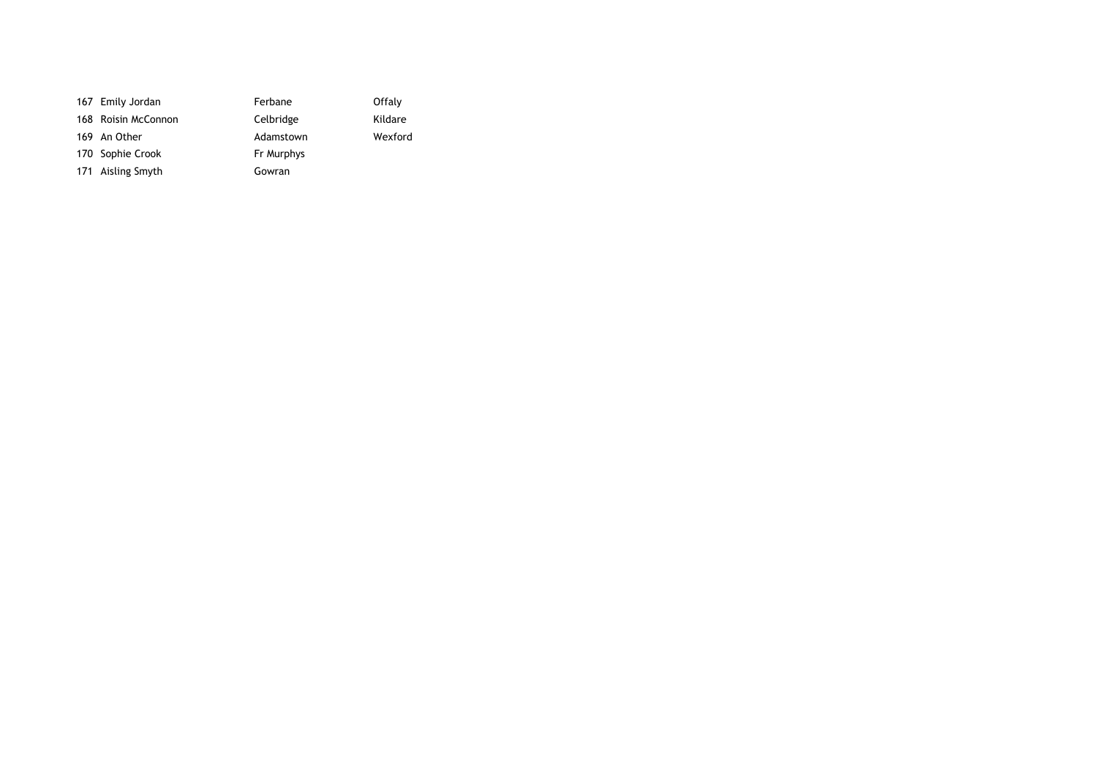| 167 Emily Jordan    | Ferbane    | Offaly  |
|---------------------|------------|---------|
| 168 Roisin McConnon | Celbridge  | Kildare |
| 169 An Other        | Adamstown  | Wexford |
| 170 Sophie Crook    | Fr Murphys |         |
| 171 Aisling Smyth   | Gowran     |         |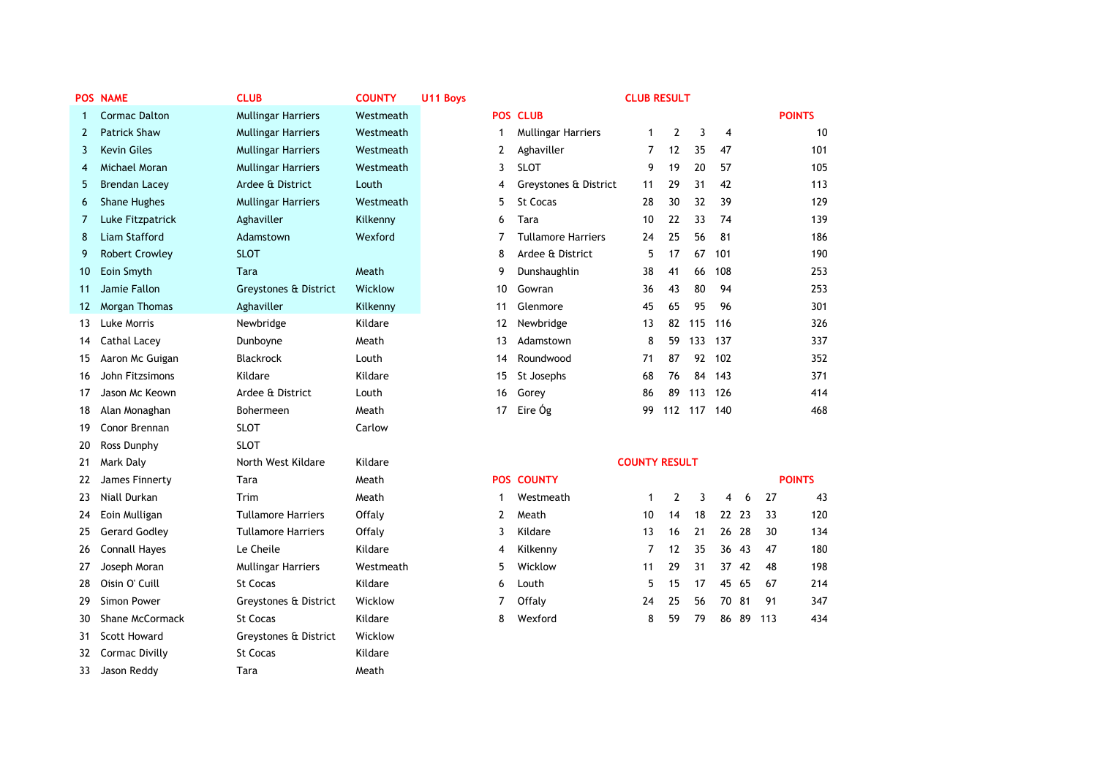|                | <b>POS NAME</b>        | <b>CLUB</b>               | <b>COUNTY</b> | U11 Boys |                           | <b>CLUB RESULT</b>   |                |             |                |       |     |               |
|----------------|------------------------|---------------------------|---------------|----------|---------------------------|----------------------|----------------|-------------|----------------|-------|-----|---------------|
| -1             | <b>Cormac Dalton</b>   | <b>Mullingar Harriers</b> | Westmeath     |          | <b>POS CLUB</b>           |                      |                |             |                |       |     | <b>POINTS</b> |
| $\overline{2}$ | <b>Patrick Shaw</b>    | <b>Mullingar Harriers</b> | Westmeath     | 1        | <b>Mullingar Harriers</b> | 1                    | 2              | 3           | 4              |       |     | 10            |
| 3              | <b>Kevin Giles</b>     | <b>Mullingar Harriers</b> | Westmeath     | 2        | Aghaviller                | $\overline{7}$       | 12             | 35          | 47             |       |     | 101           |
| 4              | Michael Moran          | <b>Mullingar Harriers</b> | Westmeath     | 3        | <b>SLOT</b>               | 9                    | 19             | 20          | 57             |       |     | 105           |
| 5              | <b>Brendan Lacey</b>   | Ardee & District          | Louth         | 4        | Greystones & District     | 11                   | 29             | 31          | 42             |       |     | 113           |
| 6              | <b>Shane Hughes</b>    | <b>Mullingar Harriers</b> | Westmeath     | 5        | St Cocas                  | 28                   | 30             | 32          | 39             |       |     | 129           |
|                | Luke Fitzpatrick       | Aghaviller                | Kilkenny      | 6        | Tara                      | 10                   | 22             | 33          | 74             |       |     | 139           |
| 8              | <b>Liam Stafford</b>   | Adamstown                 | Wexford       | 7        | <b>Tullamore Harriers</b> | 24                   | 25             | 56          | 81             |       |     | 186           |
| 9              | <b>Robert Crowley</b>  | <b>SLOT</b>               |               | 8        | Ardee & District          | 5                    | 17             | 67          | 101            |       |     | 190           |
| 10             | Eoin Smyth             | Tara                      | Meath         | 9        | Dunshaughlin              | 38                   | 41             | 66          | 108            |       |     | 253           |
| 11             | Jamie Fallon           | Greystones & District     | Wicklow       | 10       | Gowran                    | 36                   | 43             | 80          | 94             |       |     | 253           |
| $12 \,$        | Morgan Thomas          | Aghaviller                | Kilkenny      | 11       | Glenmore                  | 45                   | 65             | 95          | 96             |       |     | 301           |
| 13             | Luke Morris            | Newbridge                 | Kildare       | 12       | Newbridge                 | 13                   | 82             | 115         | 116            |       |     | 326           |
| 14             | <b>Cathal Lacey</b>    | Dunboyne                  | Meath         | 13       | Adamstown                 | 8                    | 59             | 133         | 137            |       |     | 337           |
| 15             | Aaron Mc Guigan        | <b>Blackrock</b>          | Louth         | 14       | Roundwood                 | 71                   | 87             | 92          | 102            |       |     | 352           |
| 16             | John Fitzsimons        | Kildare                   | Kildare       | 15       | St Josephs                | 68                   | 76             | 84          | 143            |       |     | 371           |
| 17             | Jason Mc Keown         | Ardee & District          | Louth         | 16       | Gorey                     | 86                   | 89             |             | 113 126        |       |     | 414           |
| 18             | Alan Monaghan          | Bohermeen                 | Meath         | 17       | Eire Óg                   | 99                   |                | 112 117 140 |                |       |     | 468           |
| 19             | Conor Brennan          | <b>SLOT</b>               | Carlow        |          |                           |                      |                |             |                |       |     |               |
| 20             | Ross Dunphy            | <b>SLOT</b>               |               |          |                           |                      |                |             |                |       |     |               |
| 21             | Mark Daly              | North West Kildare        | Kildare       |          |                           | <b>COUNTY RESULT</b> |                |             |                |       |     |               |
| 22             | James Finnerty         | Tara                      | Meath         |          | <b>POS COUNTY</b>         |                      |                |             |                |       |     | <b>POINTS</b> |
| 23             | Niall Durkan           | Trim                      | Meath         | 1        | Westmeath                 | $\mathbf{1}$         | $\overline{2}$ | 3           | $\overline{4}$ | 6     | 27  | 43            |
| 24             | Eoin Mulligan          | <b>Tullamore Harriers</b> | Offaly        | 2        | Meath                     | 10                   | 14             | 18          |                | 22 23 | 33  | 120           |
| 25             | <b>Gerard Godley</b>   | <b>Tullamore Harriers</b> | Offaly        | 3        | Kildare                   | 13                   | 16             | 21          |                | 26 28 | 30  | 134           |
| 26             | <b>Connall Hayes</b>   | Le Cheile                 | Kildare       | 4        | Kilkenny                  | 7                    | 12             | 35          |                | 36 43 | 47  | 180           |
| 27             | Joseph Moran           | <b>Mullingar Harriers</b> | Westmeath     | 5        | Wicklow                   | 11                   | 29             | 31          |                | 37 42 | 48  | 198           |
| 28             | Oisin O' Cuill         | <b>St Cocas</b>           | Kildare       | 6        | Louth                     | 5                    | 15             | 17          | 45             | 65    | 67  | 214           |
| 29             | Simon Power            | Greystones & District     | Wicklow       | 7        | Offaly                    | 24                   | 25             | 56          |                | 70 81 | 91  | 347           |
| 30             | <b>Shane McCormack</b> | <b>St Cocas</b>           | Kildare       | 8        | Wexford                   | 8                    | 59             | 79          |                | 86 89 | 113 | 434           |
| 31             | <b>Scott Howard</b>    | Greystones & District     | Wicklow       |          |                           |                      |                |             |                |       |     |               |
| 32             | Cormac Divilly         | <b>St Cocas</b>           | Kildare       |          |                           |                      |                |             |                |       |     |               |
| 33             | Jason Reddy            | Tara                      | Meath         |          |                           |                      |                |             |                |       |     |               |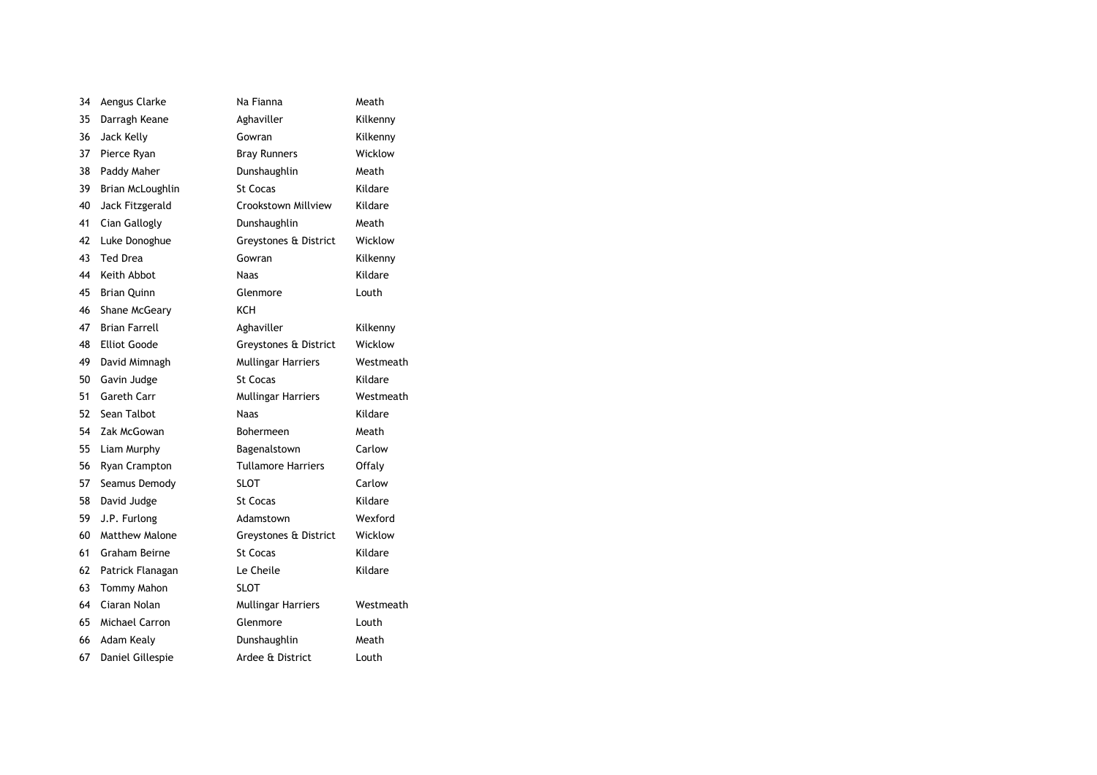| 34 | Aengus Clarke         | Na Fianna                 | Meath     |
|----|-----------------------|---------------------------|-----------|
| 35 | Darragh Keane         | Aghaviller                | Kilkenny  |
| 36 | Jack Kelly            | Gowran                    | Kilkenny  |
| 37 | Pierce Ryan           | <b>Bray Runners</b>       | Wicklow   |
| 38 | Paddy Maher           | Dunshaughlin              | Meath     |
| 39 | Brian McLoughlin      | St Cocas                  | Kildare   |
| 40 | Jack Fitzgerald       | Crookstown Millview       | Kildare   |
| 41 | Cian Gallogly         | Dunshaughlin              | Meath     |
| 42 | Luke Donoghue         | Greystones & District     | Wicklow   |
| 43 | <b>Ted Drea</b>       | Gowran                    | Kilkenny  |
| 44 | Keith Abbot           | Naas                      | Kildare   |
| 45 | <b>Brian Quinn</b>    | Glenmore                  | Louth     |
| 46 | Shane McGeary         | <b>KCH</b>                |           |
| 47 | <b>Brian Farrell</b>  | Aghaviller                | Kilkenny  |
| 48 | <b>Elliot Goode</b>   | Greystones & District     | Wicklow   |
| 49 | David Mimnagh         | <b>Mullingar Harriers</b> | Westmeath |
| 50 | Gavin Judge           | <b>St Cocas</b>           | Kildare   |
| 51 | Gareth Carr           | Mullingar Harriers        | Westmeath |
| 52 | Sean Talbot           | <b>Naas</b>               | Kildare   |
| 54 | Zak McGowan           | Bohermeen                 | Meath     |
| 55 | Liam Murphy           | Bagenalstown              | Carlow    |
| 56 | Ryan Crampton         | <b>Tullamore Harriers</b> | Offaly    |
| 57 | Seamus Demody         | <b>SLOT</b>               | Carlow    |
| 58 | David Judge           | <b>St Cocas</b>           | Kildare   |
| 59 | J.P. Furlong          | Adamstown                 | Wexford   |
| 60 | Matthew Malone        | Greystones & District     | Wicklow   |
| 61 | Graham Beirne         | <b>St Cocas</b>           | Kildare   |
| 62 | Patrick Flanagan      | Le Cheile                 | Kildare   |
| 63 | Tommy Mahon           | <b>SLOT</b>               |           |
| 64 | Ciaran Nolan          | <b>Mullingar Harriers</b> | Westmeath |
| 65 | <b>Michael Carron</b> | Glenmore                  | Louth     |
| 66 | Adam Kealy            | Dunshaughlin              | Meath     |
| 67 | Daniel Gillespie      | Ardee & District          | Louth     |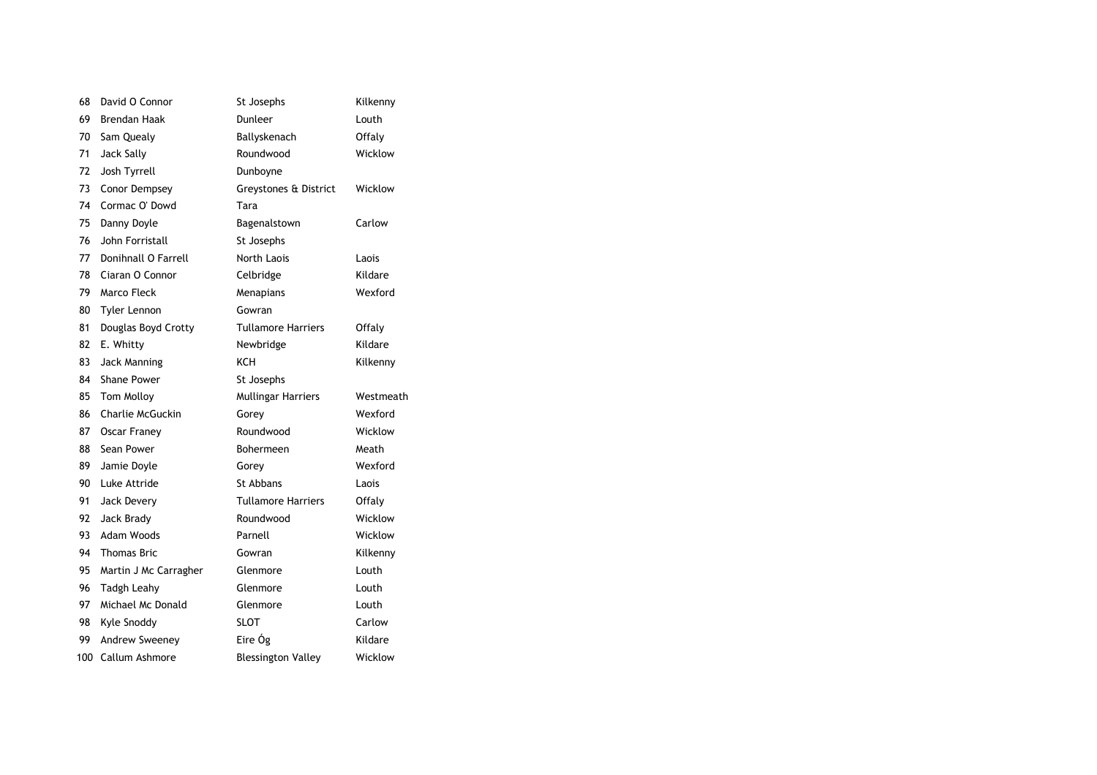| 68  | David O Connor        | St Josephs                | Kilkenny  |
|-----|-----------------------|---------------------------|-----------|
| 69  | <b>Brendan Haak</b>   | Dunleer                   | Louth     |
| 70  | Sam Quealy            | Ballyskenach              | Offaly    |
| 71  | <b>Jack Sally</b>     | Roundwood                 | Wicklow   |
| 72  | Josh Tyrrell          | Dunboyne                  |           |
| 73  | Conor Dempsey         | Greystones & District     | Wicklow   |
| 74  | Cormac O' Dowd        | Tara                      |           |
| 75  | Danny Doyle           | Bagenalstown              | Carlow    |
| 76  | John Forristall       | St Josephs                |           |
| 77  | Donihnall O Farrell   | North Laois               | Laois     |
| 78  | Ciaran O Connor       | Celbridge                 | Kildare   |
| 79  | Marco Fleck           | Menapians                 | Wexford   |
| 80  | Tyler Lennon          | Gowran                    |           |
| 81  | Douglas Boyd Crotty   | <b>Tullamore Harriers</b> | Offaly    |
| 82  | E. Whitty             | Newbridge                 | Kildare   |
| 83  | <b>Jack Manning</b>   | <b>KCH</b>                | Kilkenny  |
| 84  | <b>Shane Power</b>    | St Josephs                |           |
| 85  | Tom Molloy            | <b>Mullingar Harriers</b> | Westmeath |
| 86  | Charlie McGuckin      | Gorey                     | Wexford   |
| 87  | <b>Oscar Franey</b>   | Roundwood                 | Wicklow   |
| 88  | Sean Power            | Bohermeen                 | Meath     |
| 89  | Jamie Doyle           | Gorey                     | Wexford   |
| 90  | Luke Attride          | St Abbans                 | Laois     |
| 91  | Jack Devery           | <b>Tullamore Harriers</b> | Offaly    |
| 92  | Jack Brady            | Roundwood                 | Wicklow   |
| 93  | Adam Woods            | Parnell                   | Wicklow   |
| 94  | <b>Thomas Bric</b>    | Gowran                    | Kilkenny  |
| 95  | Martin J Mc Carragher | Glenmore                  | Louth     |
| 96  | Tadgh Leahy           | Glenmore                  | Louth     |
| 97  | Michael Mc Donald     | Glenmore                  | Louth     |
| 98  | Kyle Snoddy           | <b>SLOT</b>               | Carlow    |
| 99  | Andrew Sweeney        | Eire Óg                   | Kildare   |
| 100 | Callum Ashmore        | <b>Blessington Valley</b> | Wicklow   |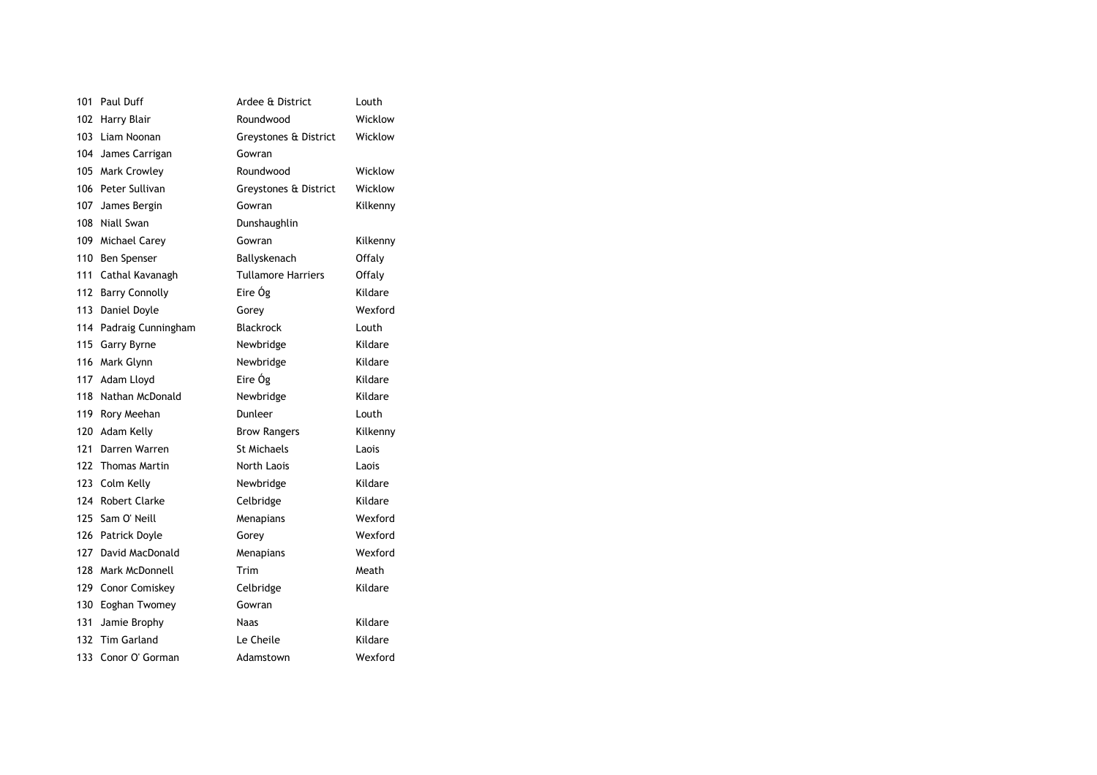| 101 | Paul Duff              | Ardee & District          | Louth    |
|-----|------------------------|---------------------------|----------|
| 102 | Harry Blair            | Roundwood                 | Wicklow  |
| 103 | Liam Noonan            | Greystones & District     | Wicklow  |
| 104 | James Carrigan         | Gowran                    |          |
|     | 105 Mark Crowley       | Roundwood                 | Wicklow  |
| 106 | Peter Sullivan         | Greystones & District     | Wicklow  |
| 107 | James Bergin           | Gowran                    | Kilkenny |
| 108 | Niall Swan             | Dunshaughlin              |          |
| 109 | Michael Carey          | Gowran                    | Kilkenny |
|     | 110 Ben Spenser        | Ballyskenach              | Offaly   |
| 111 | Cathal Kavanagh        | <b>Tullamore Harriers</b> | Offaly   |
|     | 112 Barry Connolly     | Eire Óg                   | Kildare  |
| 113 | Daniel Doyle           | Gorey                     | Wexford  |
|     | 114 Padraig Cunningham | <b>Blackrock</b>          | Louth    |
| 115 | <b>Garry Byrne</b>     | Newbridge                 | Kildare  |
|     | 116 Mark Glynn         | Newbridge                 | Kildare  |
| 117 | Adam Lloyd             | Eire Óg                   | Kildare  |
|     | 118 Nathan McDonald    | Newbridge                 | Kildare  |
|     | 119 Rory Meehan        | Dunleer                   | Louth    |
| 120 | Adam Kelly             | <b>Brow Rangers</b>       | Kilkenny |
| 121 | Darren Warren          | <b>St Michaels</b>        | Laois    |
| 122 | <b>Thomas Martin</b>   | North Laois               | Laois    |
| 123 | Colm Kelly             | Newbridge                 | Kildare  |
|     | 124 Robert Clarke      | Celbridge                 | Kildare  |
| 125 | Sam O' Neill           | Menapians                 | Wexford  |
|     | 126 Patrick Doyle      | Gorey                     | Wexford  |
| 127 | David MacDonald        | Menapians                 | Wexford  |
|     | 128 Mark McDonnell     | Trim                      | Meath    |
|     | 129 Conor Comiskey     | Celbridge                 | Kildare  |
|     | 130 Eoghan Twomey      | Gowran                    |          |
| 131 | Jamie Brophy           | Naas                      | Kildare  |
| 132 | <b>Tim Garland</b>     | Le Cheile                 | Kildare  |
| 133 | Conor O' Gorman        | Adamstown                 | Wexford  |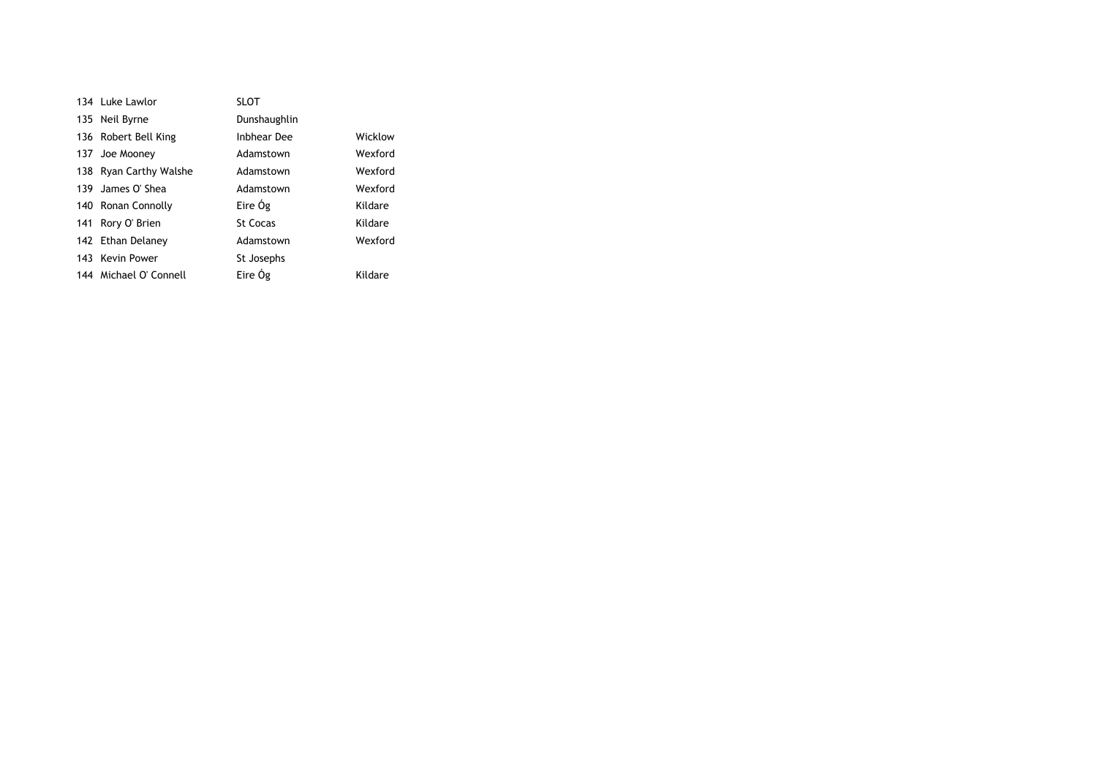| 134 Luke Lawlor        | <b>SLOT</b>        |         |
|------------------------|--------------------|---------|
| 135 Neil Byrne         | Dunshaughlin       |         |
| 136 Robert Bell King   | <b>Inbhear Dee</b> | Wicklow |
| 137 Joe Mooney         | Adamstown          | Wexford |
| 138 Ryan Carthy Walshe | Adamstown          | Wexford |
| 139 James O' Shea      | Adamstown          | Wexford |
| 140 Ronan Connolly     | Eire Óg            | Kildare |
| 141 Rory O' Brien      | St Cocas           | Kildare |
| 142 Ethan Delaney      | Adamstown          | Wexford |
| 143 Kevin Power        | St Josephs         |         |
| 144 Michael O' Connell | Eire Óg            | Kildare |
|                        |                    |         |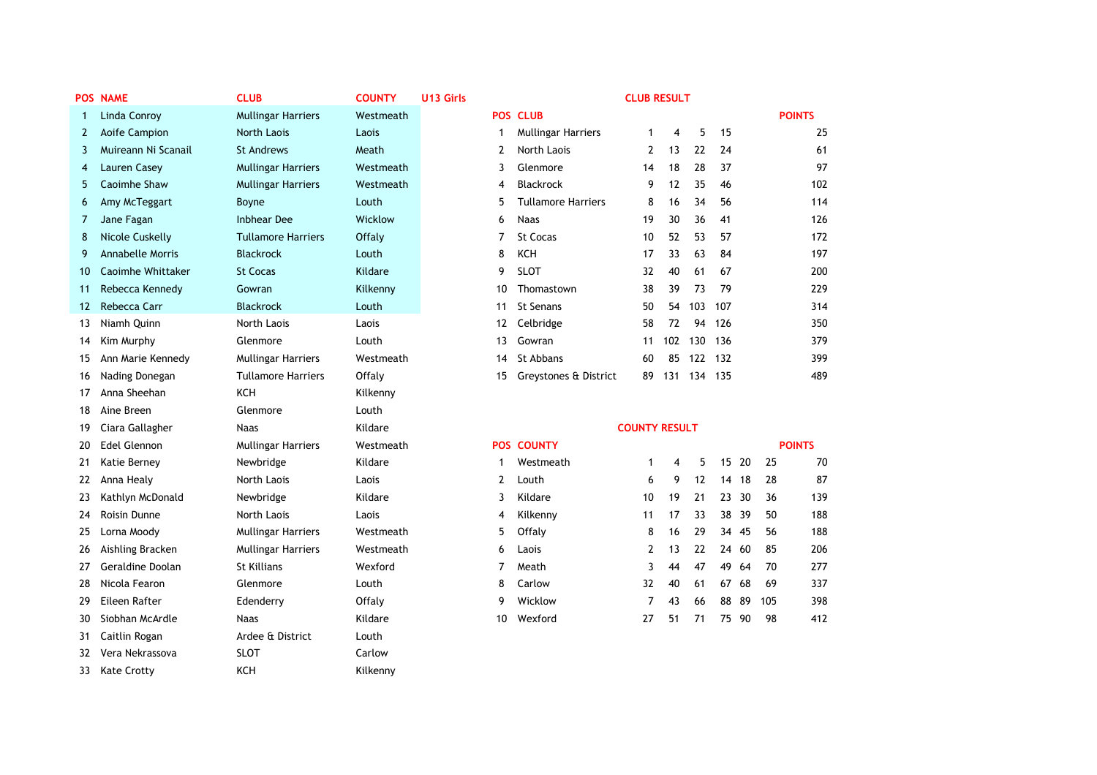|                | <b>POS NAME</b>         | <b>CLUB</b>               | <b>COUNTY</b> | U13 Girls      |                           | <b>CLUB RESULT</b>   |     |             |     |       |     |               |
|----------------|-------------------------|---------------------------|---------------|----------------|---------------------------|----------------------|-----|-------------|-----|-------|-----|---------------|
| $\mathbf{1}$   | Linda Conroy            | <b>Mullingar Harriers</b> | Westmeath     | <b>POS</b>     | <b>CLUB</b>               |                      |     |             |     |       |     | <b>POINTS</b> |
| $\overline{2}$ | Aoife Campion           | <b>North Laois</b>        | Laois         | 1              | <b>Mullingar Harriers</b> | -1                   | 4   | 5           | 15  |       |     | 25            |
| 3              | Muireann Ni Scanail     | <b>St Andrews</b>         | Meath         | 2              | North Laois               | $\overline{2}$       | 13  | 22          | 24  |       |     | 61            |
| 4              | <b>Lauren Casey</b>     | <b>Mullingar Harriers</b> | Westmeath     | 3              | Glenmore                  | 14                   | 18  | 28          | 37  |       |     | 97            |
| 5              | Caoimhe Shaw            | <b>Mullingar Harriers</b> | Westmeath     | 4              | <b>Blackrock</b>          | 9                    | 12  | 35          | 46  |       |     | 102           |
| 6              | Amy McTeggart           | Boyne                     | Louth         | 5              | <b>Tullamore Harriers</b> | 8                    | 16  | 34          | 56  |       |     | 114           |
| 7              | Jane Fagan              | <b>Inbhear Dee</b>        | Wicklow       | 6              | <b>Naas</b>               | 19                   | 30  | 36          | 41  |       |     | 126           |
| 8              | <b>Nicole Cuskelly</b>  | <b>Tullamore Harriers</b> | Offaly        | 7              | <b>St Cocas</b>           | 10                   | 52  | 53          | 57  |       |     | 172           |
| 9              | <b>Annabelle Morris</b> | <b>Blackrock</b>          | Louth         | 8              | <b>KCH</b>                | 17                   | 33  | 63          | 84  |       |     | 197           |
| 10             | Caoimhe Whittaker       | <b>St Cocas</b>           | Kildare       | 9              | <b>SLOT</b>               | 32                   | 40  | 61          | 67  |       |     | 200           |
| 11             | Rebecca Kennedy         | Gowran                    | Kilkenny      | 10             | Thomastown                | 38                   | 39  | 73          | 79  |       |     | 229           |
| 12             | Rebecca Carr            | <b>Blackrock</b>          | Louth         | 11             | St Senans                 | 50                   | 54  | 103         | 107 |       |     | 314           |
| 13             | Niamh Quinn             | North Laois               | Laois         | 12             | Celbridge                 | 58                   | 72  | 94          | 126 |       |     | 350           |
| 14             | Kim Murphy              | Glenmore                  | Louth         | 13             | Gowran                    | 11                   | 102 | 130         | 136 |       |     | 379           |
| 15             | Ann Marie Kennedy       | <b>Mullingar Harriers</b> | Westmeath     | 14             | St Abbans                 | 60                   | 85  | 122 132     |     |       |     | 399           |
| 16             | Nading Donegan          | <b>Tullamore Harriers</b> | Offaly        | 15             | Greystones & District     | 89                   |     | 131 134 135 |     |       |     | 489           |
| 17             | Anna Sheehan            | <b>KCH</b>                | Kilkenny      |                |                           |                      |     |             |     |       |     |               |
| 18             | Aine Breen              | Glenmore                  | Louth         |                |                           |                      |     |             |     |       |     |               |
| 19             | Ciara Gallagher         | <b>Naas</b>               | Kildare       |                |                           | <b>COUNTY RESULT</b> |     |             |     |       |     |               |
| 20             | <b>Edel Glennon</b>     | <b>Mullingar Harriers</b> | Westmeath     |                | <b>POS COUNTY</b>         |                      |     |             |     |       |     | <b>POINTS</b> |
| 21             | Katie Berney            | Newbridge                 | Kildare       | 1              | Westmeath                 | -1                   | 4   | 5           |     | 15 20 | 25  | 70            |
| 22             | Anna Healy              | North Laois               | Laois         | $\overline{2}$ | Louth                     | 6                    | 9   | 12          | 14  | 18    | 28  | 87            |
| 23             | Kathlyn McDonald        | Newbridge                 | Kildare       | 3              | Kildare                   | 10                   | 19  | 21          | 23  | 30    | 36  | 139           |
| 24             | Roisin Dunne            | North Laois               | Laois         | 4              | Kilkenny                  | 11                   | 17  | 33          | 38  | 39    | 50  | 188           |
| 25             | Lorna Moody             | <b>Mullingar Harriers</b> | Westmeath     | 5              | Offaly                    | 8                    | 16  | 29          | 34  | 45    | 56  | 188           |
| 26             | Aishling Bracken        | <b>Mullingar Harriers</b> | Westmeath     | 6              | Laois                     | 2                    | 13  | 22          | 24  | -60   | 85  | 206           |
| 27             | Geraldine Doolan        | <b>St Killians</b>        | Wexford       | 7              | Meath                     | 3                    | 44  | 47          | 49  | 64    | 70  | 277           |
| 28             | Nicola Fearon           | Glenmore                  | Louth         | 8              | Carlow                    | 32                   | 40  | 61          | 67  | 68    | 69  | 337           |
| 29             | Eileen Rafter           | Edenderry                 | Offaly        | 9              | Wicklow                   | 7                    | 43  | 66          | 88  | -89   | 105 | 398           |
| 30             | Siobhan McArdle         | <b>Naas</b>               | Kildare       | 10             | Wexford                   | 27                   | 51  | 71          |     | 75 90 | 98  | 412           |
| 31             | Caitlin Rogan           | Ardee & District          | Louth         |                |                           |                      |     |             |     |       |     |               |
| 32             | Vera Nekrassova         | <b>SLOT</b>               | Carlow        |                |                           |                      |     |             |     |       |     |               |
| 33             | <b>Kate Crotty</b>      | KCH                       | Kilkenny      |                |                           |                      |     |             |     |       |     |               |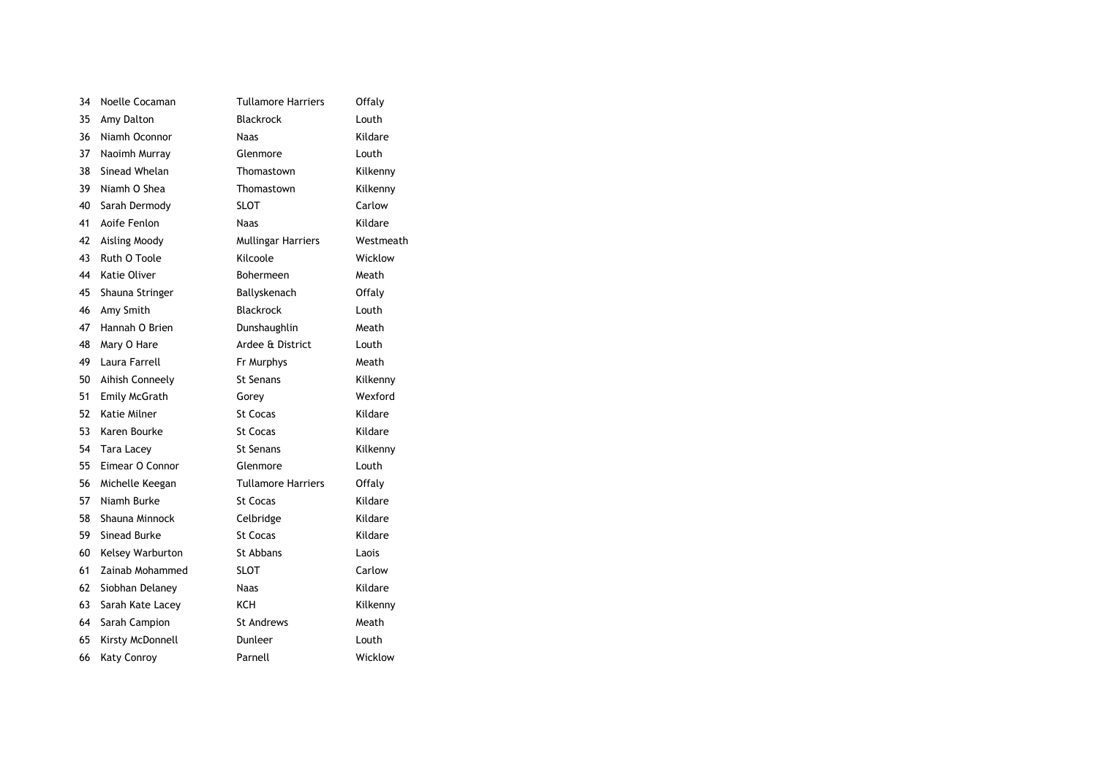| 34 | Noelle Cocaman     | <b>Tullamore Harriers</b> | Offaly    |
|----|--------------------|---------------------------|-----------|
| 35 | Amy Dalton         | <b>Blackrock</b>          | Louth     |
| 36 | Niamh Oconnor      | <b>Naas</b>               | Kildare   |
| 37 | Naoimh Murray      | Glenmore                  | Louth     |
| 38 | Sinead Whelan      | Thomastown                | Kilkenny  |
| 39 | Niamh O Shea       | Thomastown                | Kilkenny  |
| 40 | Sarah Dermody      | <b>SLOT</b>               | Carlow    |
| 41 | Aoife Fenlon       | <b>Naas</b>               | Kildare   |
| 42 | Aisling Moody      | Mullingar Harriers        | Westmeath |
| 43 | Ruth O Toole       | Kilcoole                  | Wicklow   |
| 44 | Katie Oliver       | <b>Bohermeen</b>          | Meath     |
| 45 | Shauna Stringer    | Ballyskenach              | Offaly    |
| 46 | Amy Smith          | <b>Blackrock</b>          | Louth     |
| 47 | Hannah O Brien     | Dunshaughlin              | Meath     |
| 48 | Mary O Hare        | Ardee & District          | Louth     |
| 49 | Laura Farrell      | Fr Murphys                | Meath     |
| 50 | Aihish Conneely    | <b>St Senans</b>          | Kilkenny  |
| 51 | Emily McGrath      | Gorey                     | Wexford   |
| 52 | Katie Milner       | St Cocas                  | Kildare   |
| 53 | Karen Bourke       | <b>St Cocas</b>           | Kildare   |
| 54 | <b>Tara Lacey</b>  | <b>St Senans</b>          | Kilkenny  |
| 55 | Eimear O Connor    | Glenmore                  | Louth     |
| 56 | Michelle Keegan    | <b>Tullamore Harriers</b> | Offaly    |
| 57 | Niamh Burke        | <b>St Cocas</b>           | Kildare   |
| 58 | Shauna Minnock     | Celbridge                 | Kildare   |
| 59 | Sinead Burke       | St Cocas                  | Kildare   |
| 60 | Kelsey Warburton   | St Abbans                 | Laois     |
| 61 | Zainab Mohammed    | <b>SLOT</b>               | Carlow    |
| 62 | Siobhan Delaney    | <b>Naas</b>               | Kildare   |
| 63 | Sarah Kate Lacey   | KCH                       | Kilkenny  |
| 64 | Sarah Campion      | <b>St Andrews</b>         | Meath     |
| 65 | Kirsty McDonnell   | Dunleer                   | Louth     |
| 66 | <b>Katy Conroy</b> | Parnell                   | Wicklow   |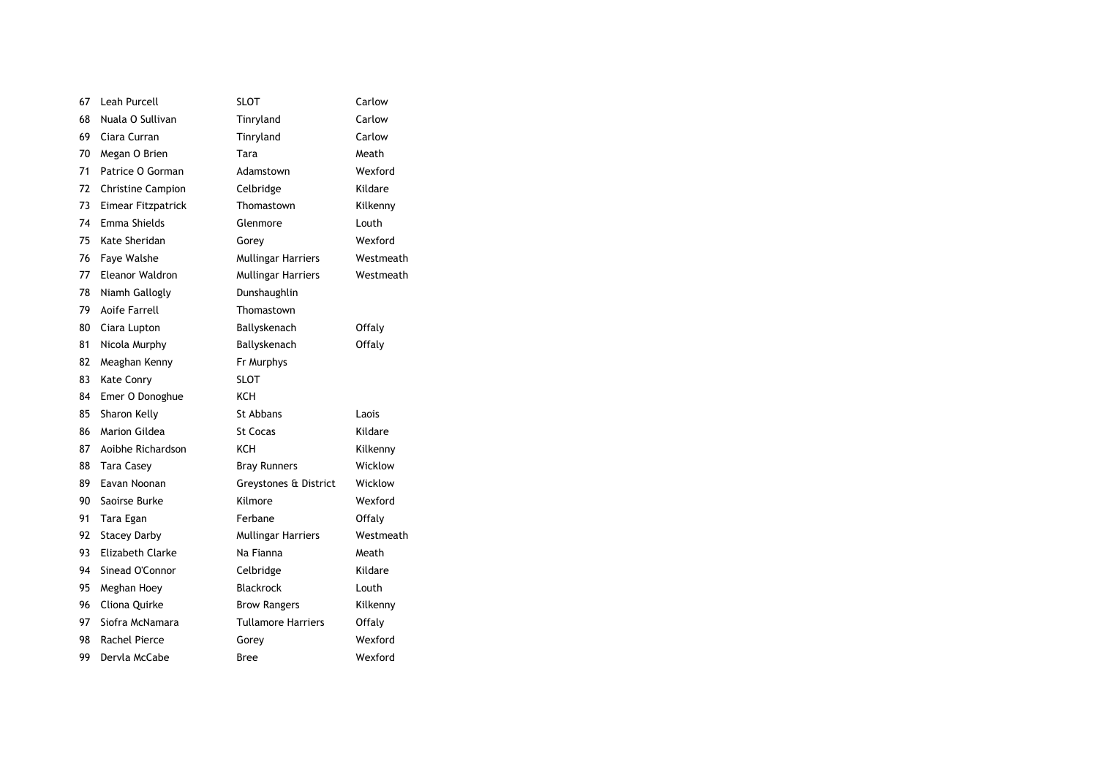| 67 | Leah Purcell             | <b>SLOT</b>               | Carlow    |
|----|--------------------------|---------------------------|-----------|
| 68 | Nuala O Sullivan         | Tinryland                 | Carlow    |
| 69 | Ciara Curran             | Tinryland                 | Carlow    |
| 70 | Megan O Brien            | Tara                      | Meath     |
| 71 | Patrice O Gorman         | Adamstown                 | Wexford   |
| 72 | <b>Christine Campion</b> | Celbridge                 | Kildare   |
| 73 | Eimear Fitzpatrick       | Thomastown                | Kilkenny  |
| 74 | Emma Shields             | Glenmore                  | Louth     |
| 75 | Kate Sheridan            | Gorey                     | Wexford   |
| 76 | <b>Fave Walshe</b>       | Mullingar Harriers        | Westmeath |
| 77 | Eleanor Waldron          | Mullingar Harriers        | Westmeath |
| 78 | Niamh Gallogly           | Dunshaughlin              |           |
| 79 | Aoife Farrell            | Thomastown                |           |
| 80 | Ciara Lupton             | Ballyskenach              | Offaly    |
| 81 | Nicola Murphy            | Ballyskenach              | Offaly    |
| 82 | Meaghan Kenny            | Fr Murphys                |           |
| 83 | <b>Kate Conry</b>        | <b>SLOT</b>               |           |
| 84 | Emer O Donoghue          | KCH                       |           |
| 85 | Sharon Kelly             | St Abbans                 | Laois     |
| 86 | <b>Marion Gildea</b>     | <b>St Cocas</b>           | Kildare   |
| 87 | Aoibhe Richardson        | KCH                       | Kilkenny  |
| 88 | Tara Casey               | <b>Bray Runners</b>       | Wicklow   |
| 89 | Eavan Noonan             | Greystones & District     | Wicklow   |
| 90 | Saoirse Burke            | Kilmore                   | Wexford   |
| 91 | Tara Egan                | Ferbane                   | Offaly    |
| 92 | <b>Stacey Darby</b>      | <b>Mullingar Harriers</b> | Westmeath |
| 93 | Elizabeth Clarke         | Na Fianna                 | Meath     |
| 94 | Sinead O'Connor          | Celbridge                 | Kildare   |
| 95 | Meghan Hoey              | <b>Blackrock</b>          | Louth     |
| 96 | Cliona Quirke            | <b>Brow Rangers</b>       | Kilkenny  |
| 97 | Siofra McNamara          | <b>Tullamore Harriers</b> | Offaly    |
| 98 | <b>Rachel Pierce</b>     | Gorey                     | Wexford   |
| 99 | Dervla McCabe            | <b>Bree</b>               | Wexford   |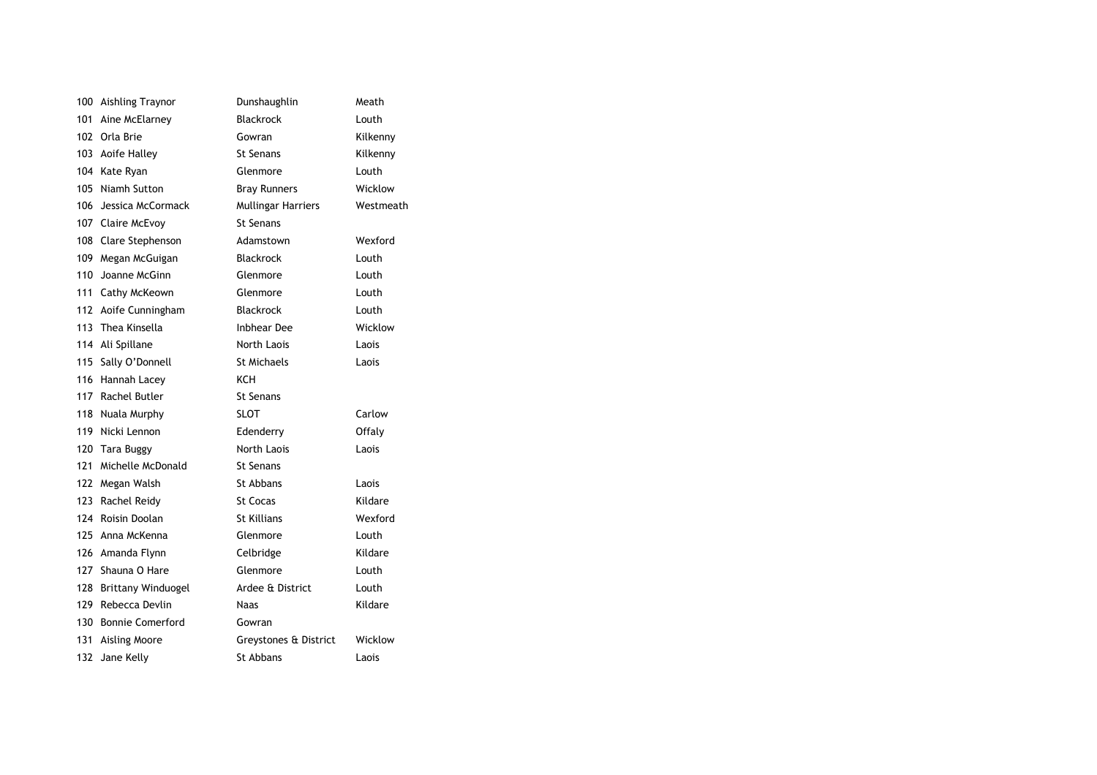|     | 100 Aishling Traynor      | Dunshaughlin              | Meath     |
|-----|---------------------------|---------------------------|-----------|
| 101 | Aine McElarney            | <b>Blackrock</b>          | Louth     |
|     | 102 Orla Brie             | Gowran                    | Kilkenny  |
|     | 103 Aoife Halley          | <b>St Senans</b>          | Kilkenny  |
|     | 104 Kate Ryan             | Glenmore                  | Louth     |
| 105 | Niamh Sutton              | <b>Bray Runners</b>       | Wicklow   |
| 106 | Jessica McCormack         | <b>Mullingar Harriers</b> | Westmeath |
|     | 107 Claire McEvoy         | St Senans                 |           |
|     | 108 Clare Stephenson      | Adamstown                 | Wexford   |
|     | 109 Megan McGuigan        | <b>Blackrock</b>          | Louth     |
|     | 110 Joanne McGinn         | Glenmore                  | Louth     |
|     | 111 Cathy McKeown         | Glenmore                  | Louth     |
|     | 112 Aoife Cunningham      | <b>Blackrock</b>          | Louth     |
|     | 113 Thea Kinsella         | <b>Inbhear Dee</b>        | Wicklow   |
|     | 114 Ali Spillane          | North Laois               | Laois     |
| 115 | Sally O'Donnell           | St Michaels               | Laois     |
| 116 | Hannah Lacey              | KCH                       |           |
|     | 117 Rachel Butler         | St Senans                 |           |
| 118 | Nuala Murphy              | <b>SLOT</b>               | Carlow    |
| 119 | Nicki Lennon              | Edenderry                 | Offaly    |
| 120 | <b>Tara Buggy</b>         | North Laois               | Laois     |
| 121 | Michelle McDonald         | <b>St Senans</b>          |           |
| 122 | Megan Walsh               | St Abbans                 | Laois     |
| 123 | Rachel Reidy              | <b>St Cocas</b>           | Kildare   |
|     | 124 Roisin Doolan         | St Killians               | Wexford   |
| 125 | Anna McKenna              | Glenmore                  | Louth     |
| 126 | Amanda Flynn              | Celbridge                 | Kildare   |
| 127 | Shauna O Hare             | Glenmore                  | Louth     |
| 128 | <b>Brittany Winduogel</b> | Ardee & District          | Louth     |
| 129 | Rebecca Devlin            | <b>Naas</b>               | Kildare   |
| 130 | <b>Bonnie Comerford</b>   | Gowran                    |           |
| 131 | Aisling Moore             | Greystones & District     | Wicklow   |
| 132 | Jane Kelly                | St Abbans                 | Laois     |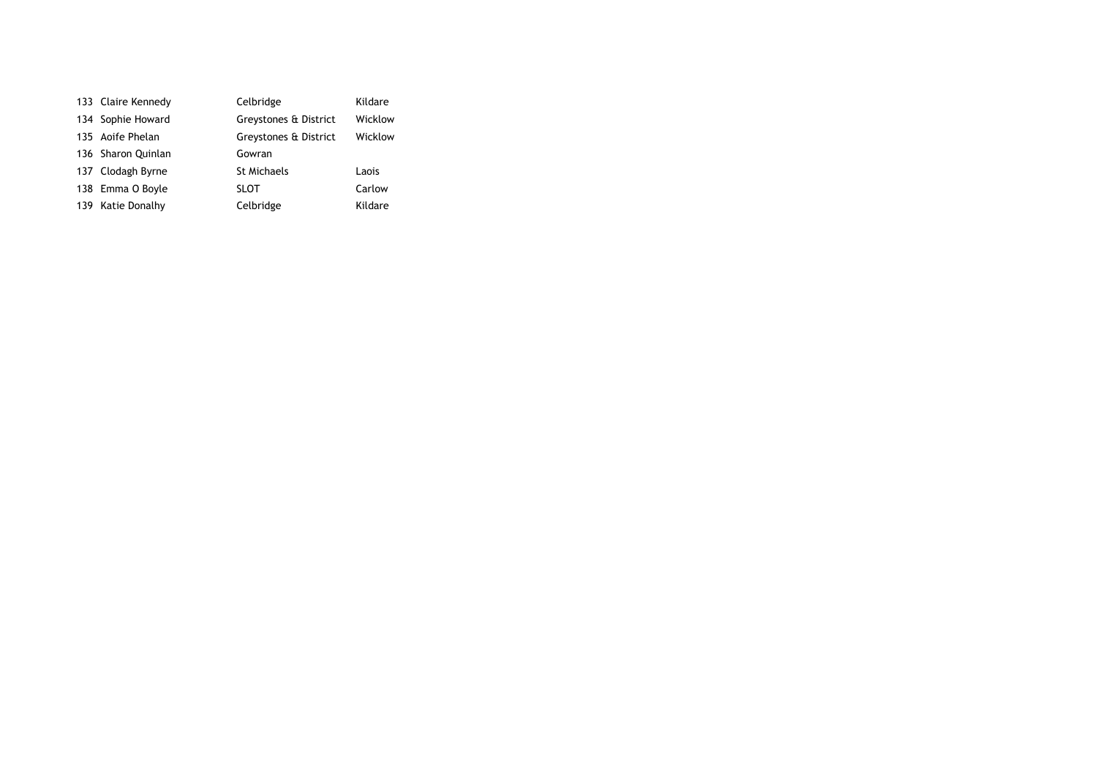| 133 Claire Kennedy | Celbridge             | Kildare |
|--------------------|-----------------------|---------|
| 134 Sophie Howard  | Greystones & District | Wicklow |
| 135 Aoife Phelan   | Greystones & District | Wicklow |
| 136 Sharon Quinlan | Gowran                |         |
| 137 Clodagh Byrne  | <b>St Michaels</b>    | Laois   |
| 138 Emma O Boyle   | <b>SLOT</b>           | Carlow  |
| 139 Katie Donalhy  | Celbridge             | Kildare |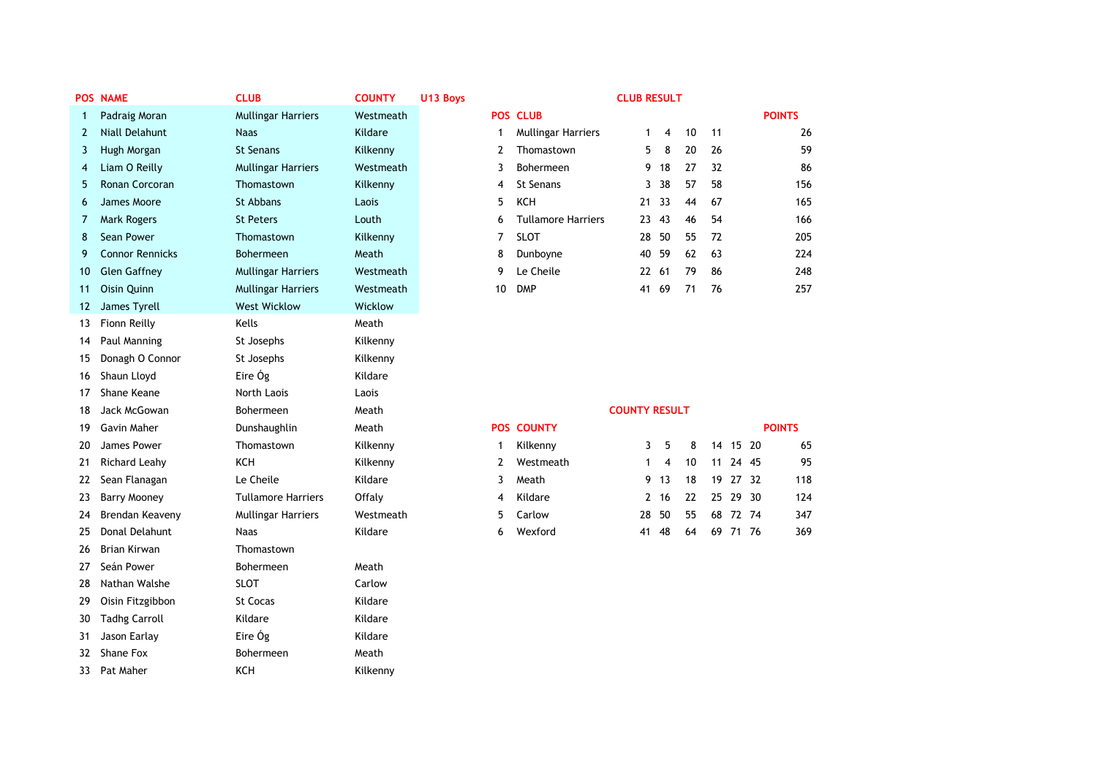|    | POS NAME               | <b>CLUB</b>               | <b>COUNTY</b> | U13 Boys |    | <b>CLUB RESULT</b>        |                      |                |    |    |          |      |               |
|----|------------------------|---------------------------|---------------|----------|----|---------------------------|----------------------|----------------|----|----|----------|------|---------------|
| 1  | Padraig Moran          | <b>Mullingar Harriers</b> | Westmeath     |          |    | <b>POS CLUB</b>           |                      |                |    |    |          |      | <b>POINTS</b> |
| 2  | <b>Niall Delahunt</b>  | <b>Naas</b>               | Kildare       |          | 1  | <b>Mullingar Harriers</b> | 1                    | 4              | 10 | 11 |          |      | 26            |
| 3  | Hugh Morgan            | <b>St Senans</b>          | Kilkenny      |          | 2  | Thomastown                | 5                    | 8              | 20 | 26 |          |      | 59            |
| 4  | Liam O Reilly          | <b>Mullingar Harriers</b> | Westmeath     |          | 3  | Bohermeen                 | 9                    | 18             | 27 | 32 |          |      | 86            |
| 5  | Ronan Corcoran         | Thomastown                | Kilkenny      |          | 4  | <b>St Senans</b>          | 3                    | 38             | 57 | 58 |          |      | 156           |
| 6  | James Moore            | St Abbans                 | Laois         |          | 5  | <b>KCH</b>                | 21                   | 33             | 44 | 67 |          |      | 165           |
| 7  | <b>Mark Rogers</b>     | <b>St Peters</b>          | Louth         |          | 6  | <b>Tullamore Harriers</b> |                      | 23 43          | 46 | 54 |          |      | 166           |
| 8  | Sean Power             | Thomastown                | Kilkenny      |          | 7  | <b>SLOT</b>               | 28                   | 50             | 55 | 72 |          |      | 205           |
| 9  | <b>Connor Rennicks</b> | <b>Bohermeen</b>          | Meath         |          | 8  | Dunboyne                  | 40                   | 59             | 62 | 63 |          |      | 224           |
| 10 | <b>Glen Gaffney</b>    | <b>Mullingar Harriers</b> | Westmeath     |          | 9  | Le Cheile                 |                      | 22 61          | 79 | 86 |          |      | 248           |
| 11 | Oisin Quinn            | <b>Mullingar Harriers</b> | Westmeath     |          | 10 | <b>DMP</b>                | 41                   | 69             | 71 | 76 |          |      | 257           |
| 12 | James Tyrell           | <b>West Wicklow</b>       | Wicklow       |          |    |                           |                      |                |    |    |          |      |               |
| 13 | Fionn Reilly           | Kells                     | Meath         |          |    |                           |                      |                |    |    |          |      |               |
| 14 | Paul Manning           | St Josephs                | Kilkenny      |          |    |                           |                      |                |    |    |          |      |               |
| 15 | Donagh O Connor        | St Josephs                | Kilkenny      |          |    |                           |                      |                |    |    |          |      |               |
| 16 | Shaun Lloyd            | Eire Óg                   | Kildare       |          |    |                           |                      |                |    |    |          |      |               |
| 17 | Shane Keane            | North Laois               | Laois         |          |    |                           |                      |                |    |    |          |      |               |
| 18 | Jack McGowan           | Bohermeen                 | Meath         |          |    |                           | <b>COUNTY RESULT</b> |                |    |    |          |      |               |
| 19 | Gavin Maher            | Dunshaughlin              | Meath         |          |    | <b>POS COUNTY</b>         |                      |                |    |    |          |      | <b>POINTS</b> |
| 20 | James Power            | Thomastown                | Kilkenny      |          | 1  | Kilkenny                  | 3                    | 5              | 8  |    | 14 15 20 |      | 65            |
| 21 | <b>Richard Leahy</b>   | KCH                       | Kilkenny      |          | 2  | Westmeath                 | 1                    | $\overline{4}$ | 10 | 11 | 24 45    |      | 95            |
| 22 | Sean Flanagan          | Le Cheile                 | Kildare       |          | 3  | Meath                     | 9.                   | 13             | 18 |    | 19 27 32 |      | 118           |
| 23 | <b>Barry Mooney</b>    | <b>Tullamore Harriers</b> | Offaly        |          | 4  | Kildare                   | $2^{\circ}$          | 16             | 22 |    | 25 29    | - 30 | 124           |
| 24 | Brendan Keaveny        | Mullingar Harriers        | Westmeath     |          | 5  | Carlow                    | 28                   | 50             | 55 |    | 68 72 74 |      | 347           |
| 25 | Donal Delahunt         | <b>Naas</b>               | Kildare       |          | 6  | Wexford                   | 41                   | 48             | 64 |    | 69 71 76 |      | 369           |
| 26 | <b>Brian Kirwan</b>    | Thomastown                |               |          |    |                           |                      |                |    |    |          |      |               |
| 27 | Seán Power             | Bohermeen                 | Meath         |          |    |                           |                      |                |    |    |          |      |               |
| 28 | Nathan Walshe          | <b>SLOT</b>               | Carlow        |          |    |                           |                      |                |    |    |          |      |               |
| 29 | Oisin Fitzgibbon       | St Cocas                  | Kildare       |          |    |                           |                      |                |    |    |          |      |               |
| 30 | <b>Tadhg Carroll</b>   | Kildare                   | Kildare       |          |    |                           |                      |                |    |    |          |      |               |
| 31 | Jason Earlay           | Eire Óg                   | Kildare       |          |    |                           |                      |                |    |    |          |      |               |
| 32 | Shane Fox              | Bohermeen                 | Meath         |          |    |                           |                      |                |    |    |          |      |               |
| 33 | Pat Maher              | <b>KCH</b>                | Kilkenny      |          |    |                           |                      |                |    |    |          |      |               |

| COUNTY    | U13 Boys | <b>CLUB RESULT</b>        |       |     |    |    |               |
|-----------|----------|---------------------------|-------|-----|----|----|---------------|
| Westmeath |          | <b>POS CLUB</b>           |       |     |    |    | <b>POINTS</b> |
| Kildare   | 1        | <b>Mullingar Harriers</b> | 1     | 4   | 10 | 11 | 26            |
| Kilkenny  | 2        | Thomastown                | 5     | 8   | 20 | 26 | 59            |
| Westmeath | 3        | <b>Bohermeen</b>          | 9     | 18  | 27 | 32 | 86            |
| Kilkenny  | 4        | <b>St Senans</b>          | 3.    | 38  | 57 | 58 | 156           |
| Laois     | 5        | <b>KCH</b>                | 21    | 33  | 44 | 67 | 165           |
| Louth     | 6        | <b>Tullamore Harriers</b> | 23    | 43  | 46 | 54 | 166           |
| Kilkenny  | 7        | <b>SLOT</b>               | 28    | 50  | 55 | 72 | 205           |
| Meath     | 8        | Dunboyne                  | 40    | -59 | 62 | 63 | 224           |
| Westmeath | 9        | Le Cheile                 | 22 61 |     | 79 | 86 | 248           |
| Westmeath | 10       | <b>DMP</b>                | 41    | 69  | 71 | 76 | 257           |
|           |          |                           |       |     |    |    |               |

## 18 Jack McGowan **COUNTY RESULT**

| 1. | Kilkenny  |   |
|----|-----------|---|
| 2  | Westmeath |   |
| 3  | Meath     |   |
| 4  | Kildare   |   |
| 5. | Carlow    | 2 |
| 6  | Wexford   | 4 |
|    |           |   |

|    |    |                  |  | <b>POINTS</b> |
|----|----|------------------|--|---------------|
|    |    | 3 5 8 14 15 20   |  | 65            |
|    |    | 4 10 11 24 45    |  | 95            |
|    |    | 9 13 18 19 27 32 |  | 118           |
|    |    | 2 16 22 25 29 30 |  | 124           |
| 28 |    | 50 55 68 72 74   |  | 347           |
| 41 | 48 | 64 69 71 76      |  | 369           |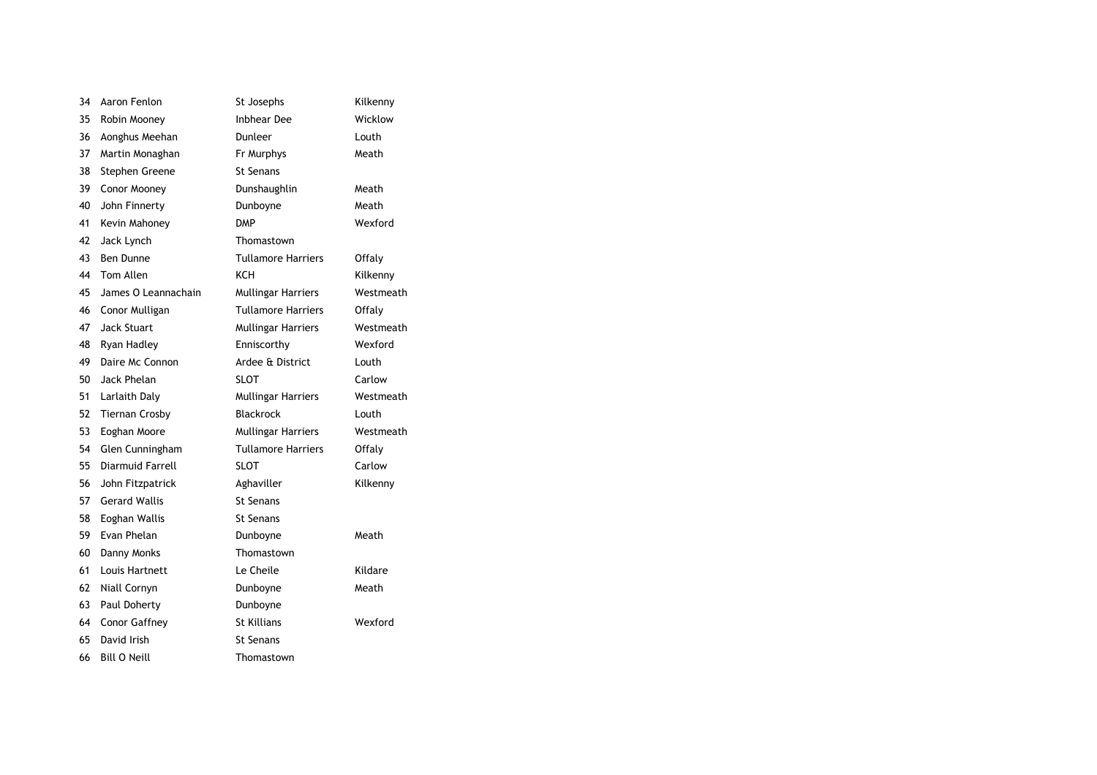| 34 | Aaron Fenlon            | St Josephs                | Kilkenny  |
|----|-------------------------|---------------------------|-----------|
| 35 | Robin Mooney            | <b>Inbhear Dee</b>        | Wicklow   |
| 36 | Aonghus Meehan          | Dunleer                   | Louth     |
| 37 | Martin Monaghan         | Fr Murphys                | Meath     |
| 38 | Stephen Greene          | St Senans                 |           |
| 39 | Conor Mooney            | Dunshaughlin              | Meath     |
| 40 | John Finnerty           | Dunboyne                  | Meath     |
| 41 | Kevin Mahoney           | <b>DMP</b>                | Wexford   |
| 42 | Jack Lynch              | Thomastown                |           |
| 43 | <b>Ben Dunne</b>        | <b>Tullamore Harriers</b> | Offaly    |
| 44 | Tom Allen               | KCH                       | Kilkenny  |
| 45 | James O Leannachain     | Mullingar Harriers        | Westmeath |
| 46 | Conor Mulligan          | <b>Tullamore Harriers</b> | Offaly    |
| 47 | <b>Jack Stuart</b>      | <b>Mullingar Harriers</b> | Westmeath |
| 48 | Ryan Hadley             | Enniscorthy               | Wexford   |
| 49 | Daire Mc Connon         | Ardee & District          | Louth     |
| 50 | Jack Phelan             | <b>SLOT</b>               | Carlow    |
| 51 | Larlaith Daly           | Mullingar Harriers        | Westmeath |
| 52 | <b>Tiernan Crosby</b>   | <b>Blackrock</b>          | Louth     |
| 53 | Eoghan Moore            | <b>Mullingar Harriers</b> | Westmeath |
| 54 | Glen Cunningham         | <b>Tullamore Harriers</b> | Offaly    |
| 55 | <b>Diarmuid Farrell</b> | <b>SLOT</b>               | Carlow    |
| 56 | John Fitzpatrick        | Aghaviller                | Kilkenny  |
| 57 | <b>Gerard Wallis</b>    | <b>St Senans</b>          |           |
| 58 | Eoghan Wallis           | St Senans                 |           |
| 59 | Evan Phelan             | Dunboyne                  | Meath     |
| 60 | Danny Monks             | Thomastown                |           |
| 61 | Louis Hartnett          | Le Cheile                 | Kildare   |
| 62 | Niall Cornyn            | Dunboyne                  | Meath     |
| 63 | Paul Doherty            | Dunboyne                  |           |
| 64 | Conor Gaffney           | <b>St Killians</b>        | Wexford   |
| 65 | David Irish             | <b>St Senans</b>          |           |
| 66 | <b>Bill O Neill</b>     | Thomastown                |           |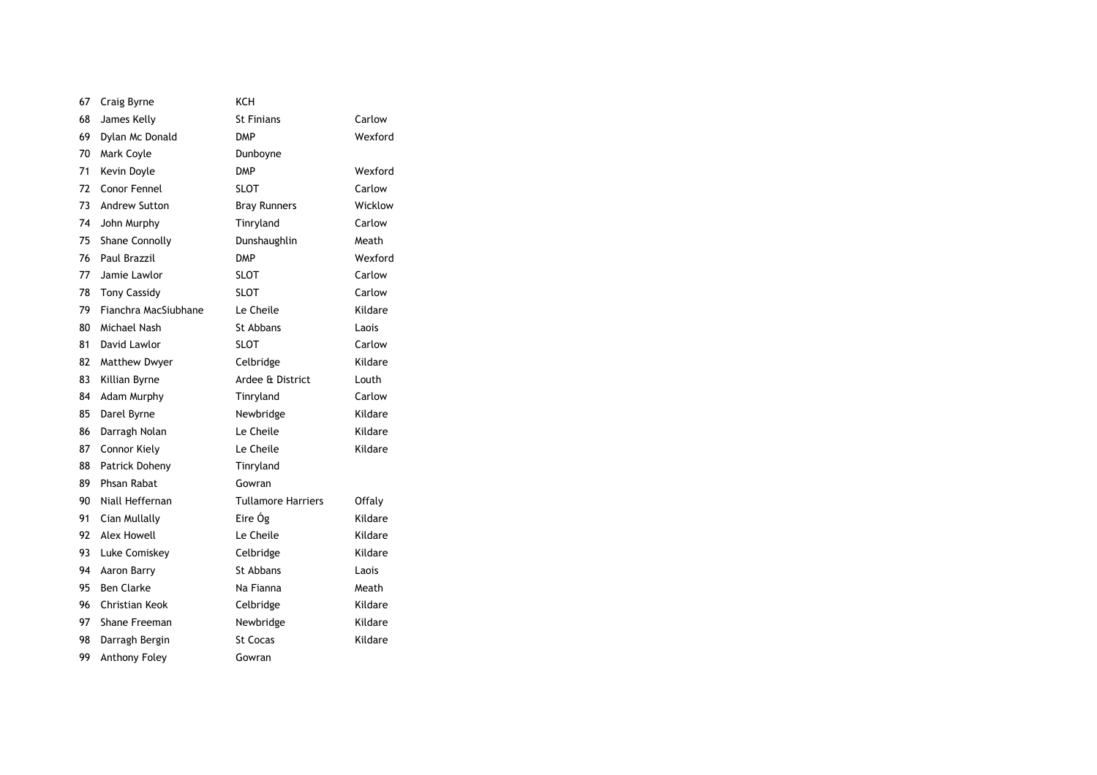| 67 | Craig Byrne          | KCH                 |         |
|----|----------------------|---------------------|---------|
| 68 | James Kelly          | <b>St Finians</b>   | Carlow  |
| 69 | Dylan Mc Donald      | <b>DMP</b>          | Wexford |
| 70 | Mark Coyle           | Dunboyne            |         |
| 71 | Kevin Doyle          | <b>DMP</b>          | Wexford |
| 72 | Conor Fennel         | SLOT                | Carlow  |
| 73 | Andrew Sutton        | <b>Bray Runners</b> | Wicklow |
| 74 | John Murphy          | Tinryland           | Carlow  |
| 75 | Shane Connolly       | Dunshaughlin        | Meath   |
| 76 | Paul Brazzil         | <b>DMP</b>          | Wexford |
| 77 | Jamie Lawlor         | <b>SLOT</b>         | Carlow  |
| 78 | <b>Tony Cassidy</b>  | <b>SLOT</b>         | Carlow  |
| 79 | Fianchra MacSiubhane | Le Cheile           | Kildare |
| 80 | Michael Nash         | St Abbans           | Laois   |
| 81 | David Lawlor         | <b>SLOT</b>         | Carlow  |
| 82 | <b>Matthew Dwyer</b> | Celbridge           | Kildare |
| 83 | Killian Byrne        | Ardee & District    | Louth   |
| 84 | Adam Murphy          | Tinryland           | Carlow  |
| 85 | Darel Byrne          | Newbridge           | Kildare |
| 86 | Darragh Nolan        | Le Cheile           | Kildare |
| 87 | Connor Kiely         | Le Cheile           | Kildare |
| 88 | Patrick Doheny       | Tinryland           |         |
| 89 | Phsan Rabat          | Gowran              |         |
| 90 | Niall Heffernan      | Tullamore Harriers  | Offaly  |
| 91 | Cian Mullally        | Eire Óg             | Kildare |
| 92 | Alex Howell          | Le Cheile           | Kildare |
| 93 | Luke Comiskey        | Celbridge           | Kildare |
| 94 | Aaron Barry          | St Abbans           | Laois   |
| 95 | <b>Ben Clarke</b>    | Na Fianna           | Meath   |
| 96 | Christian Keok       | Celbridge           | Kildare |
| 97 | Shane Freeman        | Newbridge           | Kildare |
| 98 | Darragh Bergin       | <b>St Cocas</b>     | Kildare |
| 99 | Anthony Foley        | Gowran              |         |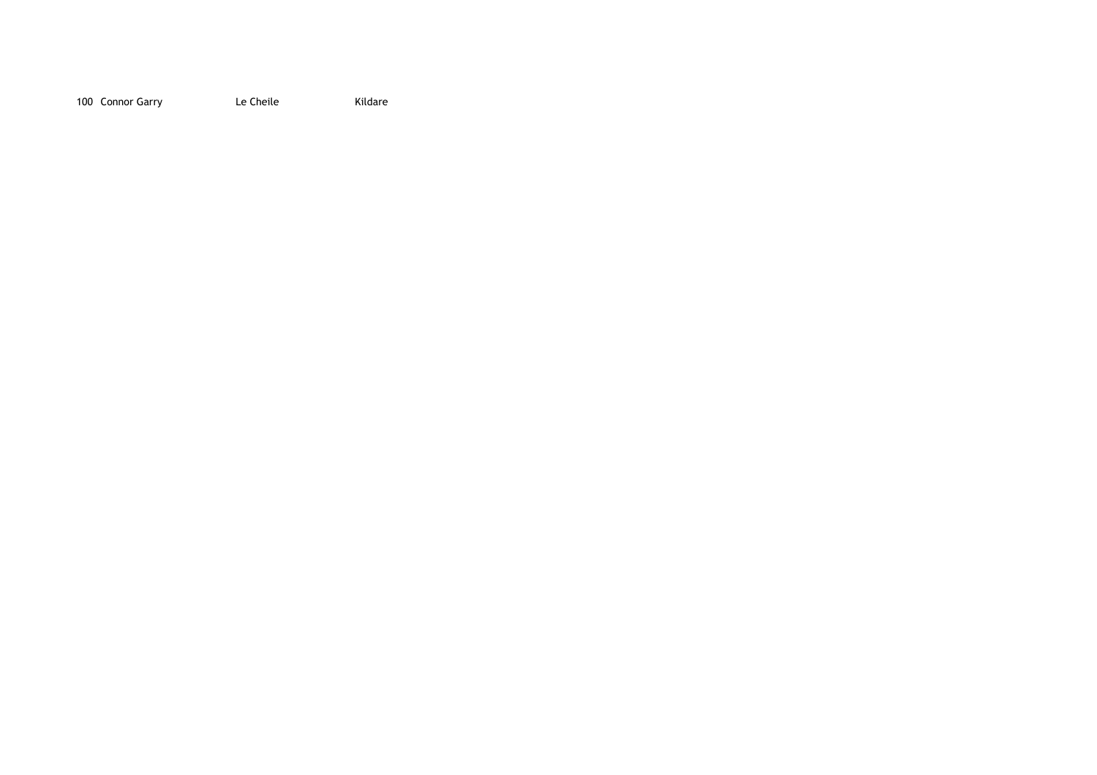100 Connor Garry **Le Cheile** Kildare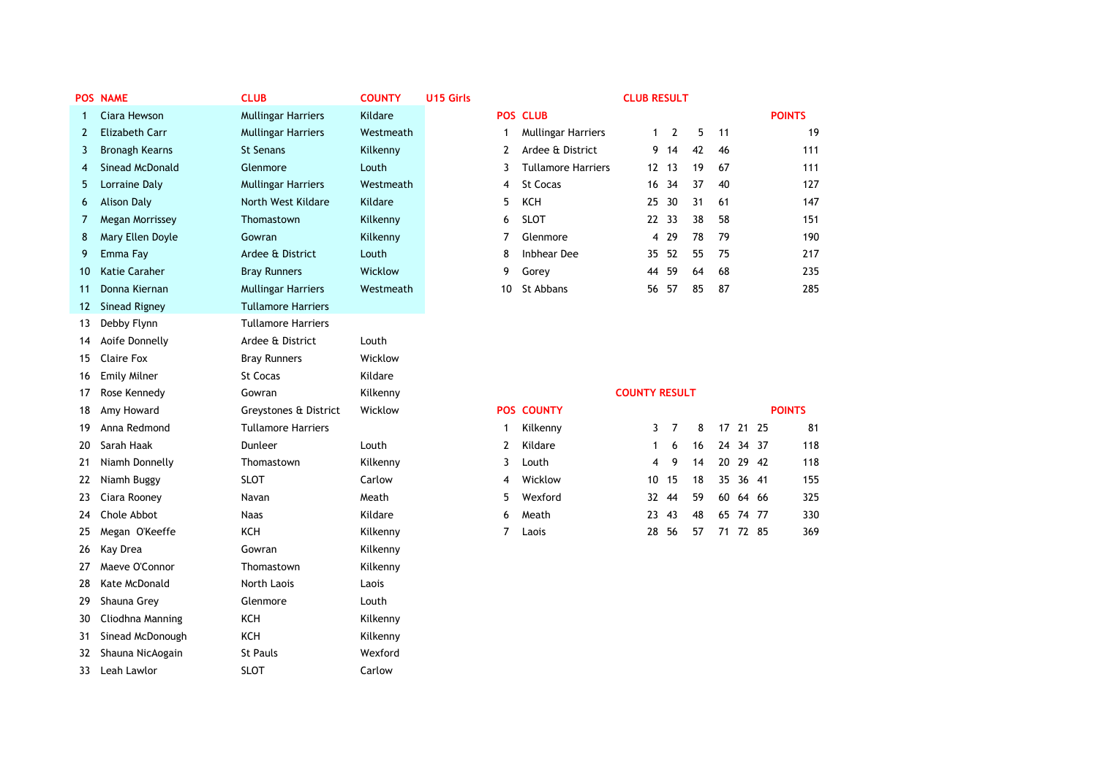|                | <b>POS NAME</b>        | <b>CLUB</b>               | <b>COUNTY</b> | U15 Girls |                |                           | <b>CLUB RESULT</b>   |              |                |    |                 |          |     |               |
|----------------|------------------------|---------------------------|---------------|-----------|----------------|---------------------------|----------------------|--------------|----------------|----|-----------------|----------|-----|---------------|
| $\mathbf{1}$   | Ciara Hewson           | <b>Mullingar Harriers</b> | Kildare       |           |                | <b>POS CLUB</b>           |                      |              |                |    |                 |          |     | <b>POINTS</b> |
| $\overline{2}$ | <b>Elizabeth Carr</b>  | <b>Mullingar Harriers</b> | Westmeath     |           | $\mathbf{1}$   | <b>Mullingar Harriers</b> |                      | $\mathbf{1}$ | $\overline{2}$ | 5  | 11              |          |     | 19            |
| 3              | <b>Bronagh Kearns</b>  | <b>St Senans</b>          | Kilkenny      |           | 2              | Ardee & District          |                      | 9<br>14      |                | 42 | 46              |          |     | 111           |
| $\overline{4}$ | <b>Sinead McDonald</b> | Glenmore                  | Louth         |           | 3              | <b>Tullamore Harriers</b> |                      | 12 13        |                | 19 | 67              |          |     | 111           |
| 5              | Lorraine Daly          | <b>Mullingar Harriers</b> | Westmeath     |           | 4              | St Cocas                  |                      | 16 34        |                | 37 | 40              |          |     | 127           |
| 6              | <b>Alison Daly</b>     | North West Kildare        | Kildare       |           | 5              | KCH                       |                      | 25 30        |                | 31 | 61              |          |     | 147           |
| 7              | <b>Megan Morrissey</b> | Thomastown                | Kilkenny      |           | 6              | <b>SLOT</b>               |                      | 22 33        |                | 38 | 58              |          |     | 151           |
| 8              | Mary Ellen Doyle       | Gowran                    | Kilkenny      |           | 7              | Glenmore                  |                      | 29<br>4      |                | 78 | 79              |          |     | 190           |
| 9              | Emma Fay               | Ardee & District          | Louth         |           | 8              | <b>Inbhear Dee</b>        | 35                   | 52           |                | 55 | 75              |          |     | 217           |
| 10             | <b>Katie Caraher</b>   | <b>Bray Runners</b>       | Wicklow       |           | 9              | Gorey                     |                      | 44 59        |                | 64 | 68              |          |     | 235           |
| 11             | Donna Kiernan          | <b>Mullingar Harriers</b> | Westmeath     |           | 10             | St Abbans                 |                      | 56 57        |                | 85 | 87              |          |     | 285           |
| 12             | <b>Sinead Rigney</b>   | <b>Tullamore Harriers</b> |               |           |                |                           |                      |              |                |    |                 |          |     |               |
| 13             | Debby Flynn            | <b>Tullamore Harriers</b> |               |           |                |                           |                      |              |                |    |                 |          |     |               |
| 14             | Aoife Donnelly         | Ardee & District          | Louth         |           |                |                           |                      |              |                |    |                 |          |     |               |
| 15             | <b>Claire Fox</b>      | <b>Bray Runners</b>       | Wicklow       |           |                |                           |                      |              |                |    |                 |          |     |               |
| 16             | <b>Emily Milner</b>    | St Cocas                  | Kildare       |           |                |                           |                      |              |                |    |                 |          |     |               |
| 17             | Rose Kennedy           | Gowran                    | Kilkenny      |           |                |                           | <b>COUNTY RESULT</b> |              |                |    |                 |          |     |               |
| 18             | Amy Howard             | Greystones & District     | Wicklow       |           |                | <b>POS COUNTY</b>         |                      |              |                |    |                 |          |     | <b>POINTS</b> |
| 19             | Anna Redmond           | <b>Tullamore Harriers</b> |               |           | $\mathbf{1}$   | Kilkenny                  |                      | 3            | 7              | 8  | 17              | 21 25    |     | 81            |
| 20             | Sarah Haak             | Dunleer                   | Louth         |           | 2              | Kildare                   |                      | $\mathbf{1}$ | 6              | 16 |                 | 24 34 37 |     | 118           |
| 21             | Niamh Donnelly         | Thomastown                | Kilkenny      |           | 3              | Louth                     |                      | 4            | 9              | 14 |                 | 20 29 42 |     | 118           |
| 22             | Niamh Buggy            | <b>SLOT</b>               | Carlow        |           | 4              | Wicklow                   | 10                   | 15           |                | 18 | 35 <sub>5</sub> | 36       | -41 | 155           |
| 23             | Ciara Rooney           | Navan                     | Meath         |           | 5              | Wexford                   |                      | 32 44        |                | 59 | 60              | 64 66    |     | 325           |
| 24             | Chole Abbot            | <b>Naas</b>               | Kildare       |           | 6              | Meath                     |                      | 23 43        |                | 48 |                 | 65 74 77 |     | 330           |
| 25             | Megan O'Keeffe         | KCH                       | Kilkenny      |           | $\overline{7}$ | Laois                     |                      | 28 56        |                | 57 |                 | 71 72 85 |     | 369           |
| 26             | Kay Drea               | Gowran                    | Kilkenny      |           |                |                           |                      |              |                |    |                 |          |     |               |
| 27             | Maeve O'Connor         | Thomastown                | Kilkenny      |           |                |                           |                      |              |                |    |                 |          |     |               |
| 28             | Kate McDonald          | North Laois               | Laois         |           |                |                           |                      |              |                |    |                 |          |     |               |
| 29             | Shauna Grey            | Glenmore                  | Louth         |           |                |                           |                      |              |                |    |                 |          |     |               |
| 30             | Cliodhna Manning       | KCH                       | Kilkenny      |           |                |                           |                      |              |                |    |                 |          |     |               |
| 31             | Sinead McDonough       | KCH                       | Kilkenny      |           |                |                           |                      |              |                |    |                 |          |     |               |
| 32             | Shauna NicAogain       | <b>St Pauls</b>           | Wexford       |           |                |                           |                      |              |                |    |                 |          |     |               |
| 33             | Leah Lawlor            | <b>SLOT</b>               | Carlow        |           |                |                           |                      |              |                |    |                 |          |     |               |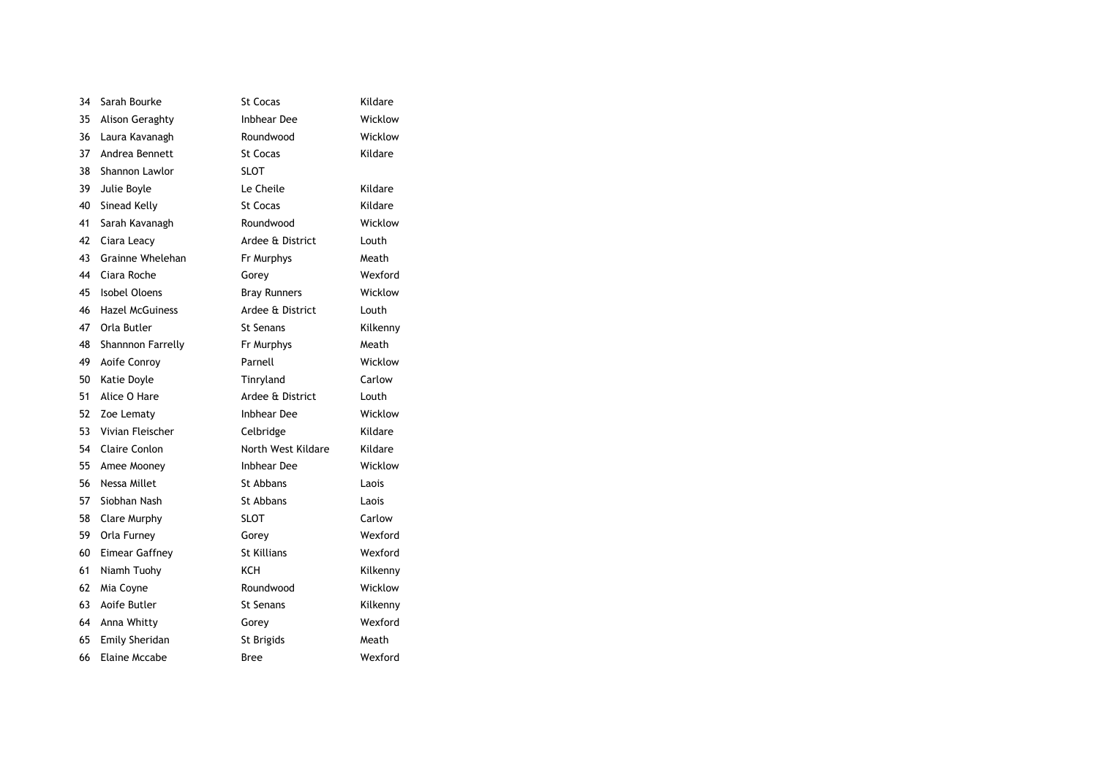| 34 | Sarah Bourke            | <b>St Cocas</b>     | Kildare  |
|----|-------------------------|---------------------|----------|
| 35 | Alison Geraghty         | <b>Inbhear Dee</b>  | Wicklow  |
| 36 | Laura Kavanagh          | Roundwood           | Wicklow  |
| 37 | Andrea Bennett          | <b>St Cocas</b>     | Kildare  |
| 38 | Shannon Lawlor          | <b>SLOT</b>         |          |
| 39 | Julie Boyle             | Le Cheile           | Kildare  |
| 40 | Sinead Kelly            | St Cocas            | Kildare  |
| 41 | Sarah Kavanagh          | Roundwood           | Wicklow  |
| 47 | Ciara Leacy             | Ardee & District    | Louth    |
| 43 | <b>Grainne Whelehan</b> | Fr Murphys          | Meath    |
| 44 | Ciara Roche             | Gorey               | Wexford  |
| 45 | <b>Isobel Oloens</b>    | <b>Bray Runners</b> | Wicklow  |
| 46 | <b>Hazel McGuiness</b>  | Ardee & District    | Louth    |
| 47 | Orla Butler             | St Senans           | Kilkenny |
| 48 | Shannnon Farrelly       | Fr Murphys          | Meath    |
| 49 | Aoife Conroy            | Parnell             | Wicklow  |
| 50 | Katie Doyle             | Tinryland           | Carlow   |
| 51 | Alice O Hare            | Ardee & District    | Louth    |
| 52 | Zoe Lematy              | <b>Inbhear Dee</b>  | Wicklow  |
| 53 | Vivian Fleischer        | Celbridge           | Kildare  |
| 54 | Claire Conlon           | North West Kildare  | Kildare  |
| 55 | Amee Mooney             | Inbhear Dee         | Wicklow  |
| 56 | Nessa Millet            | St Abbans           | Laois    |
| 57 | Siobhan Nash            | St Abbans           | Laois    |
| 58 | Clare Murphy            | <b>SLOT</b>         | Carlow   |
| 59 | Orla Furney             | Gorey               | Wexford  |
| 60 | Eimear Gaffney          | <b>St Killians</b>  | Wexford  |
| 61 | Niamh Tuohy             | KCH                 | Kilkenny |
| 62 | Mia Coyne               | Roundwood           | Wicklow  |
| 63 | Aoife Butler            | <b>St Senans</b>    | Kilkenny |
| 64 | Anna Whitty             | Gorey               | Wexford  |
| 65 | <b>Emily Sheridan</b>   | St Brigids          | Meath    |
| 66 | <b>Elaine Mccabe</b>    | <b>Bree</b>         | Wexford  |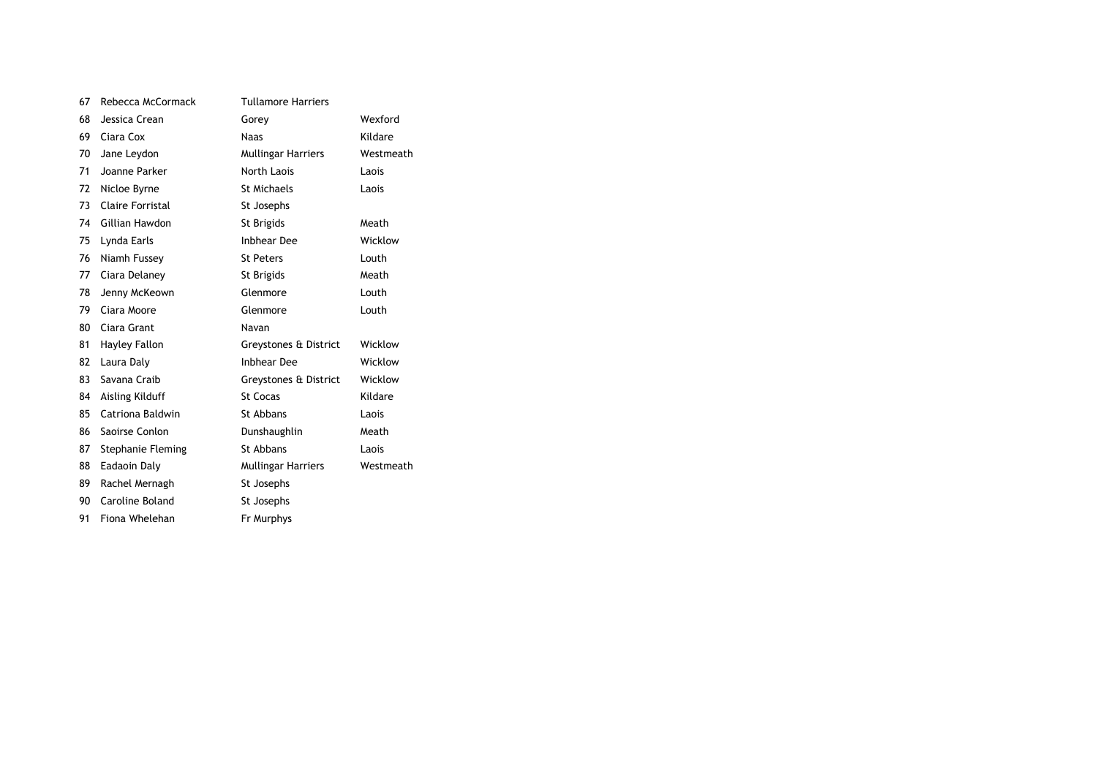| 67 | Rebecca McCormack | Tullamore Harriers    |           |
|----|-------------------|-----------------------|-----------|
| 68 | Jessica Crean     | Gorey                 | Wexford   |
| 69 | Ciara Cox         | <b>Naas</b>           | Kildare   |
| 70 | Jane Leydon       | Mullingar Harriers    | Westmeath |
| 71 | Joanne Parker     | North Laois           | Laois     |
| 72 | Nicloe Byrne      | <b>St Michaels</b>    | Laois     |
| 73 | Claire Forristal  | St Josephs            |           |
| 74 | Gillian Hawdon    | St Brigids            | Meath     |
| 75 | Lynda Earls       | Inbhear Dee           | Wicklow   |
| 76 | Niamh Fussey      | <b>St Peters</b>      | Louth     |
| 77 | Ciara Delaney     | St Brigids            | Meath     |
| 78 | Jenny McKeown     | Glenmore              | Louth     |
| 79 | Ciara Moore       | Glenmore              | Louth     |
| 80 | Ciara Grant       | Navan                 |           |
| 81 | Hayley Fallon     | Greystones & District | Wicklow   |
| 82 | Laura Daly        | <b>Inbhear Dee</b>    | Wicklow   |
| 83 | Savana Craib      | Greystones & District | Wicklow   |
| 84 | Aisling Kilduff   | <b>St Cocas</b>       | Kildare   |
| 85 | Catriona Baldwin  | St Abbans             | Laois     |
| 86 | Saoirse Conlon    | Dunshaughlin          | Meath     |
| 87 | Stephanie Fleming | St Abbans             | Laois     |
| 88 | Eadaoin Daly      | Mullingar Harriers    | Westmeath |
| 89 | Rachel Mernagh    | St Josephs            |           |
| 90 | Caroline Boland   | St Josephs            |           |
| 91 | Fiona Whelehan    | Fr Murphys            |           |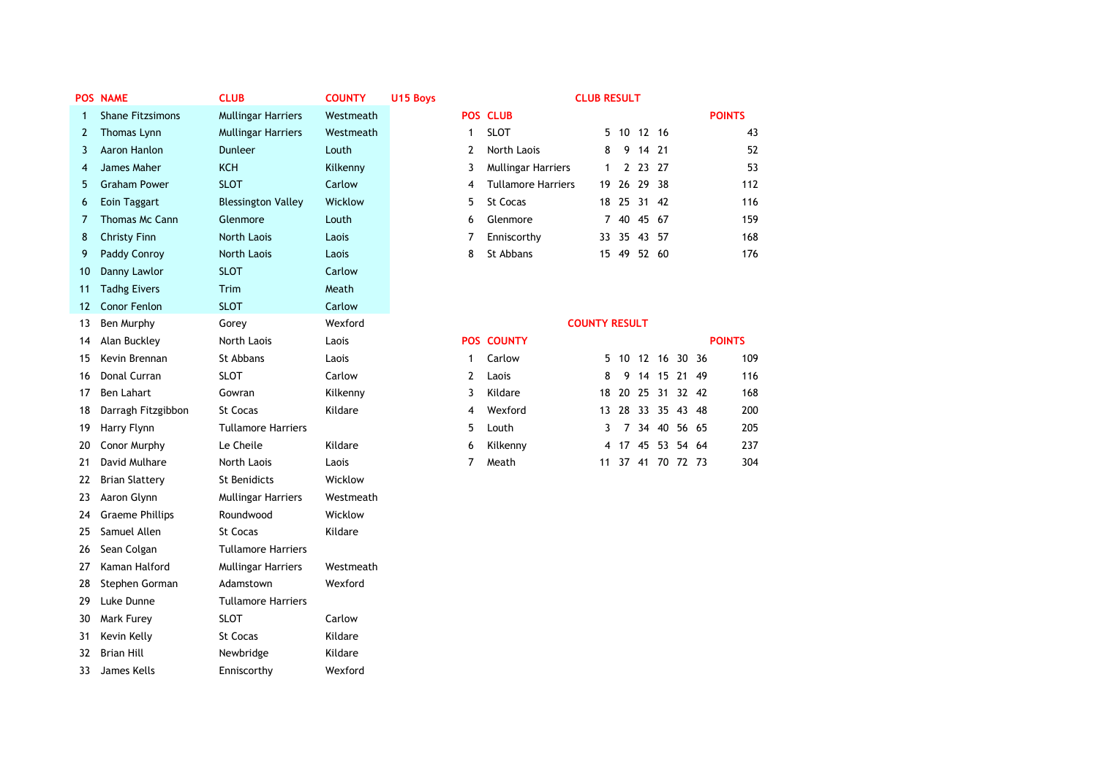|    | <b>POS NAME</b>         | <b>CLUB</b>               | <b>COUNTY</b> | U15 Boys |   |                           | <b>CLUB RESULT</b>   |              |      |            |                   |       |               |
|----|-------------------------|---------------------------|---------------|----------|---|---------------------------|----------------------|--------------|------|------------|-------------------|-------|---------------|
| 1  | <b>Shane Fitzsimons</b> | <b>Mullingar Harriers</b> | Westmeath     |          |   | <b>POS CLUB</b>           |                      |              |      |            |                   |       | <b>POINTS</b> |
| 2  | Thomas Lynn             | <b>Mullingar Harriers</b> | Westmeath     |          | 1 | <b>SLOT</b>               |                      | 5 10 12 16   |      |            |                   |       | 43            |
| 3  | Aaron Hanlon            | <b>Dunleer</b>            | Louth         |          | 2 | North Laois               | 8                    | 9            |      | 14 21      |                   |       | 52            |
| 4  | James Maher             | <b>KCH</b>                | Kilkenny      |          | 3 | <b>Mullingar Harriers</b> | 1                    | $\mathbf{2}$ | 23   | 27         |                   |       | 53            |
| 5  | <b>Graham Power</b>     | <b>SLOT</b>               | Carlow        |          | 4 | <b>Tullamore Harriers</b> |                      | 19 26        | - 29 | -38        |                   |       | 112           |
| 6  | Eoin Taggart            | <b>Blessington Valley</b> | Wicklow       |          | 5 | St Cocas                  |                      | 18 25        |      | 31 42      |                   |       | 116           |
| 7  | Thomas Mc Cann          | Glenmore                  | Louth         |          | 6 | Glenmore                  |                      | 7 40         |      | 45 67      |                   |       | 159           |
| 8  | <b>Christy Finn</b>     | <b>North Laois</b>        | Laois         |          | 7 | Enniscorthy               | 33                   | 35           |      | 43 57      |                   |       | 168           |
| 9  | Paddy Conroy            | <b>North Laois</b>        | Laois         |          | 8 | St Abbans                 |                      | 15 49        |      | 52 60      |                   |       | 176           |
| 10 | Danny Lawlor            | <b>SLOT</b>               | Carlow        |          |   |                           |                      |              |      |            |                   |       |               |
| 11 | <b>Tadhg Eivers</b>     | Trim                      | Meath         |          |   |                           |                      |              |      |            |                   |       |               |
| 12 | <b>Conor Fenlon</b>     | <b>SLOT</b>               | Carlow        |          |   |                           |                      |              |      |            |                   |       |               |
| 13 | Ben Murphy              | Gorey                     | Wexford       |          |   |                           | <b>COUNTY RESULT</b> |              |      |            |                   |       |               |
| 14 | Alan Buckley            | North Laois               | Laois         |          |   | <b>POS COUNTY</b>         |                      |              |      |            |                   |       | <b>POINTS</b> |
| 15 | Kevin Brennan           | St Abbans                 | Laois         |          | 1 | Carlow                    |                      |              |      | 5 10 12 16 | 30 36             |       | 109           |
| 16 | Donal Curran            | <b>SLOT</b>               | Carlow        |          | 2 | Laois                     | 8                    | 9            |      | 14 15      | 21 49             |       | 116           |
| 17 | <b>Ben Lahart</b>       | Gowran                    | Kilkenny      |          | 3 | Kildare                   | 18                   | 20           | 25   | 31         | 32 42             |       | 168           |
| 18 | Darragh Fitzgibbon      | <b>St Cocas</b>           | Kildare       |          | 4 | Wexford                   | 13                   | 28           | 33   | 35         | 43 48             |       | 200           |
| 19 | Harry Flynn             | <b>Tullamore Harriers</b> |               |          | 5 | Louth                     | 3                    | 7            | 34   | 40         |                   | 56 65 | 205           |
| 20 | Conor Murphy            | Le Cheile                 | Kildare       |          | 6 | Kilkenny                  | 4                    |              |      | 17 45 53   | 54 64             |       | 237           |
| 21 | David Mulhare           | North Laois               | Laois         |          | 7 | Meath                     |                      |              |      |            | 11 37 41 70 72 73 |       | 304           |
| 22 | <b>Brian Slattery</b>   | <b>St Benidicts</b>       | Wicklow       |          |   |                           |                      |              |      |            |                   |       |               |
| 23 | Aaron Glynn             | <b>Mullingar Harriers</b> | Westmeath     |          |   |                           |                      |              |      |            |                   |       |               |
| 24 | <b>Graeme Phillips</b>  | Roundwood                 | Wicklow       |          |   |                           |                      |              |      |            |                   |       |               |
| 25 | Samuel Allen            | <b>St Cocas</b>           | Kildare       |          |   |                           |                      |              |      |            |                   |       |               |
| 26 | Sean Colgan             | <b>Tullamore Harriers</b> |               |          |   |                           |                      |              |      |            |                   |       |               |
| 27 | Kaman Halford           | <b>Mullingar Harriers</b> | Westmeath     |          |   |                           |                      |              |      |            |                   |       |               |
| 28 | Stephen Gorman          | Adamstown                 | Wexford       |          |   |                           |                      |              |      |            |                   |       |               |
| 29 | Luke Dunne              | <b>Tullamore Harriers</b> |               |          |   |                           |                      |              |      |            |                   |       |               |
| 30 | Mark Furey              | <b>SLOT</b>               | Carlow        |          |   |                           |                      |              |      |            |                   |       |               |
| 31 | Kevin Kelly             | <b>St Cocas</b>           | Kildare       |          |   |                           |                      |              |      |            |                   |       |               |
| 32 | <b>Brian Hill</b>       | Newbridge                 | Kildare       |          |   |                           |                      |              |      |            |                   |       |               |
| 33 | James Kells             | Enniscorthy               | Wexford       |          |   |                           |                      |              |      |            |                   |       |               |

## **POST EXTENDS AND CLUB RESULT**

| Westmeath |   | <b>POS CLUB</b>           |              |             |         | <b>POINTS</b> |
|-----------|---|---------------------------|--------------|-------------|---------|---------------|
| Westmeath | 1 | <b>SLOT</b>               |              | 5 10 12 16  |         | 43            |
| Louth     | 2 | North Laois               | 8            |             | 9 14 21 | 52            |
| Kilkenny  | 3 | <b>Mullingar Harriers</b> | $\mathbf{1}$ |             | 2 23 27 | 53            |
| Carlow    |   | 4 Tullamore Harriers      |              | 19 26 29 38 |         | 112           |
| Wicklow   | 5 | St Cocas                  |              | 18 25 31 42 |         | 116           |
| Louth     | 6 | Glenmore                  |              | 7 40 45 67  |         | 159           |
| Laois     | 7 | Enniscorthy               |              | 33 35 43 57 |         | 168           |
| Laois     | 8 | St Abbans                 | 15           | -49         | 52 60   | 176           |

## **COUNTY RESULT**

| <b>S COUNTY</b> |                   |  |  | <b>POINTS</b> |
|-----------------|-------------------|--|--|---------------|
| Carlow          | 5 10 12 16 30 36  |  |  | 109           |
| Laois           | 8 9 14 15 21 49   |  |  | 116           |
| Kildare         | 18 20 25 31 32 42 |  |  | 168           |
| Wexford         | 13 28 33 35 43 48 |  |  | 200           |
| Louth           | 3 7 34 40 56 65   |  |  | 205           |
| Kilkenny        | 4 17 45 53 54 64  |  |  | 237           |
| Meath           | 11 37 41 70 72 73 |  |  | 304           |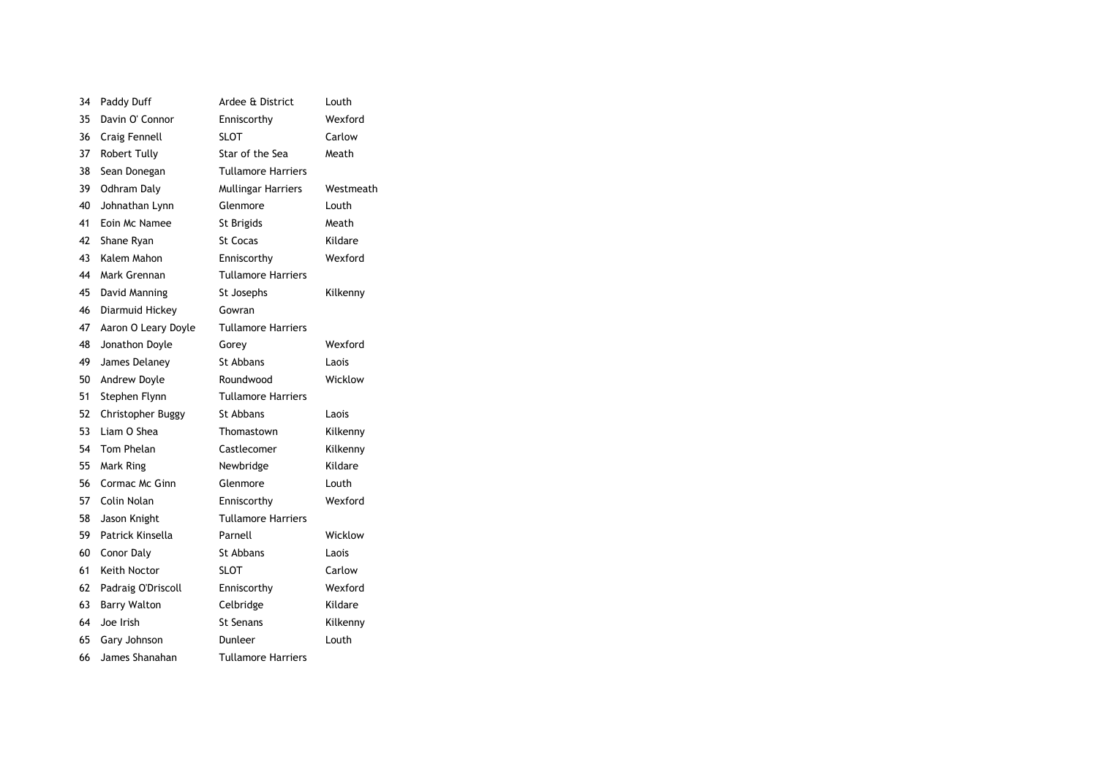| 34 | Paddy Duff          | Ardee & District          | Louth     |
|----|---------------------|---------------------------|-----------|
| 35 | Davin O' Connor     | Enniscorthy               | Wexford   |
| 36 | Craig Fennell       | <b>SLOT</b>               | Carlow    |
| 37 | Robert Tully        | Star of the Sea           | Meath     |
| 38 | Sean Donegan        | <b>Tullamore Harriers</b> |           |
| 39 | Odhram Daly         | <b>Mullingar Harriers</b> | Westmeath |
| 40 | Johnathan Lynn      | Glenmore                  | Louth     |
| 41 | Eoin Mc Namee       | St Brigids                | Meath     |
| 42 | Shane Ryan          | <b>St Cocas</b>           | Kildare   |
| 43 | Kalem Mahon         | Enniscorthy               | Wexford   |
| 44 | Mark Grennan        | <b>Tullamore Harriers</b> |           |
| 45 | David Manning       | St Josephs                | Kilkenny  |
| 46 | Diarmuid Hickey     | Gowran                    |           |
| 47 | Aaron O Leary Doyle | <b>Tullamore Harriers</b> |           |
| 48 | Jonathon Doyle      | Gorey                     | Wexford   |
| 49 | James Delaney       | St Abbans                 | Laois     |
| 50 | Andrew Doyle        | Roundwood                 | Wicklow   |
| 51 | Stephen Flynn       | <b>Tullamore Harriers</b> |           |
| 52 | Christopher Buggy   | St Abbans                 | Laois     |
| 53 | Liam O Shea         | Thomastown                | Kilkenny  |
| 54 | Tom Phelan          | Castlecomer               | Kilkenny  |
| 55 | Mark Ring           | Newbridge                 | Kildare   |
| 56 | Cormac Mc Ginn      | Glenmore                  | Louth     |
| 57 | Colin Nolan         | Enniscorthy               | Wexford   |
| 58 | Jason Knight        | <b>Tullamore Harriers</b> |           |
| 59 | Patrick Kinsella    | Parnell                   | Wicklow   |
| 60 | Conor Daly          | <b>St Abbans</b>          | Laois     |
| 61 | Keith Noctor        | SLOT                      | Carlow    |
| 62 | Padraig O'Driscoll  | Enniscorthy               | Wexford   |
| 63 | <b>Barry Walton</b> | Celbridge                 | Kildare   |
| 64 | Joe Irish           | <b>St Senans</b>          | Kilkenny  |
| 65 | Gary Johnson        | Dunleer                   | Louth     |
| 66 | James Shanahan      | <b>Tullamore Harriers</b> |           |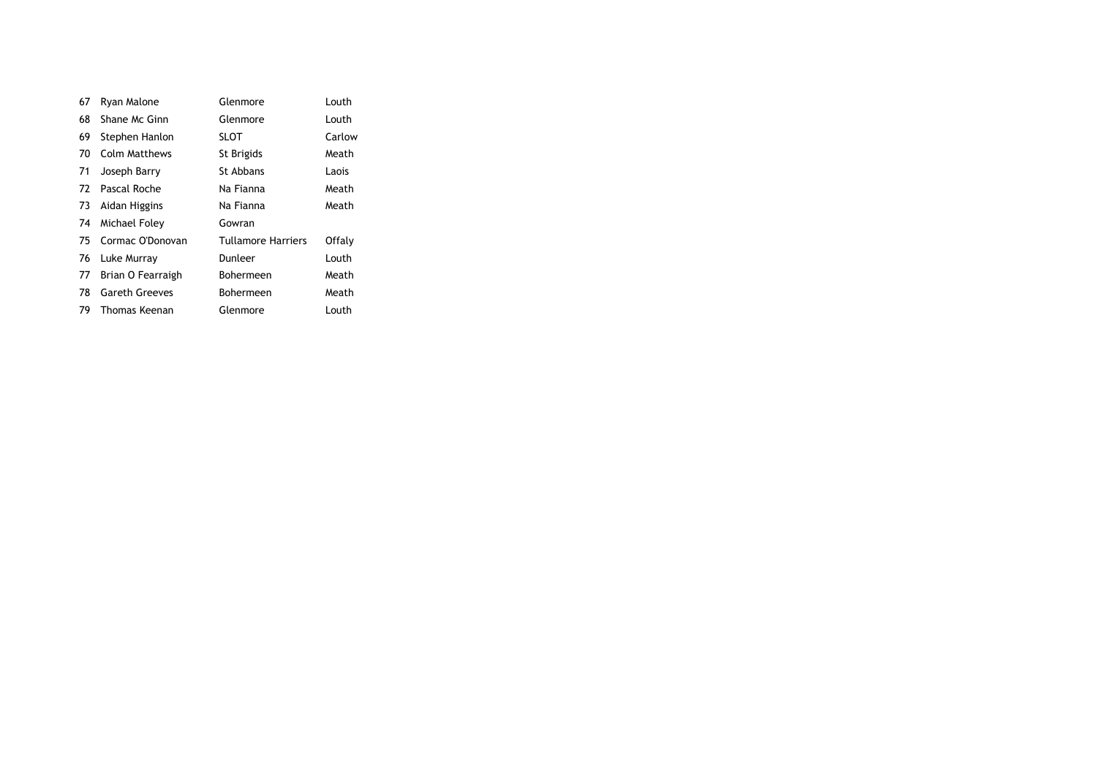| 67 | Ryan Malone          | Glenmore                  | Louth  |
|----|----------------------|---------------------------|--------|
| 68 | Shane Mc Ginn        | Glenmore                  | Louth  |
| 69 | Stephen Hanlon       | <b>SLOT</b>               | Carlow |
| 70 | <b>Colm Matthews</b> | St Brigids                | Meath  |
| 71 | Joseph Barry         | St Abbans                 | Laois  |
| 72 | Pascal Roche         | Na Fianna                 | Meath  |
| 73 | Aidan Higgins        | Na Fianna                 | Meath  |
| 74 | Michael Foley        | Gowran                    |        |
| 75 | Cormac O'Donovan     | <b>Tullamore Harriers</b> | Offaly |
| 76 | Luke Murray          | Dunleer                   | Louth  |
| 77 | Brian O Fearraigh    | <b>Bohermeen</b>          | Meath  |
| 78 | Gareth Greeves       | <b>Bohermeen</b>          | Meath  |
| 79 | Thomas Keenan        | Glenmore                  | Louth  |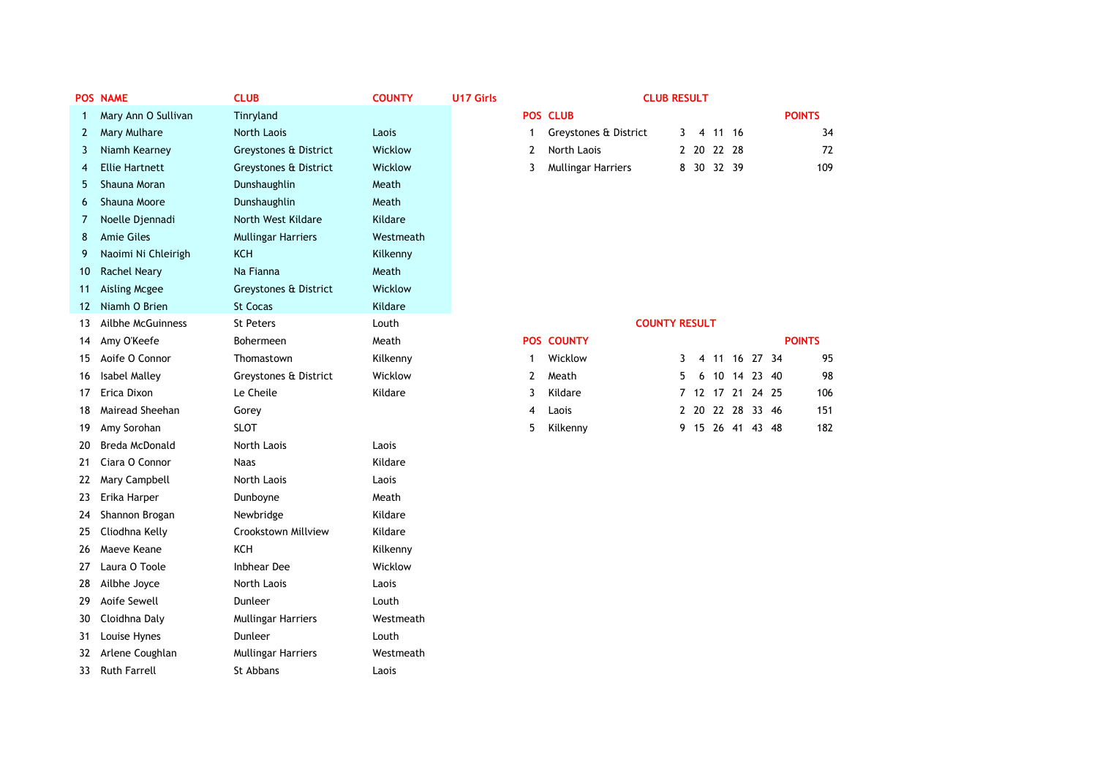|    | <b>POS NAME</b>       | <b>CLUB</b>               | <b>COUNTY</b> | U17 Girls      | <b>CLUB RESULT</b>        |    |   |            |                  |    |               |     |
|----|-----------------------|---------------------------|---------------|----------------|---------------------------|----|---|------------|------------------|----|---------------|-----|
| -1 | Mary Ann O Sullivan   | Tinryland                 |               |                | <b>POS CLUB</b>           |    |   |            |                  |    | <b>POINTS</b> |     |
| 2  | Mary Mulhare          | <b>North Laois</b>        | Laois         | 1              | Greystones & District     | 3  |   | 4 11 16    |                  |    |               | 34  |
| 3  | Niamh Kearney         | Greystones & District     | Wicklow       | $\overline{2}$ | North Laois               |    |   | 2 20 22 28 |                  |    |               | 72  |
| 4  | <b>Ellie Hartnett</b> | Greystones & District     | Wicklow       | 3              | <b>Mullingar Harriers</b> |    |   | 8 30 32 39 |                  |    |               | 109 |
| 5  | Shauna Moran          | Dunshaughlin              | Meath         |                |                           |    |   |            |                  |    |               |     |
| 6  | Shauna Moore          | Dunshaughlin              | Meath         |                |                           |    |   |            |                  |    |               |     |
| 7  | Noelle Djennadi       | North West Kildare        | Kildare       |                |                           |    |   |            |                  |    |               |     |
| 8  | <b>Amie Giles</b>     | <b>Mullingar Harriers</b> | Westmeath     |                |                           |    |   |            |                  |    |               |     |
| 9  | Naoimi Ni Chleirigh   | <b>KCH</b>                | Kilkenny      |                |                           |    |   |            |                  |    |               |     |
| 10 | <b>Rachel Neary</b>   | Na Fianna                 | Meath         |                |                           |    |   |            |                  |    |               |     |
| 11 | <b>Aisling Mcgee</b>  | Greystones & District     | Wicklow       |                |                           |    |   |            |                  |    |               |     |
| 12 | Niamh O Brien         | <b>St Cocas</b>           | Kildare       |                |                           |    |   |            |                  |    |               |     |
| 13 | Ailbhe McGuinness     | <b>St Peters</b>          | Louth         |                | <b>COUNTY RESULT</b>      |    |   |            |                  |    |               |     |
| 14 | Amy O'Keefe           | Bohermeen                 | Meath         |                | <b>POS COUNTY</b>         |    |   |            |                  |    | <b>POINTS</b> |     |
| 15 | Aoife O Connor        | Thomastown                | Kilkenny      | 1              | Wicklow                   | 3  |   |            | 4 11 16 27 34    |    |               | 95  |
| 16 | <b>Isabel Malley</b>  | Greystones & District     | Wicklow       | $\overline{2}$ | Meath                     | 5. | 6 |            | 10 14 23         | 40 |               | 98  |
| 17 | Erica Dixon           | Le Cheile                 | Kildare       | 3              | Kildare                   |    |   |            | 7 12 17 21 24 25 |    | 106           |     |
| 18 | Mairead Sheehan       | Gorey                     |               | 4              | Laois                     |    |   |            | 2 20 22 28 33 46 |    | 151           |     |
| 19 | Amy Sorohan           | <b>SLOT</b>               |               | 5              | Kilkenny                  |    |   |            | 9 15 26 41 43 48 |    |               | 182 |
| 20 | Breda McDonald        | North Laois               | Laois         |                |                           |    |   |            |                  |    |               |     |
| 21 | Ciara O Connor        | <b>Naas</b>               | Kildare       |                |                           |    |   |            |                  |    |               |     |
| 22 | Mary Campbell         | North Laois               | Laois         |                |                           |    |   |            |                  |    |               |     |
| 23 | Erika Harper          | Dunboyne                  | Meath         |                |                           |    |   |            |                  |    |               |     |
| 24 | Shannon Brogan        | Newbridge                 | Kildare       |                |                           |    |   |            |                  |    |               |     |
| 25 | Cliodhna Kelly        | Crookstown Millview       | Kildare       |                |                           |    |   |            |                  |    |               |     |
| 26 | Maeve Keane           | <b>KCH</b>                | Kilkenny      |                |                           |    |   |            |                  |    |               |     |
| 27 | Laura O Toole         | <b>Inbhear Dee</b>        | Wicklow       |                |                           |    |   |            |                  |    |               |     |
| 28 | Ailbhe Joyce          | North Laois               | Laois         |                |                           |    |   |            |                  |    |               |     |
| 29 | Aoife Sewell          | Dunleer                   | Louth         |                |                           |    |   |            |                  |    |               |     |
| 30 | Cloidhna Daly         | <b>Mullingar Harriers</b> | Westmeath     |                |                           |    |   |            |                  |    |               |     |
| 31 | Louise Hynes          | Dunleer                   | Louth         |                |                           |    |   |            |                  |    |               |     |
| 32 | Arlene Coughlan       | Mullingar Harriers        | Westmeath     |                |                           |    |   |            |                  |    |               |     |
| 33 | <b>Ruth Farrell</b>   | St Abbans                 | Laois         |                |                           |    |   |            |                  |    |               |     |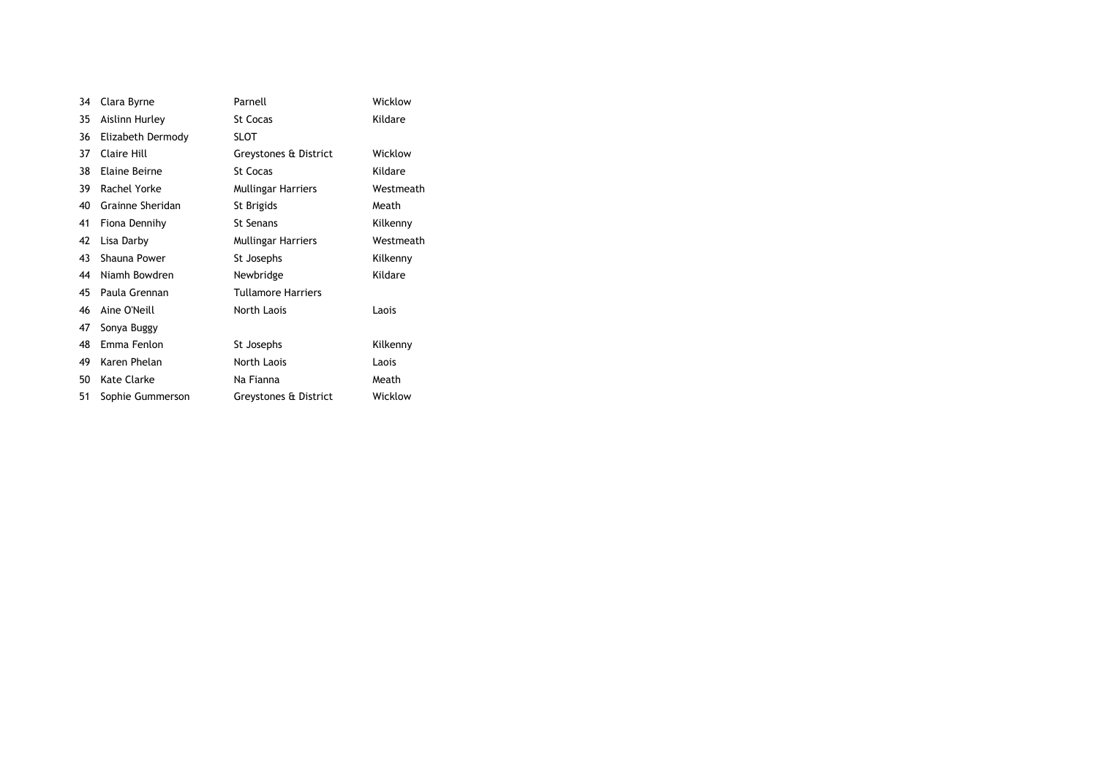| 34 | Clara Byrne       | Parnell                   | Wicklow   |
|----|-------------------|---------------------------|-----------|
| 35 | Aislinn Hurley    | St Cocas                  | Kildare   |
| 36 | Elizabeth Dermody | <b>SLOT</b>               |           |
| 37 | Claire Hill       | Greystones & District     | Wicklow   |
| 38 | Elaine Beirne     | <b>St Cocas</b>           | Kildare   |
| 39 | Rachel Yorke      | <b>Mullingar Harriers</b> | Westmeath |
| 40 | Grainne Sheridan  | St Brigids                | Meath     |
| 41 | Fiona Dennihy     | <b>St Senans</b>          | Kilkenny  |
| 42 | Lisa Darby        | <b>Mullingar Harriers</b> | Westmeath |
| 43 | Shauna Power      | St Josephs                | Kilkenny  |
| 44 | Niamh Bowdren     | Newbridge                 | Kildare   |
| 45 | Paula Grennan     | <b>Tullamore Harriers</b> |           |
| 46 | Aine O'Neill      | North Laois               | Laois     |
| 47 | Sonya Buggy       |                           |           |
| 48 | Emma Fenlon       | St Josephs                | Kilkenny  |
| 49 | Karen Phelan      | North Laois               | Laois     |
| 50 | Kate Clarke       | Na Fianna                 | Meath     |
| 51 | Sophie Gummerson  | Greystones & District     | Wicklow   |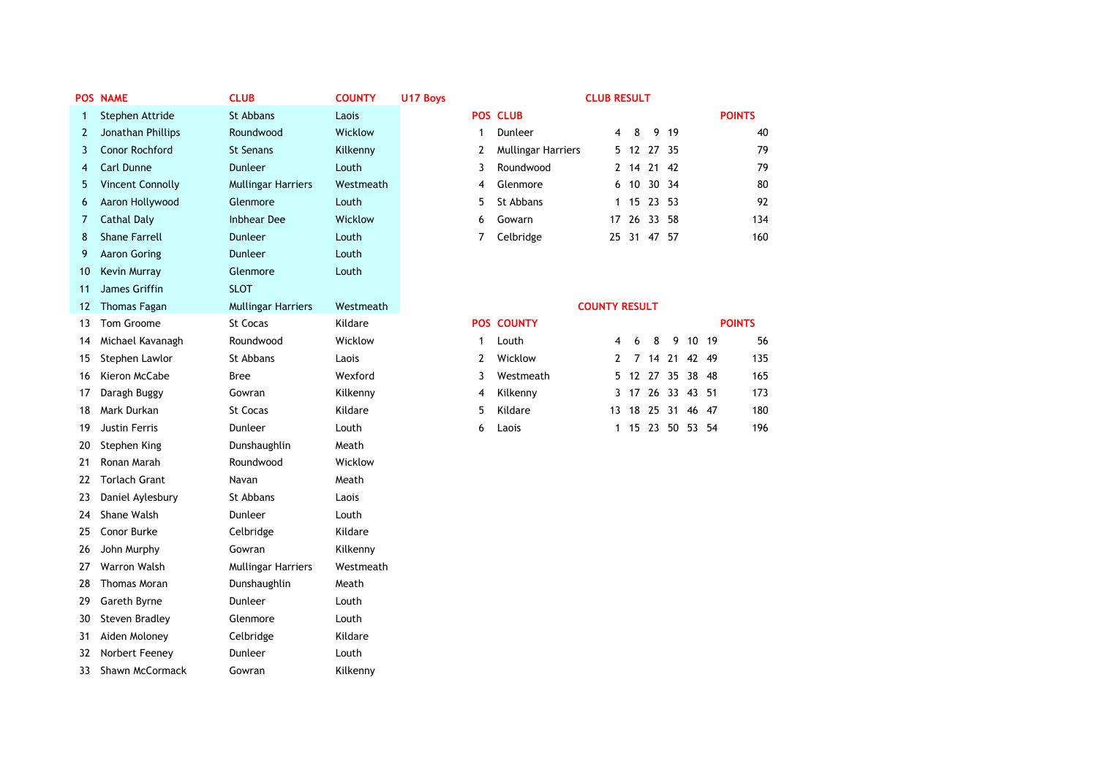| POS          | <b>NAME</b>           | <b>CLUB</b>               | <b>COUNTY</b> | U17 Boys     |                    | <b>CLUB RESULT</b>   |                |       |       |                  |               |
|--------------|-----------------------|---------------------------|---------------|--------------|--------------------|----------------------|----------------|-------|-------|------------------|---------------|
| $\mathbf{1}$ | Stephen Attride       | St Abbans                 | Laois         |              | <b>POS CLUB</b>    |                      |                |       |       |                  | <b>POINTS</b> |
| 2            | Jonathan Phillips     | Roundwood                 | Wicklow       | 1            | Dunleer            | 4                    | 8              | 9     | 19    |                  | 40            |
| 3            | <b>Conor Rochford</b> | <b>St Senans</b>          | Kilkenny      | 2            | Mullingar Harriers |                      | 5 12 27 35     |       |       |                  | 79            |
| 4            | Carl Dunne            | Dunleer                   | Louth         | 3            | Roundwood          | 2                    | 14             |       | 21 42 |                  | 79            |
| 5            | Vincent Connolly      | <b>Mullingar Harriers</b> | Westmeath     | 4            | Glenmore           | 6                    | 10             |       | 30 34 |                  | 80            |
| 6            | Aaron Hollywood       | Glenmore                  | Louth         | 5            | St Abbans          | 1                    | 15             | 23 53 |       |                  | 92            |
| 7            | <b>Cathal Daly</b>    | <b>Inbhear Dee</b>        | Wicklow       | 6            | Gowarn             |                      | 17 26          |       | 33 58 |                  | 134           |
| 8            | <b>Shane Farrell</b>  | <b>Dunleer</b>            | Louth         | 7            | Celbridge          |                      | 25 31 47 57    |       |       |                  | 160           |
| 9            | <b>Aaron Goring</b>   | <b>Dunleer</b>            | Louth         |              |                    |                      |                |       |       |                  |               |
| 10           | Kevin Murray          | Glenmore                  | Louth         |              |                    |                      |                |       |       |                  |               |
| 11           | James Griffin         | <b>SLOT</b>               |               |              |                    |                      |                |       |       |                  |               |
| 12           | <b>Thomas Fagan</b>   | <b>Mullingar Harriers</b> | Westmeath     |              |                    | <b>COUNTY RESULT</b> |                |       |       |                  |               |
| 13           | Tom Groome            | <b>St Cocas</b>           | Kildare       |              | <b>POS COUNTY</b>  |                      |                |       |       |                  | <b>POINTS</b> |
| 14           | Michael Kavanagh      | Roundwood                 | Wicklow       | $\mathbf{1}$ | Louth              | 4                    | 6              | 8     | 9     |                  | 10 19<br>56   |
| 15           | Stephen Lawlor        | St Abbans                 | Laois         | 2            | Wicklow            | 2                    | $\overline{7}$ |       | 14 21 | 42 49            | 135           |
| 16           | Kieron McCabe         | <b>Bree</b>               | Wexford       | 3            | Westmeath          | 5                    | 12             |       |       | 27 35 38 48      | 165           |
| 17           | Daragh Buggy          | Gowran                    | Kilkenny      | 4            | Kilkenny           | 3                    |                |       |       | 17 26 33 43 51   | 173           |
| 18           | Mark Durkan           | <b>St Cocas</b>           | Kildare       | 5            | Kildare            | 13                   |                |       |       | 18 25 31 46 47   | 180           |
| 19           | <b>Justin Ferris</b>  | Dunleer                   | Louth         | 6            | Laois              |                      |                |       |       | 1 15 23 50 53 54 | 196           |
| 20           | Stephen King          | Dunshaughlin              | Meath         |              |                    |                      |                |       |       |                  |               |
| 21           | Ronan Marah           | Roundwood                 | Wicklow       |              |                    |                      |                |       |       |                  |               |
| 22           | <b>Torlach Grant</b>  | Navan                     | Meath         |              |                    |                      |                |       |       |                  |               |
| 23           | Daniel Aylesbury      | St Abbans                 | Laois         |              |                    |                      |                |       |       |                  |               |
| 24           | Shane Walsh           | Dunleer                   | Louth         |              |                    |                      |                |       |       |                  |               |
| 25           | Conor Burke           | Celbridge                 | Kildare       |              |                    |                      |                |       |       |                  |               |
| 26           | John Murphy           | Gowran                    | Kilkenny      |              |                    |                      |                |       |       |                  |               |
| 27           | Warron Walsh          | Mullingar Harriers        | Westmeath     |              |                    |                      |                |       |       |                  |               |
| 28           | Thomas Moran          | Dunshaughlin              | Meath         |              |                    |                      |                |       |       |                  |               |
| 29           | Gareth Byrne          | Dunleer                   | Louth         |              |                    |                      |                |       |       |                  |               |
| 30           | <b>Steven Bradley</b> | Glenmore                  | Louth         |              |                    |                      |                |       |       |                  |               |
| 31           | Aiden Moloney         | Celbridge                 | Kildare       |              |                    |                      |                |       |       |                  |               |
| 32           | Norbert Feeney        | Dunleer                   | Louth         |              |                    |                      |                |       |       |                  |               |
| 33           | Shawn McCormack       | Gowran                    | Kilkenny      |              |                    |                      |                |       |       |                  |               |

## **POST ASSESSED ASSESSED AND RESULT**

|   | <b>POS CLUB</b>    |       |             | <b>POINTS</b> |
|---|--------------------|-------|-------------|---------------|
| 1 | Dunleer            | 4     | 8 9 19      | 40            |
| 2 | Mullingar Harriers |       | 5 12 27 35  | 79            |
| 3 | Roundwood          |       | 2 14 21 42  | 79            |
| 4 | Glenmore           |       | 6 10 30 34  | 80            |
|   | 5 St Abbans        |       | 1 15 23 53  | 92            |
| 6 | Gowarn             |       | 17 26 33 58 | 134           |
| 7 | Celbridge          | 25 31 | 47 57       | 160           |

|               |                   | <b>COUNTY RESULT</b> |                   |  |  |               |
|---------------|-------------------|----------------------|-------------------|--|--|---------------|
|               | <b>POS COUNTY</b> |                      |                   |  |  | <b>POINTS</b> |
| 1             | Louth             |                      | 4 6 8 9 10 19     |  |  |               |
| $\mathcal{L}$ | Wicklow           |                      | 2 7 14 21 42 49   |  |  | 1             |
| 3             | Westmeath         |                      | 5 12 27 35 38 48  |  |  | 1             |
| 4             | Kilkenny          |                      | 3 17 26 33 43 51  |  |  | 1             |
| 5.            | Kildare           |                      | 13 18 25 31 46 47 |  |  | 1             |
| 6             | Laois             |                      | 1 15 23 50 53 54  |  |  | 1             |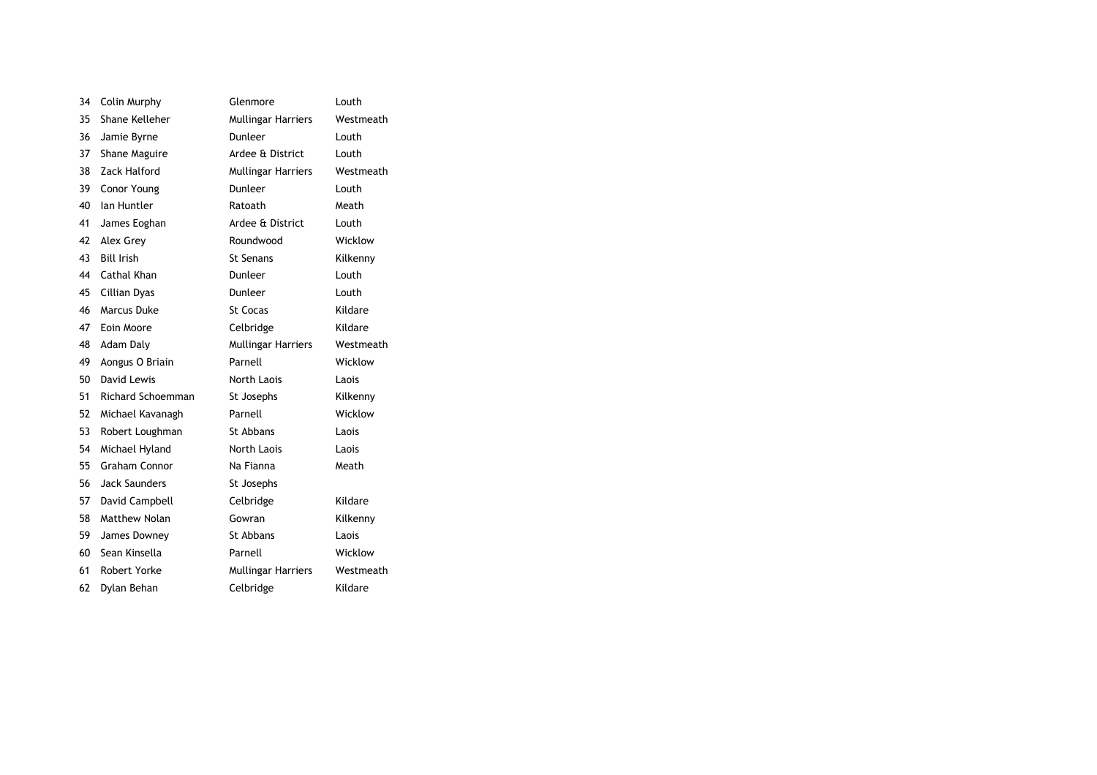| 34 | Colin Murphy             | Glenmore                  | Louth     |
|----|--------------------------|---------------------------|-----------|
| 35 | Shane Kelleher           | <b>Mullingar Harriers</b> | Westmeath |
| 36 | Jamie Byrne              | Dunleer                   | Louth     |
| 37 | Shane Maguire            | Ardee & District          | Louth     |
| 38 | Zack Halford             | Mullingar Harriers        | Westmeath |
| 39 | Conor Young              | <b>Dunleer</b>            | Louth     |
| 40 | Ian Huntler              | Ratoath                   | Meath     |
| 41 | James Eoghan             | Ardee & District          | Louth     |
| 42 | Alex Grey                | Roundwood                 | Wicklow   |
| 43 | <b>Bill Irish</b>        | <b>St Senans</b>          | Kilkenny  |
| 44 | Cathal Khan              | Dunleer                   | Louth     |
| 45 | Cillian Dyas             | Dunleer                   | Louth     |
| 46 | Marcus Duke              | St Cocas                  | Kildare   |
| 47 | Eoin Moore               | Celbridge                 | Kildare   |
| 48 | Adam Daly                | Mullingar Harriers        | Westmeath |
| 49 | Aongus O Briain          | Parnell                   | Wicklow   |
| 50 | David Lewis              | <b>North Laois</b>        | Laois     |
| 51 | <b>Richard Schoemman</b> | St Josephs                | Kilkenny  |
| 52 | Michael Kavanagh         | Parnell                   | Wicklow   |
| 53 | Robert Loughman          | St Abbans                 | Laois     |
| 54 | Michael Hyland           | North Laois               | Laois     |
| 55 | <b>Graham Connor</b>     | Na Fianna                 | Meath     |
| 56 | <b>Jack Saunders</b>     | St Josephs                |           |
| 57 | David Campbell           | Celbridge                 | Kildare   |
| 58 | Matthew Nolan            | Gowran                    | Kilkenny  |
| 59 | James Downey             | St Abbans                 | Laois     |
| 60 | Sean Kinsella            | Parnell                   | Wicklow   |
| 61 | Robert Yorke             | Mullingar Harriers        | Westmeath |
| 62 | Dylan Behan              | Celbridge                 | Kildare   |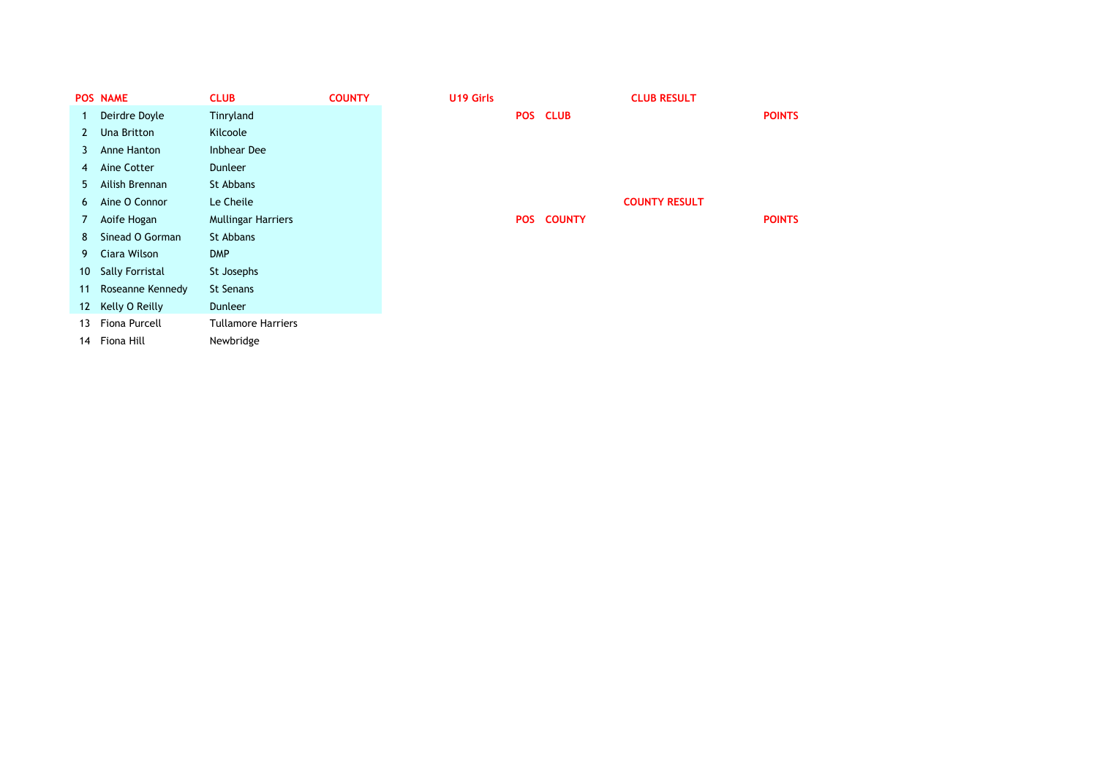|                  | <b>POS NAME</b>        | <b>CLUB</b>               | <b>COUNTY</b> | U19 Girls |            |               | <b>CLUB RESULT</b>   |               |
|------------------|------------------------|---------------------------|---------------|-----------|------------|---------------|----------------------|---------------|
|                  | Deirdre Doyle          | Tinryland                 |               |           |            | POS CLUB      |                      | <b>POINTS</b> |
| $\mathbf{2}$     | Una Britton            | Kilcoole                  |               |           |            |               |                      |               |
| 3                | Anne Hanton            | <b>Inbhear Dee</b>        |               |           |            |               |                      |               |
| 4                | Aine Cotter            | Dunleer                   |               |           |            |               |                      |               |
| 5.               | Ailish Brennan         | St Abbans                 |               |           |            |               |                      |               |
| 6                | Aine O Connor          | Le Cheile                 |               |           |            |               | <b>COUNTY RESULT</b> |               |
| 7                | Aoife Hogan            | <b>Mullingar Harriers</b> |               |           | <b>POS</b> | <b>COUNTY</b> |                      | <b>POINTS</b> |
| 8                | Sinead O Gorman        | St Abbans                 |               |           |            |               |                      |               |
| 9.               | Ciara Wilson           | <b>DMP</b>                |               |           |            |               |                      |               |
| 10               | <b>Sally Forristal</b> | St Josephs                |               |           |            |               |                      |               |
| 11               | Roseanne Kennedy       | <b>St Senans</b>          |               |           |            |               |                      |               |
| 12 <sup>12</sup> | Kelly O Reilly         | <b>Dunleer</b>            |               |           |            |               |                      |               |
| 13               | Fiona Purcell          | <b>Tullamore Harriers</b> |               |           |            |               |                      |               |
| 14               | Fiona Hill             | Newbridge                 |               |           |            |               |                      |               |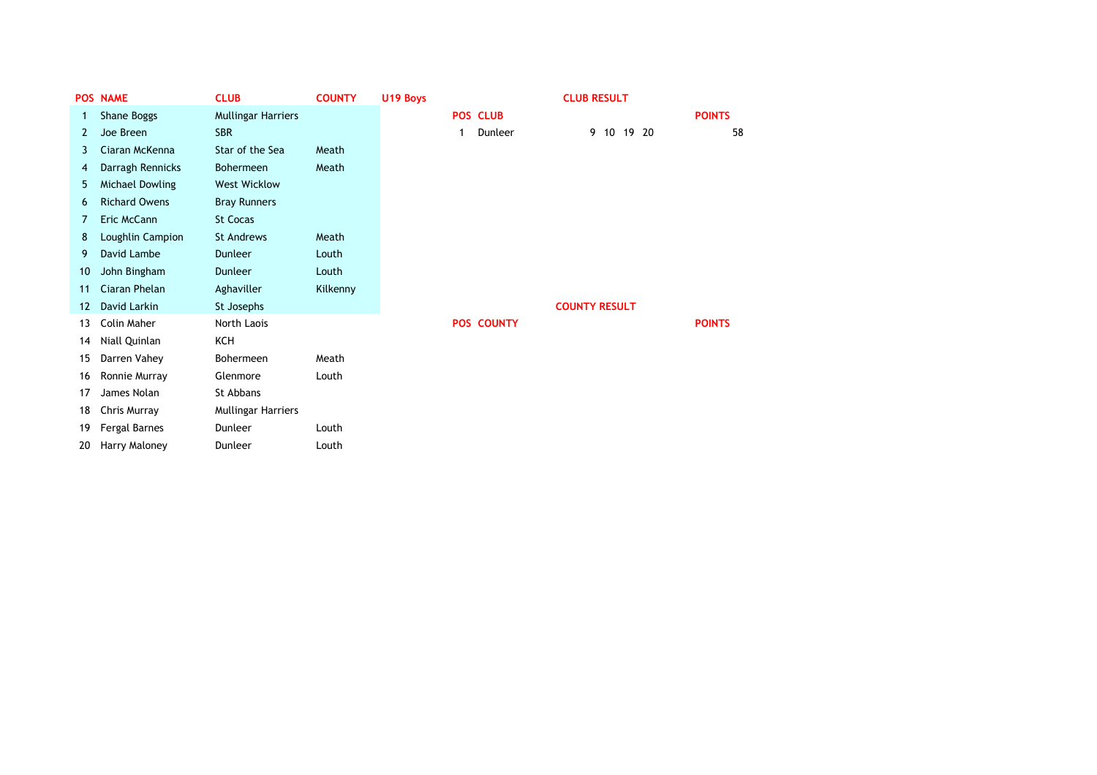|    | <b>POS NAME</b>        | <b>CLUB</b>               | <b>COUNTY</b> | U19 Boys |                   | <b>CLUB RESULT</b>   |  |  |            |  |               |
|----|------------------------|---------------------------|---------------|----------|-------------------|----------------------|--|--|------------|--|---------------|
|    | Shane Boggs            | <b>Mullingar Harriers</b> |               |          | <b>POS CLUB</b>   |                      |  |  |            |  | <b>POINTS</b> |
| 2  | Joe Breen              | <b>SBR</b>                |               |          | Dunleer           |                      |  |  | 9 10 19 20 |  | 58            |
| 3  | Ciaran McKenna         | Star of the Sea           | Meath         |          |                   |                      |  |  |            |  |               |
| 4  | Darragh Rennicks       | <b>Bohermeen</b>          | Meath         |          |                   |                      |  |  |            |  |               |
| 5  | <b>Michael Dowling</b> | <b>West Wicklow</b>       |               |          |                   |                      |  |  |            |  |               |
| 6  | <b>Richard Owens</b>   | <b>Bray Runners</b>       |               |          |                   |                      |  |  |            |  |               |
| 7  | Eric McCann            | <b>St Cocas</b>           |               |          |                   |                      |  |  |            |  |               |
| 8  | Loughlin Campion       | <b>St Andrews</b>         | Meath         |          |                   |                      |  |  |            |  |               |
| 9  | David Lambe            | <b>Dunleer</b>            | Louth         |          |                   |                      |  |  |            |  |               |
| 10 | John Bingham           | <b>Dunleer</b>            | Louth         |          |                   |                      |  |  |            |  |               |
| 11 | Ciaran Phelan          | Aghaviller                | Kilkenny      |          |                   |                      |  |  |            |  |               |
| 12 | David Larkin           | St Josephs                |               |          |                   | <b>COUNTY RESULT</b> |  |  |            |  |               |
| 13 | Colin Maher            | North Laois               |               |          | <b>POS COUNTY</b> |                      |  |  |            |  | <b>POINTS</b> |
| 14 | Niall Quinlan          | KCH                       |               |          |                   |                      |  |  |            |  |               |
| 15 | Darren Vahey           | Bohermeen                 | Meath         |          |                   |                      |  |  |            |  |               |
| 16 | Ronnie Murray          | Glenmore                  | Louth         |          |                   |                      |  |  |            |  |               |
| 17 | James Nolan            | St Abbans                 |               |          |                   |                      |  |  |            |  |               |
| 18 | Chris Murray           | <b>Mullingar Harriers</b> |               |          |                   |                      |  |  |            |  |               |
| 19 | <b>Fergal Barnes</b>   | Dunleer                   | Louth         |          |                   |                      |  |  |            |  |               |
| 20 | Harry Maloney          | Dunleer                   | Louth         |          |                   |                      |  |  |            |  |               |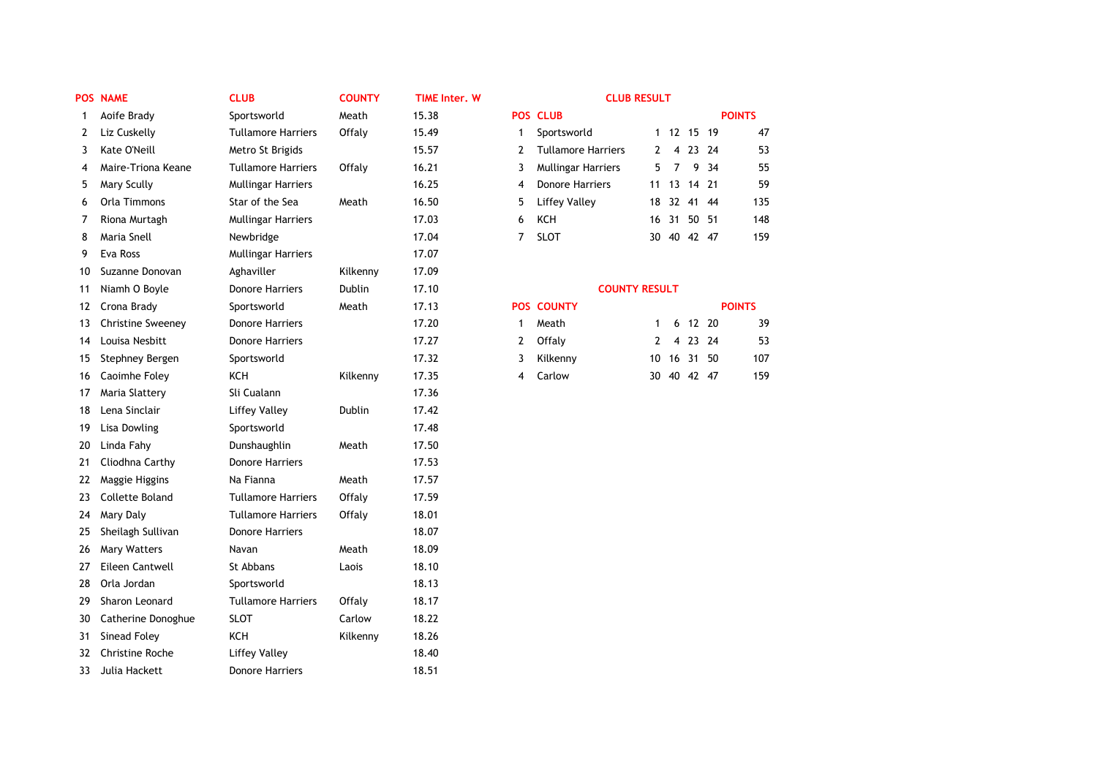|    | <b>POS NAME</b>          | <b>CLUB</b>               | <b>COUNTY</b> | <b>TIME Inter. W</b> |                | <b>CLUB RESULT</b>        |              |                |             |      |               |
|----|--------------------------|---------------------------|---------------|----------------------|----------------|---------------------------|--------------|----------------|-------------|------|---------------|
| -1 | Aoife Brady              | Sportsworld               | Meath         | 15.38                |                | <b>POS CLUB</b>           |              |                |             |      | <b>POINTS</b> |
| 2  | Liz Cuskelly             | <b>Tullamore Harriers</b> | Offaly        | 15.49                | $\mathbf{1}$   | Sportsworld               |              |                | 1 12 15 19  |      | 47            |
| 3  | Kate O'Neill             | Metro St Brigids          |               | 15.57                | 2              | <b>Tullamore Harriers</b> | $\mathbf{2}$ |                | 4 23 24     |      | 53            |
| 4  | Maire-Triona Keane       | <b>Tullamore Harriers</b> | Offaly        | 16.21                | 3              | <b>Mullingar Harriers</b> | 5            | $\overline{7}$ |             | 9 34 | 55            |
| 5  | <b>Mary Scully</b>       | <b>Mullingar Harriers</b> |               | 16.25                | 4              | <b>Donore Harriers</b>    |              |                | 11 13 14 21 |      | 59            |
| 6  | Orla Timmons             | Star of the Sea           | Meath         | 16.50                | 5              | <b>Liffey Valley</b>      |              |                | 18 32 41 44 |      | 135           |
| 7  | Riona Murtagh            | <b>Mullingar Harriers</b> |               | 17.03                | 6              | KCH                       |              |                | 16 31 50 51 |      | 148           |
| 8  | Maria Snell              | Newbridge                 |               | 17.04                | $\overline{7}$ | <b>SLOT</b>               |              |                | 30 40 42 47 |      | 159           |
| 9  | Eva Ross                 | <b>Mullingar Harriers</b> |               | 17.07                |                |                           |              |                |             |      |               |
| 10 | Suzanne Donovan          | Aghaviller                | Kilkenny      | 17.09                |                |                           |              |                |             |      |               |
| 11 | Niamh O Boyle            | <b>Donore Harriers</b>    | Dublin        | 17.10                |                | <b>COUNTY RESULT</b>      |              |                |             |      |               |
| 12 | Crona Brady              | Sportsworld               | Meath         | 17.13                |                | <b>POS COUNTY</b>         |              |                |             |      | <b>POINTS</b> |
| 13 | <b>Christine Sweeney</b> | <b>Donore Harriers</b>    |               | 17.20                | $\mathbf{1}$   | Meath                     | $\mathbf{1}$ |                | 6 12 20     |      | 39            |
| 14 | Louisa Nesbitt           | <b>Donore Harriers</b>    |               | 17.27                | 2              | Offaly                    | 2            |                | 4 23 24     |      | 53            |
| 15 | Stephney Bergen          | Sportsworld               |               | 17.32                | 3              | Kilkenny                  | 10           |                | 16 31 50    |      | 107           |
| 16 | Caoimhe Foley            | KCH                       | Kilkenny      | 17.35                | 4              | Carlow                    | 30           |                | 40 42 47    |      | 159           |
| 17 | Maria Slattery           | Sli Cualann               |               | 17.36                |                |                           |              |                |             |      |               |
| 18 | Lena Sinclair            | <b>Liffey Valley</b>      | Dublin        | 17.42                |                |                           |              |                |             |      |               |
| 19 | Lisa Dowling             | Sportsworld               |               | 17.48                |                |                           |              |                |             |      |               |
| 20 | Linda Fahy               | Dunshaughlin              | Meath         | 17.50                |                |                           |              |                |             |      |               |
| 21 | Cliodhna Carthy          | <b>Donore Harriers</b>    |               | 17.53                |                |                           |              |                |             |      |               |
| 22 | Maggie Higgins           | Na Fianna                 | Meath         | 17.57                |                |                           |              |                |             |      |               |
| 23 | Collette Boland          | <b>Tullamore Harriers</b> | Offaly        | 17.59                |                |                           |              |                |             |      |               |
| 24 | Mary Daly                | <b>Tullamore Harriers</b> | Offaly        | 18.01                |                |                           |              |                |             |      |               |
| 25 | Sheilagh Sullivan        | <b>Donore Harriers</b>    |               | 18.07                |                |                           |              |                |             |      |               |
| 26 | <b>Mary Watters</b>      | Navan                     | Meath         | 18.09                |                |                           |              |                |             |      |               |
| 27 | Eileen Cantwell          | <b>St Abbans</b>          | Laois         | 18.10                |                |                           |              |                |             |      |               |
| 28 | Orla Jordan              | Sportsworld               |               | 18.13                |                |                           |              |                |             |      |               |
| 29 | Sharon Leonard           | <b>Tullamore Harriers</b> | Offaly        | 18.17                |                |                           |              |                |             |      |               |
| 30 | Catherine Donoghue       | <b>SLOT</b>               | Carlow        | 18.22                |                |                           |              |                |             |      |               |
| 31 | <b>Sinead Foley</b>      | KCH                       | Kilkenny      | 18.26                |                |                           |              |                |             |      |               |
| 32 | <b>Christine Roche</b>   | <b>Liffey Valley</b>      |               | 18.40                |                |                           |              |                |             |      |               |
| 33 | Julia Hackett            | <b>Donore Harriers</b>    |               | 18.51                |                |                           |              |                |             |      |               |

| <b>OS COUNTY</b> |             |  | <b>POINTS</b> |
|------------------|-------------|--|---------------|
| 1 Meath          | 1 6 12 20   |  | 39            |
| 2 Offaly         | 2 4 23 24   |  | 53            |
| 3 Kilkenny       | 10 16 31 50 |  | 107           |
| 4 Carlow         | 30 40 42 47 |  | 159           |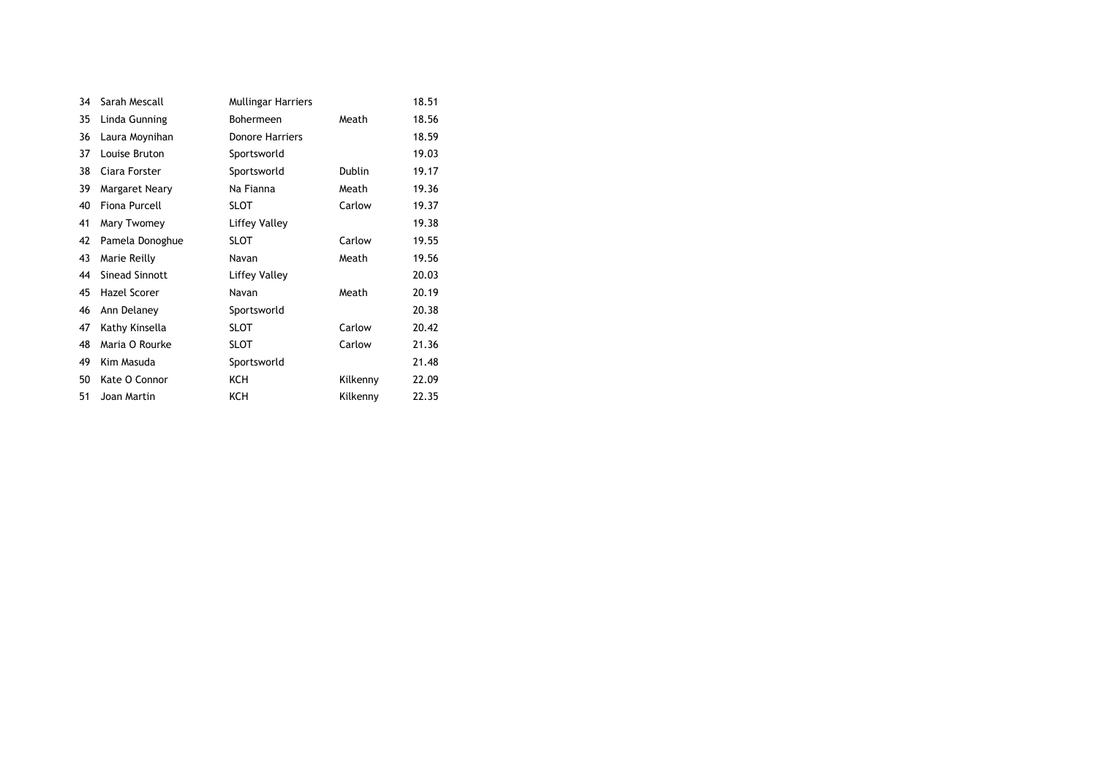| 34 | Sarah Mescall         | <b>Mullingar Harriers</b> |               | 18.51 |
|----|-----------------------|---------------------------|---------------|-------|
| 35 | Linda Gunning         | <b>Bohermeen</b>          | Meath         | 18.56 |
| 36 | Laura Moynihan        | Donore Harriers           |               | 18.59 |
| 37 | Louise Bruton         | Sportsworld               |               | 19.03 |
| 38 | Ciara Forster         | Sportsworld               | <b>Dublin</b> | 19.17 |
| 39 | Margaret Neary        | Na Fianna                 | Meath         | 19.36 |
| 40 | <b>Fiona Purcell</b>  | <b>SLOT</b>               | Carlow        | 19.37 |
| 41 | Mary Twomey           | Liffey Valley             |               | 19.38 |
| 42 | Pamela Donoghue       | <b>SLOT</b>               | Carlow        | 19.55 |
| 43 | Marie Reilly          | Navan                     | Meath         | 19.56 |
| 44 | <b>Sinead Sinnott</b> | Liffey Valley             |               | 20.03 |
| 45 | Hazel Scorer          | Navan                     | Meath         | 20.19 |
| 46 | Ann Delaney           | Sportsworld               |               | 20.38 |
| 47 | Kathy Kinsella        | <b>SLOT</b>               | Carlow        | 20.42 |
| 48 | Maria O Rourke        | <b>SLOT</b>               | Carlow        | 21.36 |
| 49 | Kim Masuda            | Sportsworld               |               | 21.48 |
| 50 | Kate O Connor         | <b>KCH</b>                | Kilkenny      | 22.09 |
| 51 | Joan Martin           | KCH                       | Kilkenny      | 22.35 |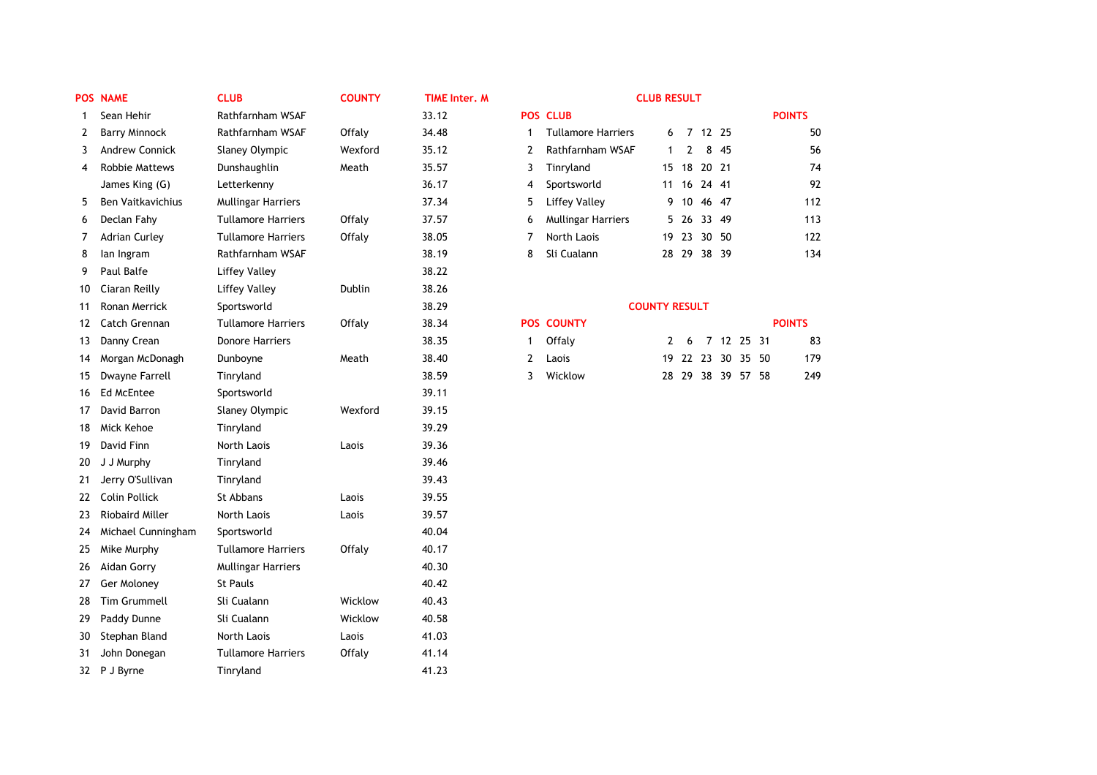|                   | <b>POS NAME</b>          | <b>CLUB</b>               | <b>COUNTY</b> | <b>TIME Inter, M</b> |                |                           | <b>CLUB RESULT</b>   |                |             |                   |      |               |
|-------------------|--------------------------|---------------------------|---------------|----------------------|----------------|---------------------------|----------------------|----------------|-------------|-------------------|------|---------------|
| 1                 | Sean Hehir               | Rathfarnham WSAF          |               | 33.12                |                | <b>POS CLUB</b>           |                      |                |             |                   |      | <b>POINTS</b> |
| 2                 | <b>Barry Minnock</b>     | Rathfarnham WSAF          | Offaly        | 34.48                | $\mathbf{1}$   | <b>Tullamore Harriers</b> | 6                    | $\overline{7}$ |             | 12 25             |      | 50            |
| 3                 | <b>Andrew Connick</b>    | Slaney Olympic            | Wexford       | 35.12                | $\overline{2}$ | Rathfarnham WSAF          | $\mathbf{1}$         | $\overline{2}$ |             | 8 45              |      | 56            |
| 4                 | <b>Robbie Mattews</b>    | Dunshaughlin              | Meath         | 35.57                | 3              | Tinryland                 |                      |                | 15 18 20 21 |                   |      | 74            |
|                   | James King (G)           | Letterkenny               |               | 36.17                | 4              | Sportsworld               |                      |                | 11 16 24 41 |                   |      | 92            |
| 5                 | <b>Ben Vaitkavichius</b> | <b>Mullingar Harriers</b> |               | 37.34                | 5              | <b>Liffey Valley</b>      |                      | 9 10           |             | 46 47             |      | 112           |
| 6                 | Declan Fahy              | <b>Tullamore Harriers</b> | Offaly        | 37.57                | 6              | Mullingar Harriers        |                      |                | 5 26 33 49  |                   |      | 113           |
| 7                 | <b>Adrian Curley</b>     | <b>Tullamore Harriers</b> | Offaly        | 38.05                | 7              | North Laois               |                      |                | 19 23 30 50 |                   |      | 122           |
| 8                 | lan Ingram               | Rathfarnham WSAF          |               | 38.19                | 8              | Sli Cualann               |                      |                | 28 29 38 39 |                   |      | 134           |
| 9                 | Paul Balfe               | Liffey Valley             |               | 38.22                |                |                           |                      |                |             |                   |      |               |
| 10                | Ciaran Reilly            | <b>Liffey Valley</b>      | Dublin        | 38.26                |                |                           |                      |                |             |                   |      |               |
| 11                | Ronan Merrick            | Sportsworld               |               | 38.29                |                |                           | <b>COUNTY RESULT</b> |                |             |                   |      |               |
| $12 \overline{ }$ | Catch Grennan            | <b>Tullamore Harriers</b> | Offaly        | 38.34                |                | <b>POS COUNTY</b>         |                      |                |             |                   |      | <b>POINTS</b> |
| 13                | Danny Crean              | <b>Donore Harriers</b>    |               | 38.35                | $\mathbf{1}$   | Offaly                    | $\mathbf{2}$         | 6              |             | 7 12 25 31        |      | 83            |
| 14                | Morgan McDonagh          | Dunboyne                  | Meath         | 38.40                | 2              | Laois                     |                      |                |             | 19 22 23 30 35    | - 50 | 179           |
| 15                | Dwayne Farrell           | Tinryland                 |               | 38.59                | 3              | Wicklow                   |                      |                |             | 28 29 38 39 57 58 |      | 249           |
| 16                | Ed McEntee               | Sportsworld               |               | 39.11                |                |                           |                      |                |             |                   |      |               |
| 17                | David Barron             | Slaney Olympic            | Wexford       | 39.15                |                |                           |                      |                |             |                   |      |               |
| 18                | Mick Kehoe               | Tinryland                 |               | 39.29                |                |                           |                      |                |             |                   |      |               |
| 19                | David Finn               | North Laois               | Laois         | 39.36                |                |                           |                      |                |             |                   |      |               |
| 20                | J J Murphy               | Tinryland                 |               | 39.46                |                |                           |                      |                |             |                   |      |               |
| 21                | Jerry O'Sullivan         | Tinryland                 |               | 39.43                |                |                           |                      |                |             |                   |      |               |
| 22                | <b>Colin Pollick</b>     | St Abbans                 | Laois         | 39.55                |                |                           |                      |                |             |                   |      |               |
| 23                | <b>Riobaird Miller</b>   | North Laois               | Laois         | 39.57                |                |                           |                      |                |             |                   |      |               |
| 24                | Michael Cunningham       | Sportsworld               |               | 40.04                |                |                           |                      |                |             |                   |      |               |
| 25                | Mike Murphy              | <b>Tullamore Harriers</b> | Offaly        | 40.17                |                |                           |                      |                |             |                   |      |               |
| 26                | Aidan Gorry              | <b>Mullingar Harriers</b> |               | 40.30                |                |                           |                      |                |             |                   |      |               |
| 27                | Ger Moloney              | <b>St Pauls</b>           |               | 40.42                |                |                           |                      |                |             |                   |      |               |
| 28                | <b>Tim Grummell</b>      | Sli Cualann               | Wicklow       | 40.43                |                |                           |                      |                |             |                   |      |               |
| 29                | Paddy Dunne              | Sli Cualann               | Wicklow       | 40.58                |                |                           |                      |                |             |                   |      |               |
| 30                | Stephan Bland            | North Laois               | Laois         | 41.03                |                |                           |                      |                |             |                   |      |               |
| 31                | John Donegan             | <b>Tullamore Harriers</b> | Offaly        | 41.14                |                |                           |                      |                |             |                   |      |               |
| 32 <sup>2</sup>   | P J Byrne                | Tinryland                 |               | 41.23                |                |                           |                      |                |             |                   |      |               |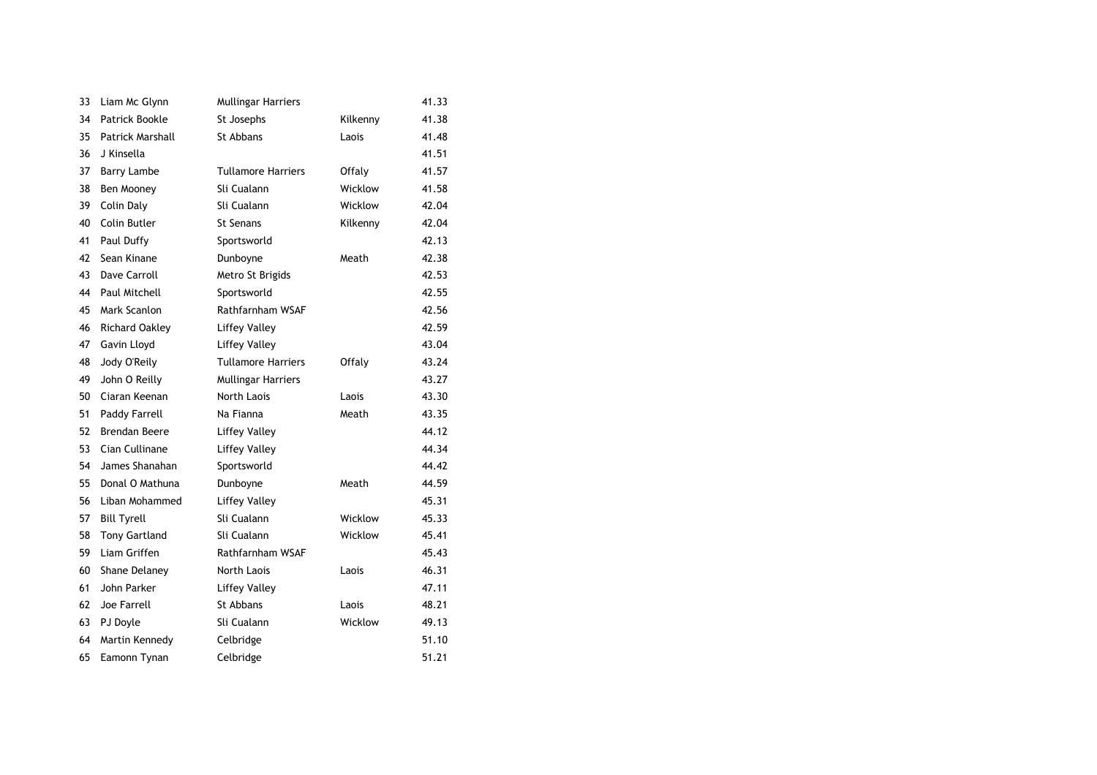| 33 | Liam Mc Glynn        | <b>Mullingar Harriers</b> |          | 41.33 |
|----|----------------------|---------------------------|----------|-------|
| 34 | Patrick Bookle       | St Josephs                | Kilkenny | 41.38 |
| 35 | Patrick Marshall     | St Abbans                 | Laois    | 41.48 |
| 36 | J Kinsella           |                           |          | 41.51 |
| 37 | <b>Barry Lambe</b>   | <b>Tullamore Harriers</b> | Offaly   | 41.57 |
| 38 | Ben Mooney           | Sli Cualann               | Wicklow  | 41.58 |
| 39 | <b>Colin Daly</b>    | Sli Cualann               | Wicklow  | 42.04 |
| 40 | Colin Butler         | <b>St Senans</b>          | Kilkenny | 42.04 |
| 41 | Paul Duffy           | Sportsworld               |          | 42.13 |
| 42 | Sean Kinane          | Dunboyne                  | Meath    | 42.38 |
| 43 | Dave Carroll         | Metro St Brigids          |          | 42.53 |
| 44 | Paul Mitchell        | Sportsworld               |          | 42.55 |
| 45 | Mark Scanlon         | Rathfarnham WSAF          |          | 42.56 |
| 46 | Richard Oakley       | Liffey Valley             |          | 42.59 |
| 47 | Gavin Lloyd          | Liffey Valley             |          | 43.04 |
| 48 | Jody O'Reily         | <b>Tullamore Harriers</b> | Offaly   | 43.24 |
| 49 | John O Reilly        | <b>Mullingar Harriers</b> |          | 43.27 |
| 50 | Ciaran Keenan        | North Laois               | Laois    | 43.30 |
| 51 | Paddy Farrell        | Na Fianna                 | Meath    | 43.35 |
| 52 | <b>Brendan Beere</b> | Liffey Valley             |          | 44.12 |
| 53 | Cian Cullinane       | Liffey Valley             |          | 44.34 |
| 54 | James Shanahan       | Sportsworld               |          | 44.42 |
| 55 | Donal O Mathuna      | Dunboyne                  | Meath    | 44.59 |
| 56 | Liban Mohammed       | Liffey Valley             |          | 45.31 |
| 57 | <b>Bill Tyrell</b>   | Sli Cualann               | Wicklow  | 45.33 |
| 58 | <b>Tony Gartland</b> | Sli Cualann               | Wicklow  | 45.41 |
| 59 | Liam Griffen         | Rathfarnham WSAF          |          | 45.43 |
| 60 | Shane Delaney        | North Laois               | Laois    | 46.31 |
| 61 | John Parker          | Liffey Valley             |          | 47.11 |
| 62 | <b>Joe Farrell</b>   | St Abbans                 | Laois    | 48.21 |
| 63 | PJ Doyle             | Sli Cualann               | Wicklow  | 49.13 |
| 64 | Martin Kennedy       | Celbridge                 |          | 51.10 |
| 65 | Eamonn Tynan         | Celbridge                 |          | 51.21 |